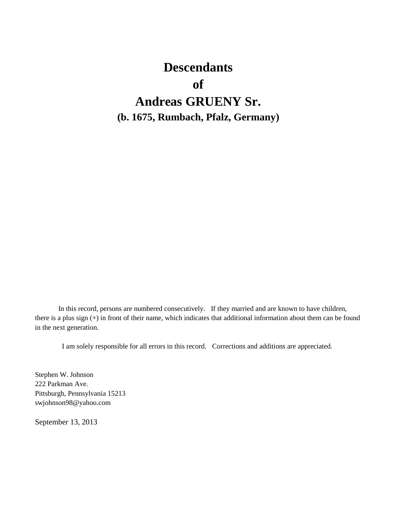# **Descendants of Andreas GRUENY Sr. (b. 1675, Rumbach, Pfalz, Germany)**

In this record, persons are numbered consecutively. If they married and are known to have children, there is a plus sign (+) in front of their name, which indicates that additional information about them can be found in the next generation.

I am solely responsible for all errors in this record. Corrections and additions are appreciated.

Stephen W. Johnson 222 Parkman Ave. Pittsburgh, Pennsylvania 15213 swjohnson98@yahoo.com

September 13, 2013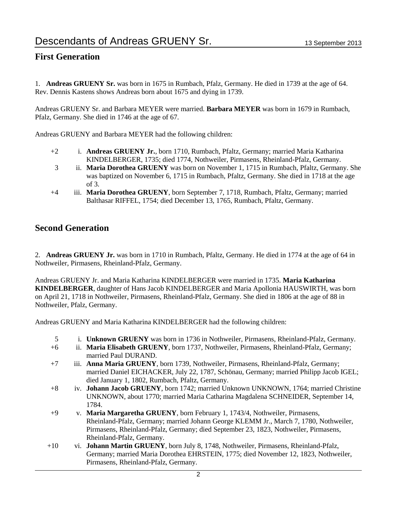#### **First Generation**

1. **Andreas GRUENY Sr.** was born in 1675 in Rumbach, Pfalz, Germany. He died in 1739 at the age of 64. Rev. Dennis Kastens shows Andreas born about 1675 and dying in 1739.

Andreas GRUENY Sr. and Barbara MEYER were married. **Barbara MEYER** was born in 1679 in Rumbach, Pfalz, Germany. She died in 1746 at the age of 67.

Andreas GRUENY and Barbara MEYER had the following children:

- +2 i. **Andreas GRUENY Jr.**, born 1710, Rumbach, Pfaltz, Germany; married Maria Katharina KINDELBERGER, 1735; died 1774, Nothweiler, Pirmasens, Rheinland-Pfalz, Germany.
- 3 ii. **Maria Dorothea GRUENY** was born on November 1, 1715 in Rumbach, Pfaltz, Germany. She was baptized on November 6, 1715 in Rumbach, Pfaltz, Germany. She died in 1718 at the age of 3.
- +4 iii. **Maria Dorothea GRUENY**, born September 7, 1718, Rumbach, Pfaltz, Germany; married Balthasar RIFFEL, 1754; died December 13, 1765, Rumbach, Pfaltz, Germany.

#### **Second Generation**

2. **Andreas GRUENY Jr.** was born in 1710 in Rumbach, Pfaltz, Germany. He died in 1774 at the age of 64 in Nothweiler, Pirmasens, Rheinland-Pfalz, Germany.

Andreas GRUENY Jr. and Maria Katharina KINDELBERGER were married in 1735. **Maria Katharina KINDELBERGER**, daughter of Hans Jacob KINDELBERGER and Maria Apollonia HAUSWIRTH, was born on April 21, 1718 in Nothweiler, Pirmasens, Rheinland-Pfalz, Germany. She died in 1806 at the age of 88 in Nothweiler, Pfalz, Germany.

Andreas GRUENY and Maria Katharina KINDELBERGER had the following children:

- 5 i. **Unknown GRUENY** was born in 1736 in Nothweiler, Pirmasens, Rheinland-Pfalz, Germany.
- +6 ii. **Maria Elisabeth GRUENY**, born 1737, Nothweiler, Pirmasens, Rheinland-Pfalz, Germany; married Paul DURAND.
- +7 iii. **Anna Maria GRUENY**, born 1739, Nothweiler, Pirmasens, Rheinland-Pfalz, Germany; married Daniel EICHACKER, July 22, 1787, Schönau, Germany; married Philipp Jacob IGEL; died January 1, 1802, Rumbach, Pfaltz, Germany.
- +8 iv. **Johann Jacob GRUENY**, born 1742; married Unknown UNKNOWN, 1764; married Christine UNKNOWN, about 1770; married Maria Catharina Magdalena SCHNEIDER, September 14, 1784.
- +9 v. **Maria Margaretha GRUENY**, born February 1, 1743/4, Nothweiler, Pirmasens, Rheinland-Pfalz, Germany; married Johann George KLEMM Jr., March 7, 1780, Nothweiler, Pirmasens, Rheinland-Pfalz, Germany; died September 23, 1823, Nothweiler, Pirmasens, Rheinland-Pfalz, Germany.
- +10 vi. **Johann Martin GRUENY**, born July 8, 1748, Nothweiler, Pirmasens, Rheinland-Pfalz, Germany; married Maria Dorothea EHRSTEIN, 1775; died November 12, 1823, Nothweiler, Pirmasens, Rheinland-Pfalz, Germany.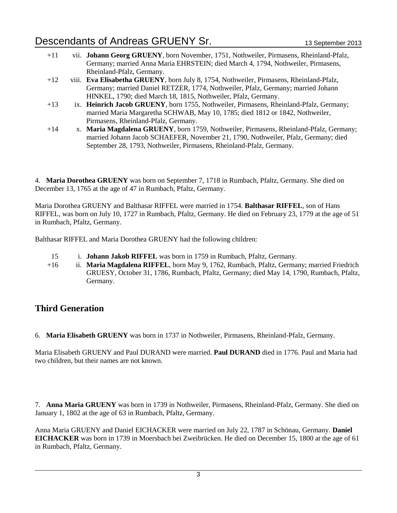- +11 vii. **Johann Georg GRUENY**, born November, 1751, Nothweiler, Pirmasens, Rheinland-Pfalz, Germany; married Anna Maria EHRSTEIN; died March 4, 1794, Nothweiler, Pirmasens, Rheinland-Pfalz, Germany. +12 viii. **Eva Elisabetha GRUENY**, born July 8, 1754, Nothweiler, Pirmasens, Rheinland-Pfalz, Germany; married Daniel RETZER, 1774, Nothweiler, Pfalz, Germany; married Johann HINKEL, 1790; died March 18, 1815, Nothweiler, Pfalz, Germany.
- +13 ix. **Heinrich Jacob GRUENY**, born 1755, Nothweiler, Pirmasens, Rheinland-Pfalz, Germany; married Maria Margaretha SCHWAB, May 10, 1785; died 1812 or 1842, Nothweiler, Pirmasens, Rheinland-Pfalz, Germany.
- +14 x. **Maria Magdalena GRUENY**, born 1759, Nothweiler, Pirmasens, Rheinland-Pfalz, Germany; married Johann Jacob SCHAEFER, November 21, 1790, Nothweiler, Pfalz, Germany; died September 28, 1793, Nothweiler, Pirmasens, Rheinland-Pfalz, Germany.

4. **Maria Dorothea GRUENY** was born on September 7, 1718 in Rumbach, Pfaltz, Germany. She died on December 13, 1765 at the age of 47 in Rumbach, Pfaltz, Germany.

Maria Dorothea GRUENY and Balthasar RIFFEL were married in 1754. **Balthasar RIFFEL**, son of Hans RIFFEL, was born on July 10, 1727 in Rumbach, Pfaltz, Germany. He died on February 23, 1779 at the age of 51 in Rumbach, Pfaltz, Germany.

Balthasar RIFFEL and Maria Dorothea GRUENY had the following children:

- 15 i. **Johann Jakob RIFFEL** was born in 1759 in Rumbach, Pfaltz, Germany.
- +16 ii. **Maria Magdalena RIFFEL**, born May 9, 1762, Rumbach, Pfaltz, Germany; married Friedrich GRUESY, October 31, 1786, Rumbach, Pfaltz, Germany; died May 14, 1790, Rumbach, Pfaltz, Germany.

#### **Third Generation**

6. **Maria Elisabeth GRUENY** was born in 1737 in Nothweiler, Pirmasens, Rheinland-Pfalz, Germany.

Maria Elisabeth GRUENY and Paul DURAND were married. **Paul DURAND** died in 1776. Paul and Maria had two children, but their names are not known.

7. **Anna Maria GRUENY** was born in 1739 in Nothweiler, Pirmasens, Rheinland-Pfalz, Germany. She died on January 1, 1802 at the age of 63 in Rumbach, Pfaltz, Germany.

Anna Maria GRUENY and Daniel EICHACKER were married on July 22, 1787 in Schönau, Germany. **Daniel EICHACKER** was born in 1739 in Moersbach bei Zweibrücken. He died on December 15, 1800 at the age of 61 in Rumbach, Pfaltz, Germany.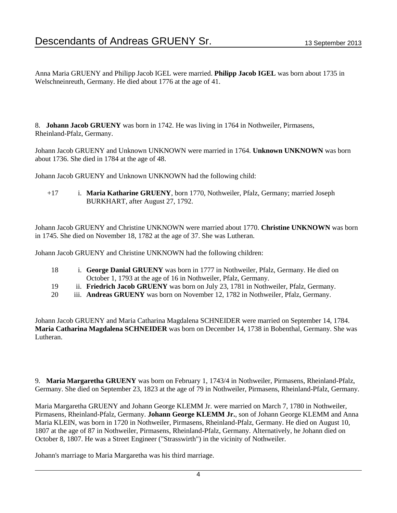Anna Maria GRUENY and Philipp Jacob IGEL were married. **Philipp Jacob IGEL** was born about 1735 in Welschneinreuth, Germany. He died about 1776 at the age of 41.

8. **Johann Jacob GRUENY** was born in 1742. He was living in 1764 in Nothweiler, Pirmasens, Rheinland-Pfalz, Germany.

Johann Jacob GRUENY and Unknown UNKNOWN were married in 1764. **Unknown UNKNOWN** was born about 1736. She died in 1784 at the age of 48.

Johann Jacob GRUENY and Unknown UNKNOWN had the following child:

+17 i. **Maria Katharine GRUENY**, born 1770, Nothweiler, Pfalz, Germany; married Joseph BURKHART, after August 27, 1792.

Johann Jacob GRUENY and Christine UNKNOWN were married about 1770. **Christine UNKNOWN** was born in 1745. She died on November 18, 1782 at the age of 37. She was Lutheran.

Johann Jacob GRUENY and Christine UNKNOWN had the following children:

- 18 i. **George Danial GRUENY** was born in 1777 in Nothweiler, Pfalz, Germany. He died on October 1, 1793 at the age of 16 in Nothweiler, Pfalz, Germany.
- 19 ii. **Friedrich Jacob GRUENY** was born on July 23, 1781 in Nothweiler, Pfalz, Germany.
- 20 iii. **Andreas GRUENY** was born on November 12, 1782 in Nothweiler, Pfalz, Germany.

Johann Jacob GRUENY and Maria Catharina Magdalena SCHNEIDER were married on September 14, 1784. **Maria Catharina Magdalena SCHNEIDER** was born on December 14, 1738 in Bobenthal, Germany. She was Lutheran.

9. **Maria Margaretha GRUENY** was born on February 1, 1743/4 in Nothweiler, Pirmasens, Rheinland-Pfalz, Germany. She died on September 23, 1823 at the age of 79 in Nothweiler, Pirmasens, Rheinland-Pfalz, Germany.

Maria Margaretha GRUENY and Johann George KLEMM Jr. were married on March 7, 1780 in Nothweiler, Pirmasens, Rheinland-Pfalz, Germany. **Johann George KLEMM Jr.**, son of Johann George KLEMM and Anna Maria KLEIN, was born in 1720 in Nothweiler, Pirmasens, Rheinland-Pfalz, Germany. He died on August 10, 1807 at the age of 87 in Nothweiler, Pirmasens, Rheinland-Pfalz, Germany. Alternatively, he Johann died on October 8, 1807. He was a Street Engineer ("Strasswirth") in the vicinity of Nothweiler.

Johann's marriage to Maria Margaretha was his third marriage.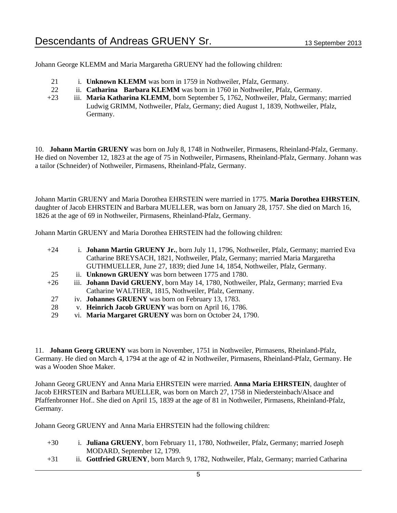Johann George KLEMM and Maria Margaretha GRUENY had the following children:

- 21 i. **Unknown KLEMM** was born in 1759 in Nothweiler, Pfalz, Germany.
- 22 ii. **Catharina Barbara KLEMM** was born in 1760 in Nothweiler, Pfalz, Germany.
- +23 iii. **Maria Katharina KLEMM**, born September 5, 1762, Nothweiler, Pfalz, Germany; married Ludwig GRIMM, Nothweiler, Pfalz, Germany; died August 1, 1839, Nothweiler, Pfalz, Germany.

10. **Johann Martin GRUENY** was born on July 8, 1748 in Nothweiler, Pirmasens, Rheinland-Pfalz, Germany. He died on November 12, 1823 at the age of 75 in Nothweiler, Pirmasens, Rheinland-Pfalz, Germany. Johann was a tailor (Schneider) of Nothweiler, Pirmasens, Rheinland-Pfalz, Germany.

Johann Martin GRUENY and Maria Dorothea EHRSTEIN were married in 1775. **Maria Dorothea EHRSTEIN**, daughter of Jacob EHRSTEIN and Barbara MUELLER, was born on January 28, 1757. She died on March 16, 1826 at the age of 69 in Nothweiler, Pirmasens, Rheinland-Pfalz, Germany.

Johann Martin GRUENY and Maria Dorothea EHRSTEIN had the following children:

| $+24$    | i. Johann Martin GRUENY Jr., born July 11, 1796, Nothweiler, Pfalz, Germany; married Eva                   |
|----------|------------------------------------------------------------------------------------------------------------|
|          | Catharine BREYSACH, 1821, Nothweiler, Pfalz, Germany; married Maria Margaretha                             |
|          | GUTHMUELLER, June 27, 1839; died June 14, 1854, Nothweiler, Pfalz, Germany.                                |
| 25       | ii. Unknown GRUENY was born between 1775 and 1780.                                                         |
| $+26$    | iii. Johann David GRUENY, born May 14, 1780, Nothweiler, Pfalz, Germany; married Eva                       |
|          | Catharine WALTHER, 1815, Nothweiler, Pfalz, Germany.                                                       |
| 27       | iv. Johannes GRUENY was born on February 13, 1783.                                                         |
| 28       | v. Heinrich Jacob GRUENY was born on April 16, 1786.                                                       |
| $\Omega$ | $\mathbf{M}_{\text{out}}$ Montgoma CDUENV $\mathbf{W}_{\text{out}}$ on $\mathbf{O}_{\text{other}}$ 24.1700 |

29 vi. **Maria Margaret GRUENY** was born on October 24, 1790.

11. **Johann Georg GRUENY** was born in November, 1751 in Nothweiler, Pirmasens, Rheinland-Pfalz, Germany. He died on March 4, 1794 at the age of 42 in Nothweiler, Pirmasens, Rheinland-Pfalz, Germany. He was a Wooden Shoe Maker.

Johann Georg GRUENY and Anna Maria EHRSTEIN were married. **Anna Maria EHRSTEIN**, daughter of Jacob EHRSTEIN and Barbara MUELLER, was born on March 27, 1758 in Niedersteinbach/Alsace and Pfaffenbronner Hof.. She died on April 15, 1839 at the age of 81 in Nothweiler, Pirmasens, Rheinland-Pfalz, Germany.

Johann Georg GRUENY and Anna Maria EHRSTEIN had the following children:

- +30 i. **Juliana GRUENY**, born February 11, 1780, Nothweiler, Pfalz, Germany; married Joseph MODARD, September 12, 1799.
- +31 ii. **Gottfried GRUENY**, born March 9, 1782, Nothweiler, Pfalz, Germany; married Catharina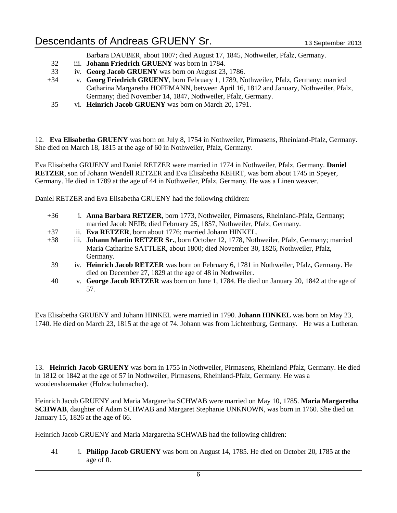Barbara DAUBER, about 1807; died August 17, 1845, Nothweiler, Pfalz, Germany.

- 32 iii. **Johann Friedrich GRUENY** was born in 1784.
- 33 iv. **Georg Jacob GRUENY** was born on August 23, 1786.
- +34 v. **Georg Friedrich GRUENY**, born February 1, 1789, Nothweiler, Pfalz, Germany; married Catharina Margaretha HOFFMANN, between April 16, 1812 and January, Nothweiler, Pfalz, Germany; died November 14, 1847, Nothweiler, Pfalz, Germany.
- 35 vi. **Heinrich Jacob GRUENY** was born on March 20, 1791.

12. **Eva Elisabetha GRUENY** was born on July 8, 1754 in Nothweiler, Pirmasens, Rheinland-Pfalz, Germany. She died on March 18, 1815 at the age of 60 in Nothweiler, Pfalz, Germany.

Eva Elisabetha GRUENY and Daniel RETZER were married in 1774 in Nothweiler, Pfalz, Germany. **Daniel RETZER**, son of Johann Wendell RETZER and Eva Elisabetha KEHRT, was born about 1745 in Speyer, Germany. He died in 1789 at the age of 44 in Nothweiler, Pfalz, Germany. He was a Linen weaver.

Daniel RETZER and Eva Elisabetha GRUENY had the following children:

- +36 i. **Anna Barbara RETZER**, born 1773, Nothweiler, Pirmasens, Rheinland-Pfalz, Germany; married Jacob NEIB; died February 25, 1857, Nothweiler, Pfalz, Germany.
- +37 ii. **Eva RETZER**, born about 1776; married Johann HINKEL.
- +38 iii. **Johann Martin RETZER Sr.**, born October 12, 1778, Nothweiler, Pfalz, Germany; married Maria Catharine SATTLER, about 1800; died November 30, 1826, Nothweiler, Pfalz, Germany.
- 39 iv. **Heinrich Jacob RETZER** was born on February 6, 1781 in Nothweiler, Pfalz, Germany. He died on December 27, 1829 at the age of 48 in Nothweiler.
- 40 v. **George Jacob RETZER** was born on June 1, 1784. He died on January 20, 1842 at the age of 57.

Eva Elisabetha GRUENY and Johann HINKEL were married in 1790. **Johann HINKEL** was born on May 23, 1740. He died on March 23, 1815 at the age of 74. Johann was from Lichtenburg, Germany. He was a Lutheran.

13. **Heinrich Jacob GRUENY** was born in 1755 in Nothweiler, Pirmasens, Rheinland-Pfalz, Germany. He died in 1812 or 1842 at the age of 57 in Nothweiler, Pirmasens, Rheinland-Pfalz, Germany. He was a woodenshoemaker (Holzschuhmacher).

Heinrich Jacob GRUENY and Maria Margaretha SCHWAB were married on May 10, 1785. **Maria Margaretha SCHWAB**, daughter of Adam SCHWAB and Margaret Stephanie UNKNOWN, was born in 1760. She died on January 15, 1826 at the age of 66.

Heinrich Jacob GRUENY and Maria Margaretha SCHWAB had the following children:

41 i. **Philipp Jacob GRUENY** was born on August 14, 1785. He died on October 20, 1785 at the age of 0.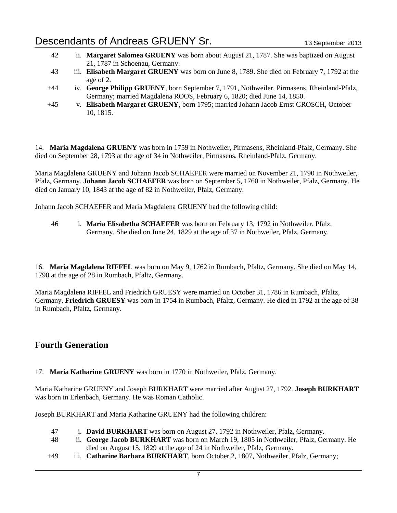- 42 ii. **Margaret Salomea GRUENY** was born about August 21, 1787. She was baptized on August 21, 1787 in Schoenau, Germany.
- 43 iii. **Elisabeth Margaret GRUENY** was born on June 8, 1789. She died on February 7, 1792 at the age of 2.
- +44 iv. **George Philipp GRUENY**, born September 7, 1791, Nothweiler, Pirmasens, Rheinland-Pfalz, Germany; married Magdalena ROOS, February 6, 1820; died June 14, 1850.
- +45 v. **Elisabeth Margaret GRUENY**, born 1795; married Johann Jacob Ernst GROSCH, October 10, 1815.

14. **Maria Magdalena GRUENY** was born in 1759 in Nothweiler, Pirmasens, Rheinland-Pfalz, Germany. She died on September 28, 1793 at the age of 34 in Nothweiler, Pirmasens, Rheinland-Pfalz, Germany.

Maria Magdalena GRUENY and Johann Jacob SCHAEFER were married on November 21, 1790 in Nothweiler, Pfalz, Germany. **Johann Jacob SCHAEFER** was born on September 5, 1760 in Nothweiler, Pfalz, Germany. He died on January 10, 1843 at the age of 82 in Nothweiler, Pfalz, Germany.

Johann Jacob SCHAEFER and Maria Magdalena GRUENY had the following child:

46 i. **Maria Elisabetha SCHAEFER** was born on February 13, 1792 in Nothweiler, Pfalz, Germany. She died on June 24, 1829 at the age of 37 in Nothweiler, Pfalz, Germany.

16. **Maria Magdalena RIFFEL** was born on May 9, 1762 in Rumbach, Pfaltz, Germany. She died on May 14, 1790 at the age of 28 in Rumbach, Pfaltz, Germany.

Maria Magdalena RIFFEL and Friedrich GRUESY were married on October 31, 1786 in Rumbach, Pfaltz, Germany. **Friedrich GRUESY** was born in 1754 in Rumbach, Pfaltz, Germany. He died in 1792 at the age of 38 in Rumbach, Pfaltz, Germany.

#### **Fourth Generation**

17. **Maria Katharine GRUENY** was born in 1770 in Nothweiler, Pfalz, Germany.

Maria Katharine GRUENY and Joseph BURKHART were married after August 27, 1792. **Joseph BURKHART** was born in Erlenbach, Germany. He was Roman Catholic.

Joseph BURKHART and Maria Katharine GRUENY had the following children:

- 47 i. **David BURKHART** was born on August 27, 1792 in Nothweiler, Pfalz, Germany.
- 48 ii. **George Jacob BURKHART** was born on March 19, 1805 in Nothweiler, Pfalz, Germany. He died on August 15, 1829 at the age of 24 in Nothweiler, Pfalz, Germany.
- +49 iii. **Catharine Barbara BURKHART**, born October 2, 1807, Nothweiler, Pfalz, Germany;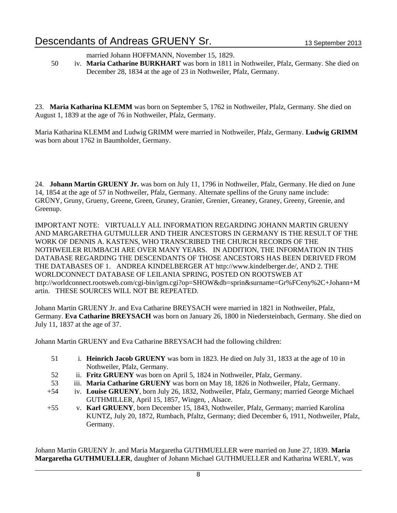married Johann HOFFMANN, November 15, 1829.

50 iv. **Maria Catharine BURKHART** was born in 1811 in Nothweiler, Pfalz, Germany. She died on December 28, 1834 at the age of 23 in Nothweiler, Pfalz, Germany.

23. **Maria Katharina KLEMM** was born on September 5, 1762 in Nothweiler, Pfalz, Germany. She died on August 1, 1839 at the age of 76 in Nothweiler, Pfalz, Germany.

Maria Katharina KLEMM and Ludwig GRIMM were married in Nothweiler, Pfalz, Germany. **Ludwig GRIMM** was born about 1762 in Baumholder, Germany.

24. **Johann Martin GRUENY Jr.** was born on July 11, 1796 in Nothweiler, Pfalz, Germany. He died on June 14, 1854 at the age of 57 in Nothweiler, Pfalz, Germany. Alternate spellins of the Gruny name include: GRÜNY, Gruny, Grueny, Greene, Green, Gruney, Granier, Grenier, Greaney, Graney, Greeny, Greenie, and Greenup.

IMPORTANT NOTE: VIRTUALLY ALL INFORMATION REGARDING JOHANN MARTIN GRUENY AND MARGARETHA GUTMULLER AND THEIR ANCESTORS IN GERMANY IS THE RESULT OF THE WORK OF DENNIS A. KASTENS, WHO TRANSCRIBED THE CHURCH RECORDS OF THE NOTHWEILER RUMBACH ARE OVER MANY YEARS. IN ADDITION, THE INFORMATION IN THIS DATABASE REGARDING THE DESCENDANTS OF THOSE ANCESTORS HAS BEEN DERIVED FROM THE DATABASES OF 1. ANDREA KINDELBERGER AT http://www.kindelberger.de/, AND 2. THE WORLDCONNECT DATABASE OF LEILANIA SPRING, POSTED ON ROOTSWEB AT http://worldconnect.rootsweb.com/cgi-bin/igm.cgi?op=SHOW&db=sprin&surname=Gr%FCeny%2C+Johann+M artin. THESE SOURCES WILL NOT BE REPEATED.

Johann Martin GRUENY Jr. and Eva Catharine BREYSACH were married in 1821 in Nothweiler, Pfalz, Germany. **Eva Catharine BREYSACH** was born on January 26, 1800 in Niedersteinbach, Germany. She died on July 11, 1837 at the age of 37.

Johann Martin GRUENY and Eva Catharine BREYSACH had the following children:

- 51 i. **Heinrich Jacob GRUENY** was born in 1823. He died on July 31, 1833 at the age of 10 in Nothweiler, Pfalz, Germany.
- 52 ii. **Fritz GRUENY** was born on April 5, 1824 in Nothweiler, Pfalz, Germany.
- 53 iii. **Maria Catharine GRUENY** was born on May 18, 1826 in Nothweiler, Pfalz, Germany.
- +54 iv. **Louise GRUENY**, born July 26, 1832, Nothweiler, Pfalz, Germany; married George Michael GUTHMILLER, April 15, 1857, Wingen, , Alsace.
- +55 v. **Karl GRUENY**, born December 15, 1843, Nothweiler, Pfalz, Germany; married Karolina KUNTZ, July 20, 1872, Rumbach, Pfaltz, Germany; died December 6, 1911, Nothweiler, Pfalz, Germany.

Johann Martin GRUENY Jr. and Maria Margaretha GUTHMUELLER were married on June 27, 1839. **Maria Margaretha GUTHMUELLER**, daughter of Johann Michael GUTHMUELLER and Katharina WERLY, was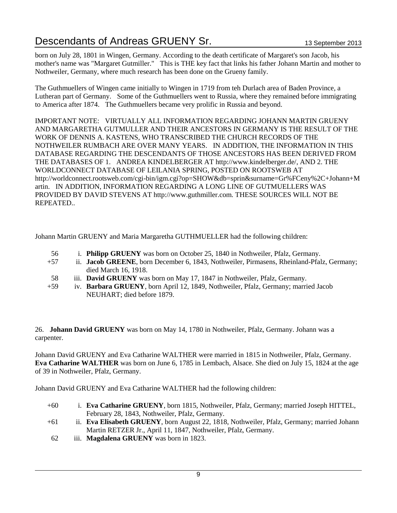born on July 28, 1801 in Wingen, Germany. According to the death certificate of Margaret's son Jacob, his mother's name was "Margaret Gutmiller." This is THE key fact that links his father Johann Martin and mother to Nothweiler, Germany, where much research has been done on the Grueny family.

The Guthmuellers of Wingen came initially to Wingen in 1719 from teh Durlach area of Baden Province, a Lutheran part of Germany. Some of the Guthmuellers went to Russia, where they remained before immigrating to America after 1874. The Guthmuellers became very prolific in Russia and beyond.

IMPORTANT NOTE: VIRTUALLY ALL INFORMATION REGARDING JOHANN MARTIN GRUENY AND MARGARETHA GUTMULLER AND THEIR ANCESTORS IN GERMANY IS THE RESULT OF THE WORK OF DENNIS A. KASTENS, WHO TRANSCRIBED THE CHURCH RECORDS OF THE NOTHWEILER RUMBACH ARE OVER MANY YEARS. IN ADDITION, THE INFORMATION IN THIS DATABASE REGARDING THE DESCENDANTS OF THOSE ANCESTORS HAS BEEN DERIVED FROM THE DATABASES OF 1. ANDREA KINDELBERGER AT http://www.kindelberger.de/, AND 2. THE WORLDCONNECT DATABASE OF LEILANIA SPRING, POSTED ON ROOTSWEB AT http://worldconnect.rootsweb.com/cgi-bin/igm.cgi?op=SHOW&db=sprin&surname=Gr%FCeny%2C+Johann+M artin. IN ADDITION, INFORMATION REGARDING A LONG LINE OF GUTMUELLERS WAS PROVIDED BY DAVID STEVENS AT http://www.guthmiller.com. THESE SOURCES WILL NOT BE REPEATED..

Johann Martin GRUENY and Maria Margaretha GUTHMUELLER had the following children:

- 56 i. **Philipp GRUENY** was born on October 25, 1840 in Nothweiler, Pfalz, Germany.
- +57 ii. **Jacob GREENE**, born December 6, 1843, Nothweiler, Pirmasens, Rheinland-Pfalz, Germany; died March 16, 1918.
- 58 iii. **David GRUENY** was born on May 17, 1847 in Nothweiler, Pfalz, Germany.
- +59 iv. **Barbara GRUENY**, born April 12, 1849, Nothweiler, Pfalz, Germany; married Jacob NEUHART; died before 1879.

26. **Johann David GRUENY** was born on May 14, 1780 in Nothweiler, Pfalz, Germany. Johann was a carpenter.

Johann David GRUENY and Eva Catharine WALTHER were married in 1815 in Nothweiler, Pfalz, Germany. **Eva Catharine WALTHER** was born on June 6, 1785 in Lembach, Alsace. She died on July 15, 1824 at the age of 39 in Nothweiler, Pfalz, Germany.

Johann David GRUENY and Eva Catharine WALTHER had the following children:

- +60 i. **Eva Catharine GRUENY**, born 1815, Nothweiler, Pfalz, Germany; married Joseph HITTEL, February 28, 1843, Nothweiler, Pfalz, Germany.
- +61 ii. **Eva Elisabeth GRUENY**, born August 22, 1818, Nothweiler, Pfalz, Germany; married Johann Martin RETZER Jr., April 11, 1847, Nothweiler, Pfalz, Germany.
- 62 iii. **Magdalena GRUENY** was born in 1823.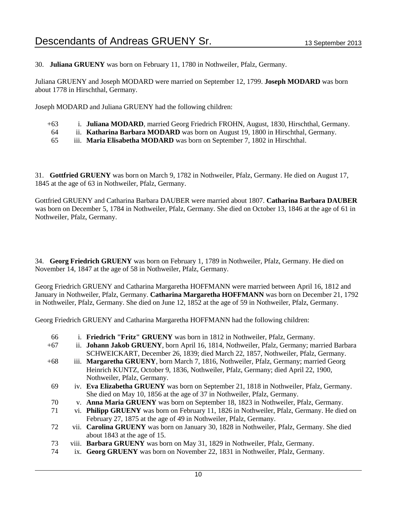30. **Juliana GRUENY** was born on February 11, 1780 in Nothweiler, Pfalz, Germany.

Juliana GRUENY and Joseph MODARD were married on September 12, 1799. **Joseph MODARD** was born about 1778 in Hirschthal, Germany.

Joseph MODARD and Juliana GRUENY had the following children:

- +63 i. **Juliana MODARD**, married Georg Friedrich FROHN, August, 1830, Hirschthal, Germany.
- 64 ii. **Katharina Barbara MODARD** was born on August 19, 1800 in Hirschthal, Germany.
- 65 iii. **Maria Elisabetha MODARD** was born on September 7, 1802 in Hirschthal.

31. **Gottfried GRUENY** was born on March 9, 1782 in Nothweiler, Pfalz, Germany. He died on August 17, 1845 at the age of 63 in Nothweiler, Pfalz, Germany.

Gottfried GRUENY and Catharina Barbara DAUBER were married about 1807. **Catharina Barbara DAUBER** was born on December 5, 1784 in Nothweiler, Pfalz, Germany. She died on October 13, 1846 at the age of 61 in Nothweiler, Pfalz, Germany.

34. **Georg Friedrich GRUENY** was born on February 1, 1789 in Nothweiler, Pfalz, Germany. He died on November 14, 1847 at the age of 58 in Nothweiler, Pfalz, Germany.

Georg Friedrich GRUENY and Catharina Margaretha HOFFMANN were married between April 16, 1812 and January in Nothweiler, Pfalz, Germany. **Catharina Margaretha HOFFMANN** was born on December 21, 1792 in Nothweiler, Pfalz, Germany. She died on June 12, 1852 at the age of 59 in Nothweiler, Pfalz, Germany.

Georg Friedrich GRUENY and Catharina Margaretha HOFFMANN had the following children:

- 66 i. **Friedrich "Fritz" GRUENY** was born in 1812 in Nothweiler, Pfalz, Germany.
- +67 ii. **Johann Jakob GRUENY**, born April 16, 1814, Nothweiler, Pfalz, Germany; married Barbara SCHWEICKART, December 26, 1839; died March 22, 1857, Nothweiler, Pfalz, Germany.
- +68 iii. **Margaretha GRUENY**, born March 7, 1816, Nothweiler, Pfalz, Germany; married Georg Heinrich KUNTZ, October 9, 1836, Nothweiler, Pfalz, Germany; died April 22, 1900, Nothweiler, Pfalz, Germany.
- 69 iv. **Eva Elizabetha GRUENY** was born on September 21, 1818 in Nothweiler, Pfalz, Germany. She died on May 10, 1856 at the age of 37 in Nothweiler, Pfalz, Germany.
- 70 v. **Anna Maria GRUENY** was born on September 18, 1823 in Nothweiler, Pfalz, Germany.
- 71 vi. **Philipp GRUENY** was born on February 11, 1826 in Nothweiler, Pfalz, Germany. He died on February 27, 1875 at the age of 49 in Nothweiler, Pfalz, Germany.
- 72 vii. **Carolina GRUENY** was born on January 30, 1828 in Nothweiler, Pfalz, Germany. She died about 1843 at the age of 15.
- 73 viii. **Barbara GRUENY** was born on May 31, 1829 in Nothweiler, Pfalz, Germany.
- 74 ix. **Georg GRUENY** was born on November 22, 1831 in Nothweiler, Pfalz, Germany.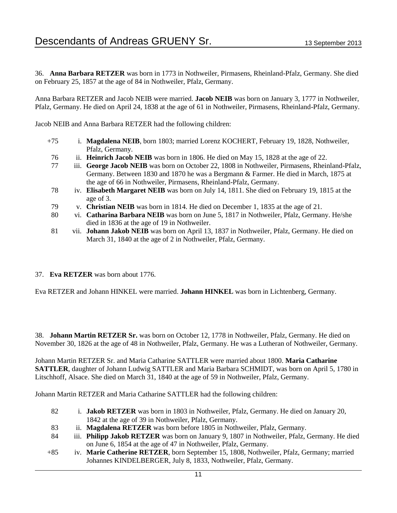36. **Anna Barbara RETZER** was born in 1773 in Nothweiler, Pirmasens, Rheinland-Pfalz, Germany. She died on February 25, 1857 at the age of 84 in Nothweiler, Pfalz, Germany.

Anna Barbara RETZER and Jacob NEIB were married. **Jacob NEIB** was born on January 3, 1777 in Nothweiler, Pfalz, Germany. He died on April 24, 1838 at the age of 61 in Nothweiler, Pirmasens, Rheinland-Pfalz, Germany.

Jacob NEIB and Anna Barbara RETZER had the following children:

- +75 i. **Magdalena NEIB**, born 1803; married Lorenz KOCHERT, February 19, 1828, Nothweiler, Pfalz, Germany.
- 76 ii. **Heinrich Jacob NEIB** was born in 1806. He died on May 15, 1828 at the age of 22.
- 77 iii. **George Jacob NEIB** was born on October 22, 1808 in Nothweiler, Pirmasens, Rheinland-Pfalz, Germany. Between 1830 and 1870 he was a Bergmann & Farmer. He died in March, 1875 at the age of 66 in Nothweiler, Pirmasens, Rheinland-Pfalz, Germany.
- 78 iv. **Elisabeth Margaret NEIB** was born on July 14, 1811. She died on February 19, 1815 at the age of 3.
- 79 v. **Christian NEIB** was born in 1814. He died on December 1, 1835 at the age of 21.
- 80 vi. **Catharina Barbara NEIB** was born on June 5, 1817 in Nothweiler, Pfalz, Germany. He/she died in 1836 at the age of 19 in Nothweiler.
- 81 vii. **Johann Jakob NEIB** was born on April 13, 1837 in Nothweiler, Pfalz, Germany. He died on March 31, 1840 at the age of 2 in Nothweiler, Pfalz, Germany.
- 37. **Eva RETZER** was born about 1776.

Eva RETZER and Johann HINKEL were married. **Johann HINKEL** was born in Lichtenberg, Germany.

38. **Johann Martin RETZER Sr.** was born on October 12, 1778 in Nothweiler, Pfalz, Germany. He died on November 30, 1826 at the age of 48 in Nothweiler, Pfalz, Germany. He was a Lutheran of Nothweiler, Germany.

Johann Martin RETZER Sr. and Maria Catharine SATTLER were married about 1800. **Maria Catharine SATTLER**, daughter of Johann Ludwig SATTLER and Maria Barbara SCHMIDT, was born on April 5, 1780 in Litschhoff, Alsace. She died on March 31, 1840 at the age of 59 in Nothweiler, Pfalz, Germany.

Johann Martin RETZER and Maria Catharine SATTLER had the following children:

- 82 i. **Jakob RETZER** was born in 1803 in Nothweiler, Pfalz, Germany. He died on January 20, 1842 at the age of 39 in Nothweiler, Pfalz, Germany.
- 83 ii. **Magdalena RETZER** was born before 1805 in Nothweiler, Pfalz, Germany.
- 84 iii. **Philipp Jakob RETZER** was born on January 9, 1807 in Nothweiler, Pfalz, Germany. He died on June 6, 1854 at the age of 47 in Nothweiler, Pfalz, Germany.
- +85 iv. **Marie Catherine RETZER**, born September 15, 1808, Nothweiler, Pfalz, Germany; married Johannes KINDELBERGER, July 8, 1833, Nothweiler, Pfalz, Germany.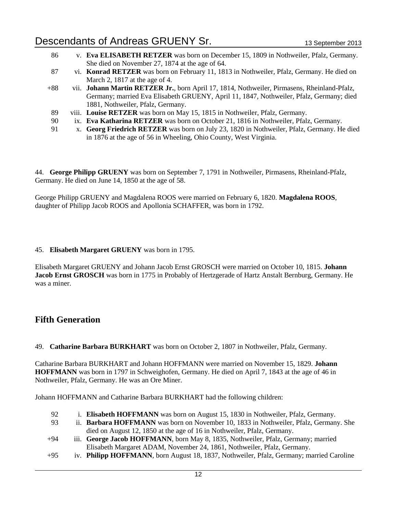| 86             | v. Eva ELISABETH RETZER was born on December 15, 1809 in Nothweiler, Pfalz, Germany.             |
|----------------|--------------------------------------------------------------------------------------------------|
|                | She died on November 27, 1874 at the age of 64.                                                  |
| -87            | vi. Konrad RETZER was born on February 11, 1813 in Nothweiler, Pfalz, Germany. He died on        |
|                | March 2, 1817 at the age of 4.                                                                   |
| $+88$          | vii. Johann Martin RETZER Jr., born April 17, 1814, Nothweiler, Pirmasens, Rheinland-Pfalz,      |
|                | Germany; married Eva Elisabeth GRUENY, April 11, 1847, Nothweiler, Pfalz, Germany; died          |
|                | 1881, Nothweiler, Pfalz, Germany.                                                                |
| 89             | viii. Louise RETZER was born on May 15, 1815 in Nothweiler, Pfalz, Germany.                      |
| 90             | ix. Eva Katharina RETZER was born on October 21, 1816 in Nothweiler, Pfalz, Germany.             |
| Q <sub>1</sub> | y <b>Georg Friedrich RETZER</b> was born on July 23, 1820 in Nothweiler, Pfalz, Germany, He died |

91 x. **Georg Friedrich RETZER** was born on July 23, 1820 in Nothweiler, Pfalz, Germany. He died in 1876 at the age of 56 in Wheeling, Ohio County, West Virginia.

44. **George Philipp GRUENY** was born on September 7, 1791 in Nothweiler, Pirmasens, Rheinland-Pfalz, Germany. He died on June 14, 1850 at the age of 58.

George Philipp GRUENY and Magdalena ROOS were married on February 6, 1820. **Magdalena ROOS**, daughter of Philipp Jacob ROOS and Apollonia SCHAFFER, was born in 1792.

#### 45. **Elisabeth Margaret GRUENY** was born in 1795.

Elisabeth Margaret GRUENY and Johann Jacob Ernst GROSCH were married on October 10, 1815. **Johann Jacob Ernst GROSCH** was born in 1775 in Probably of Hertzgerade of Hartz Anstalt Bernburg, Germany. He was a miner.

#### **Fifth Generation**

49. **Catharine Barbara BURKHART** was born on October 2, 1807 in Nothweiler, Pfalz, Germany.

Catharine Barbara BURKHART and Johann HOFFMANN were married on November 15, 1829. **Johann HOFFMANN** was born in 1797 in Schweighofen, Germany. He died on April 7, 1843 at the age of 46 in Nothweiler, Pfalz, Germany. He was an Ore Miner.

Johann HOFFMANN and Catharine Barbara BURKHART had the following children:

- 92 i. **Elisabeth HOFFMANN** was born on August 15, 1830 in Nothweiler, Pfalz, Germany.
- 93 ii. **Barbara HOFFMANN** was born on November 10, 1833 in Nothweiler, Pfalz, Germany. She died on August 12, 1850 at the age of 16 in Nothweiler, Pfalz, Germany.
- +94 iii. **George Jacob HOFFMANN**, born May 8, 1835, Nothweiler, Pfalz, Germany; married Elisabeth Margaret ADAM, November 24, 1861, Nothweiler, Pfalz, Germany.
- +95 iv. **Philipp HOFFMANN**, born August 18, 1837, Nothweiler, Pfalz, Germany; married Caroline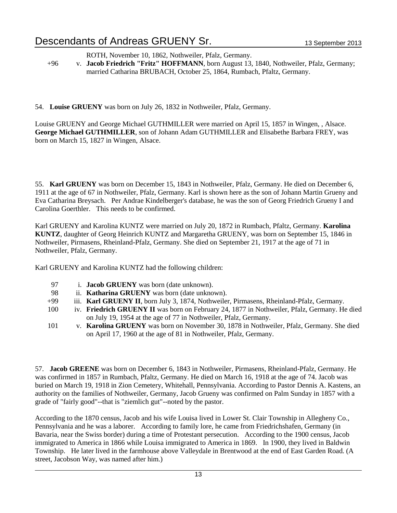ROTH, November 10, 1862, Nothweiler, Pfalz, Germany.

+96 v. **Jacob Friedrich "Fritz" HOFFMANN**, born August 13, 1840, Nothweiler, Pfalz, Germany; married Catharina BRUBACH, October 25, 1864, Rumbach, Pfaltz, Germany.

54. **Louise GRUENY** was born on July 26, 1832 in Nothweiler, Pfalz, Germany.

Louise GRUENY and George Michael GUTHMILLER were married on April 15, 1857 in Wingen, , Alsace. **George Michael GUTHMILLER**, son of Johann Adam GUTHMILLER and Elisabethe Barbara FREY, was born on March 15, 1827 in Wingen, Alsace.

55. **Karl GRUENY** was born on December 15, 1843 in Nothweiler, Pfalz, Germany. He died on December 6, 1911 at the age of 67 in Nothweiler, Pfalz, Germany. Karl is shown here as the son of Johann Martin Grueny and Eva Catharina Breysach. Per Andrae Kindelberger's database, he was the son of Georg Friedrich Grueny I and Carolina Goerthler. This needs to be confirmed.

Karl GRUENY and Karolina KUNTZ were married on July 20, 1872 in Rumbach, Pfaltz, Germany. **Karolina KUNTZ**, daughter of Georg Heinrich KUNTZ and Margaretha GRUENY, was born on September 15, 1846 in Nothweiler, Pirmasens, Rheinland-Pfalz, Germany. She died on September 21, 1917 at the age of 71 in Nothweiler, Pfalz, Germany.

Karl GRUENY and Karolina KUNTZ had the following children:

- 97 i. **Jacob GRUENY** was born (date unknown).
- 98 ii. **Katharina GRUENY** was born (date unknown).
- +99 iii. **Karl GRUENY II**, born July 3, 1874, Nothweiler, Pirmasens, Rheinland-Pfalz, Germany.
- 100 iv. **Friedrich GRUENY II** was born on February 24, 1877 in Nothweiler, Pfalz, Germany. He died on July 19, 1954 at the age of 77 in Nothweiler, Pfalz, Germany.
- 101 v. **Karolina GRUENY** was born on November 30, 1878 in Nothweiler, Pfalz, Germany. She died on April 17, 1960 at the age of 81 in Nothweiler, Pfalz, Germany.

57. **Jacob GREENE** was born on December 6, 1843 in Nothweiler, Pirmasens, Rheinland-Pfalz, Germany. He was confirmed in 1857 in Rumbach, Pfaltz, Germany. He died on March 16, 1918 at the age of 74. Jacob was buried on March 19, 1918 in Zion Cemetery, Whitehall, Pennsylvania. According to Pastor Dennis A. Kastens, an authority on the families of Nothweiler, Germany, Jacob Grueny was confirmed on Palm Sunday in 1857 with a grade of "fairly good"--that is "ziemlich gut"--noted by the pastor.

According to the 1870 census, Jacob and his wife Louisa lived in Lower St. Clair Township in Allegheny Co., Pennsylvania and he was a laborer. According to family lore, he came from Friedrichshafen, Germany (in Bavaria, near the Swiss border) during a time of Protestant persecution. According to the 1900 census, Jacob immigrated to America in 1866 while Louisa immigrated to America in 1869. In 1900, they lived in Baldwin Township. He later lived in the farmhouse above Valleydale in Brentwood at the end of East Garden Road. (A street, Jacobson Way, was named after him.)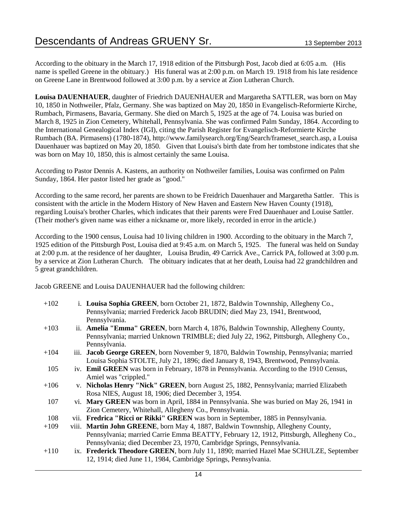According to the obituary in the March 17, 1918 edition of the Pittsburgh Post, Jacob died at 6:05 a.m. (His name is spelled Greene in the obituary.) His funeral was at 2:00 p.m. on March 19. 1918 from his late residence on Greene Lane in Brentwood followed at 3:00 p.m. by a service at Zion Lutheran Church.

**Louisa DAUENHAUER**, daughter of Friedrich DAUENHAUER and Margaretha SATTLER, was born on May 10, 1850 in Nothweiler, Pfalz, Germany. She was baptized on May 20, 1850 in Evangelisch-Reformierte Kirche, Rumbach, Pirmasens, Bavaria, Germany. She died on March 5, 1925 at the age of 74. Louisa was buried on March 8, 1925 in Zion Cemetery, Whitehall, Pennsylvania. She was confirmed Palm Sunday, 1864. According to the International Genealogical Index (IGI), citing the Parish Register for Evangelisch-Reformierte Kirche Rumbach (BA. Pirmasens) (1780-1874), http://www.familysearch.org/Eng/Search/frameset\_search.asp, a Louisa Dauenhauer was baptized on May 20, 1850. Given that Louisa's birth date from her tombstone indicates that she was born on May 10, 1850, this is almost certainly the same Louisa.

According to Pastor Dennis A. Kastens, an authority on Nothweiler families, Louisa was confirmed on Palm Sunday, 1864. Her pastor listed her grade as "good."

According to the same record, her parents are shown to be Freidrich Dauenhauer and Margaretha Sattler. This is consistent with the article in the Modern History of New Haven and Eastern New Haven County (1918), regarding Louisa's brother Charles, which indicates that their parents were Fred Dauenhauer and Louise Sattler. (Their mother's given name was either a nickname or, more likely, recorded in error in the article.)

According to the 1900 census, Louisa had 10 living children in 1900. According to the obituary in the March 7, 1925 edition of the Pittsburgh Post, Louisa died at 9:45 a.m. on March 5, 1925. The funeral was held on Sunday at 2:00 p.m. at the residence of her daughter, Louisa Brudin, 49 Carrick Ave., Carrick PA, followed at 3:00 p.m. by a service at Zion Lutheran Church. The obituary indicates that at her death, Louisa had 22 grandchildren and 5 great grandchildren.

Jacob GREENE and Louisa DAUENHAUER had the following children:

| $+102$ | i. Louisa Sophia GREEN, born October 21, 1872, Baldwin Townnship, Allegheny Co.,          |
|--------|-------------------------------------------------------------------------------------------|
|        | Pennsylvania; married Frederick Jacob BRUDIN; died May 23, 1941, Brentwood,               |
|        | Pennsylvania.                                                                             |
| $+103$ | ii. <b>Amelia "Emma" GREEN</b> , born March 4, 1876, Baldwin Townnship, Allegheny County, |
|        | Pennsylvania; married Unknown TRIMBLE; died July 22, 1962, Pittsburgh, Allegheny Co.,     |
|        | Pennsylvania.                                                                             |
| $+104$ | iii. Jacob George GREEN, born November 9, 1870, Baldwin Township, Pennsylvania; married   |
|        | Louisa Sophia STOLTE, July 21, 1896; died January 8, 1943, Brentwood, Pennsylvania.       |
| 105    | iv. Emil GREEN was born in February, 1878 in Pennsylvania. According to the 1910 Census,  |
|        | Amiel was "crippled."                                                                     |
| $+106$ | v. Nicholas Henry "Nick" GREEN, born August 25, 1882, Pennsylvania; married Elizabeth     |
|        | Rosa NIES, August 18, 1906; died December 3, 1954.                                        |
| 107    | vi. Mary GREEN was born in April, 1884 in Pennsylvania. She was buried on May 26, 1941 in |
|        | Zion Cemetery, Whitehall, Allegheny Co., Pennsylvania.                                    |
| 108    | vii. Fredrica "Ricci or Rikki" GREEN was born in September, 1885 in Pennsylvania.         |
| $+109$ | viii. Martin John GREENE, born May 4, 1887, Baldwin Townnship, Allegheny County,          |
|        | Pennsylvania; married Carrie Emma BEATTY, February 12, 1912, Pittsburgh, Allegheny Co.,   |
|        | Pennsylvania; died December 23, 1970, Cambridge Springs, Pennsylvania.                    |
| $+110$ | ix. Frederick Theodore GREEN, born July 11, 1890; married Hazel Mae SCHULZE, September    |
|        | 12, 1914; died June 11, 1984, Cambridge Springs, Pennsylvania.                            |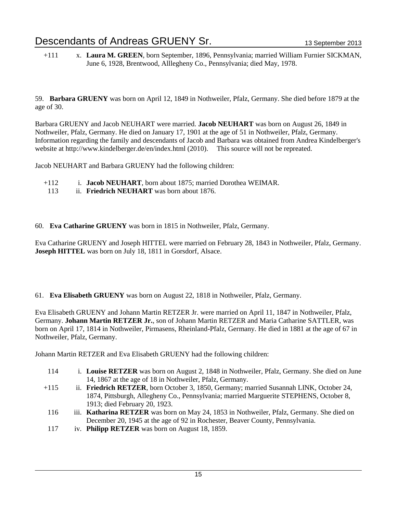+111 x. **Laura M. GREEN**, born September, 1896, Pennsylvania; married William Furnier SICKMAN, June 6, 1928, Brentwood, Alllegheny Co., Pennsylvania; died May, 1978.

59. **Barbara GRUENY** was born on April 12, 1849 in Nothweiler, Pfalz, Germany. She died before 1879 at the age of 30.

Barbara GRUENY and Jacob NEUHART were married. **Jacob NEUHART** was born on August 26, 1849 in Nothweiler, Pfalz, Germany. He died on January 17, 1901 at the age of 51 in Nothweiler, Pfalz, Germany. Information regarding the family and descendants of Jacob and Barbara was obtained from Andrea Kindelberger's website at http://www.kindelberger.de/en/index.html (2010). This source will not be repreated.

Jacob NEUHART and Barbara GRUENY had the following children:

- +112 i. **Jacob NEUHART**, born about 1875; married Dorothea WEIMAR.
	- 113 ii. **Friedrich NEUHART** was born about 1876.
- 60. **Eva Catharine GRUENY** was born in 1815 in Nothweiler, Pfalz, Germany.

Eva Catharine GRUENY and Joseph HITTEL were married on February 28, 1843 in Nothweiler, Pfalz, Germany. **Joseph HITTEL** was born on July 18, 1811 in Gorsdorf, Alsace.

61. **Eva Elisabeth GRUENY** was born on August 22, 1818 in Nothweiler, Pfalz, Germany.

Eva Elisabeth GRUENY and Johann Martin RETZER Jr. were married on April 11, 1847 in Nothweiler, Pfalz, Germany. **Johann Martin RETZER Jr.**, son of Johann Martin RETZER and Maria Catharine SATTLER, was born on April 17, 1814 in Nothweiler, Pirmasens, Rheinland-Pfalz, Germany. He died in 1881 at the age of 67 in Nothweiler, Pfalz, Germany.

Johann Martin RETZER and Eva Elisabeth GRUENY had the following children:

- 114 i. **Louise RETZER** was born on August 2, 1848 in Nothweiler, Pfalz, Germany. She died on June 14, 1867 at the age of 18 in Nothweiler, Pfalz, Germany.
- +115 ii. **Friedrich RETZER**, born October 3, 1850, Germany; married Susannah LINK, October 24, 1874, Pittsburgh, Allegheny Co., Pennsylvania; married Marguerite STEPHENS, October 8, 1913; died February 20, 1923.
- 116 iii. **Katharina RETZER** was born on May 24, 1853 in Nothweiler, Pfalz, Germany. She died on December 20, 1945 at the age of 92 in Rochester, Beaver County, Pennsylvania.
- 117 iv. **Philipp RETZER** was born on August 18, 1859.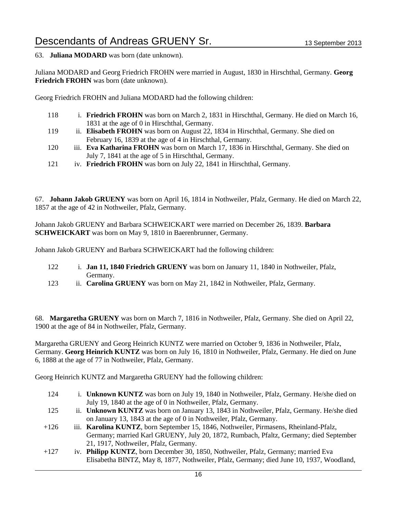63. **Juliana MODARD** was born (date unknown).

Juliana MODARD and Georg Friedrich FROHN were married in August, 1830 in Hirschthal, Germany. **Georg Friedrich FROHN** was born (date unknown).

Georg Friedrich FROHN and Juliana MODARD had the following children:

- 118 i. **Friedrich FROHN** was born on March 2, 1831 in Hirschthal, Germany. He died on March 16, 1831 at the age of 0 in Hirschthal, Germany.
- 119 ii. **Elisabeth FROHN** was born on August 22, 1834 in Hirschthal, Germany. She died on February 16, 1839 at the age of 4 in Hirschthal, Germany.
- 120 iii. **Eva Katharina FROHN** was born on March 17, 1836 in Hirschthal, Germany. She died on July 7, 1841 at the age of 5 in Hirschthal, Germany.
- 121 iv. **Friedrich FROHN** was born on July 22, 1841 in Hirschthal, Germany.

67. **Johann Jakob GRUENY** was born on April 16, 1814 in Nothweiler, Pfalz, Germany. He died on March 22, 1857 at the age of 42 in Nothweiler, Pfalz, Germany.

Johann Jakob GRUENY and Barbara SCHWEICKART were married on December 26, 1839. **Barbara SCHWEICKART** was born on May 9, 1810 in Baerenbrunner, Germany.

Johann Jakob GRUENY and Barbara SCHWEICKART had the following children:

- 122 i. **Jan 11, 1840 Friedrich GRUENY** was born on January 11, 1840 in Nothweiler, Pfalz, Germany.
- 123 ii. **Carolina GRUENY** was born on May 21, 1842 in Nothweiler, Pfalz, Germany.

68. **Margaretha GRUENY** was born on March 7, 1816 in Nothweiler, Pfalz, Germany. She died on April 22, 1900 at the age of 84 in Nothweiler, Pfalz, Germany.

Margaretha GRUENY and Georg Heinrich KUNTZ were married on October 9, 1836 in Nothweiler, Pfalz, Germany. **Georg Heinrich KUNTZ** was born on July 16, 1810 in Nothweiler, Pfalz, Germany. He died on June 6, 1888 at the age of 77 in Nothweiler, Pfalz, Germany.

Georg Heinrich KUNTZ and Margaretha GRUENY had the following children:

- 124 i. **Unknown KUNTZ** was born on July 19, 1840 in Nothweiler, Pfalz, Germany. He/she died on July 19, 1840 at the age of 0 in Nothweiler, Pfalz, Germany.
- 125 ii. **Unknown KUNTZ** was born on January 13, 1843 in Nothweiler, Pfalz, Germany. He/she died on January 13, 1843 at the age of 0 in Nothweiler, Pfalz, Germany.
- +126 iii. **Karolina KUNTZ**, born September 15, 1846, Nothweiler, Pirmasens, Rheinland-Pfalz, Germany; married Karl GRUENY, July 20, 1872, Rumbach, Pfaltz, Germany; died September 21, 1917, Nothweiler, Pfalz, Germany.
- +127 iv. **Philipp KUNTZ**, born December 30, 1850, Nothweiler, Pfalz, Germany; married Eva Elisabetha BINTZ, May 8, 1877, Nothweiler, Pfalz, Germany; died June 10, 1937, Woodland,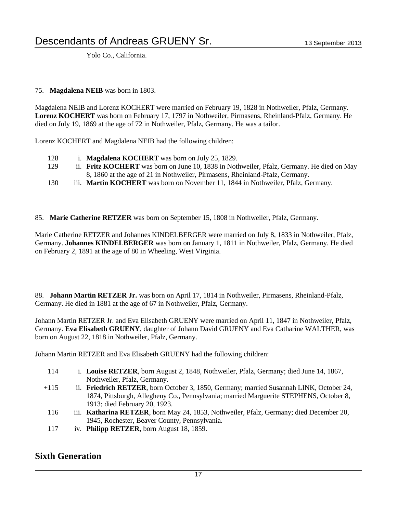Yolo Co., California.

75. **Magdalena NEIB** was born in 1803.

Magdalena NEIB and Lorenz KOCHERT were married on February 19, 1828 in Nothweiler, Pfalz, Germany. **Lorenz KOCHERT** was born on February 17, 1797 in Nothweiler, Pirmasens, Rheinland-Pfalz, Germany. He died on July 19, 1869 at the age of 72 in Nothweiler, Pfalz, Germany. He was a tailor.

Lorenz KOCHERT and Magdalena NEIB had the following children:

- 128 i. **Magdalena KOCHERT** was born on July 25, 1829.
- 129 ii. **Fritz KOCHERT** was born on June 10, 1838 in Nothweiler, Pfalz, Germany. He died on May 8, 1860 at the age of 21 in Nothweiler, Pirmasens, Rheinland-Pfalz, Germany.
- 130 iii. **Martin KOCHERT** was born on November 11, 1844 in Nothweiler, Pfalz, Germany.
- 85. **Marie Catherine RETZER** was born on September 15, 1808 in Nothweiler, Pfalz, Germany.

Marie Catherine RETZER and Johannes KINDELBERGER were married on July 8, 1833 in Nothweiler, Pfalz, Germany. **Johannes KINDELBERGER** was born on January 1, 1811 in Nothweiler, Pfalz, Germany. He died on February 2, 1891 at the age of 80 in Wheeling, West Virginia.

88. **Johann Martin RETZER Jr.** was born on April 17, 1814 in Nothweiler, Pirmasens, Rheinland-Pfalz, Germany. He died in 1881 at the age of 67 in Nothweiler, Pfalz, Germany.

Johann Martin RETZER Jr. and Eva Elisabeth GRUENY were married on April 11, 1847 in Nothweiler, Pfalz, Germany. **Eva Elisabeth GRUENY**, daughter of Johann David GRUENY and Eva Catharine WALTHER, was born on August 22, 1818 in Nothweiler, Pfalz, Germany.

Johann Martin RETZER and Eva Elisabeth GRUENY had the following children:

- 114 i. **Louise RETZER**, born August 2, 1848, Nothweiler, Pfalz, Germany; died June 14, 1867, Nothweiler, Pfalz, Germany.
- +115 ii. **Friedrich RETZER**, born October 3, 1850, Germany; married Susannah LINK, October 24, 1874, Pittsburgh, Allegheny Co., Pennsylvania; married Marguerite STEPHENS, October 8, 1913; died February 20, 1923.
- 116 iii. **Katharina RETZER**, born May 24, 1853, Nothweiler, Pfalz, Germany; died December 20, 1945, Rochester, Beaver County, Pennsylvania.
- 117 iv. **Philipp RETZER**, born August 18, 1859.

#### **Sixth Generation**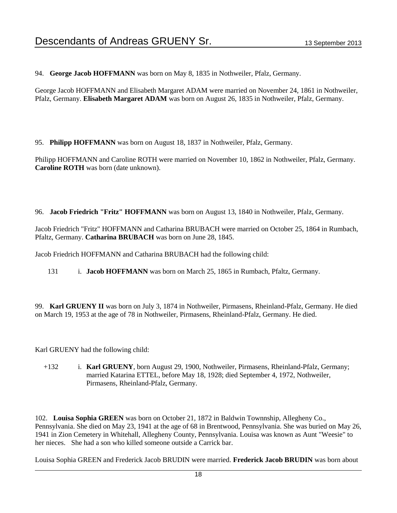94. **George Jacob HOFFMANN** was born on May 8, 1835 in Nothweiler, Pfalz, Germany.

George Jacob HOFFMANN and Elisabeth Margaret ADAM were married on November 24, 1861 in Nothweiler, Pfalz, Germany. **Elisabeth Margaret ADAM** was born on August 26, 1835 in Nothweiler, Pfalz, Germany.

95. **Philipp HOFFMANN** was born on August 18, 1837 in Nothweiler, Pfalz, Germany.

Philipp HOFFMANN and Caroline ROTH were married on November 10, 1862 in Nothweiler, Pfalz, Germany. **Caroline ROTH** was born (date unknown).

96. **Jacob Friedrich "Fritz" HOFFMANN** was born on August 13, 1840 in Nothweiler, Pfalz, Germany.

Jacob Friedrich "Fritz" HOFFMANN and Catharina BRUBACH were married on October 25, 1864 in Rumbach, Pfaltz, Germany. **Catharina BRUBACH** was born on June 28, 1845.

Jacob Friedrich HOFFMANN and Catharina BRUBACH had the following child:

131 i. **Jacob HOFFMANN** was born on March 25, 1865 in Rumbach, Pfaltz, Germany.

99. **Karl GRUENY II** was born on July 3, 1874 in Nothweiler, Pirmasens, Rheinland-Pfalz, Germany. He died on March 19, 1953 at the age of 78 in Nothweiler, Pirmasens, Rheinland-Pfalz, Germany. He died.

Karl GRUENY had the following child:

+132 i. **Karl GRUENY**, born August 29, 1900, Nothweiler, Pirmasens, Rheinland-Pfalz, Germany; married Katarina ETTEL, before May 18, 1928; died September 4, 1972, Nothweiler, Pirmasens, Rheinland-Pfalz, Germany.

102. **Louisa Sophia GREEN** was born on October 21, 1872 in Baldwin Townnship, Allegheny Co., Pennsylvania. She died on May 23, 1941 at the age of 68 in Brentwood, Pennsylvania. She was buried on May 26, 1941 in Zion Cemetery in Whitehall, Allegheny County, Pennsylvania. Louisa was known as Aunt "Weesie" to her nieces. She had a son who killed someone outside a Carrick bar.

Louisa Sophia GREEN and Frederick Jacob BRUDIN were married. **Frederick Jacob BRUDIN** was born about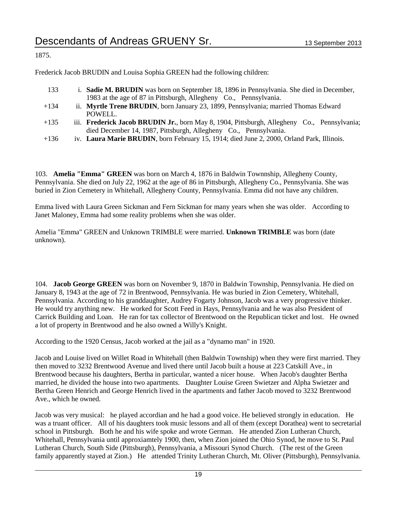#### 1875.

Frederick Jacob BRUDIN and Louisa Sophia GREEN had the following children:

- 133 i. **Sadie M. BRUDIN** was born on September 18, 1896 in Pennsylvania. She died in December, 1983 at the age of 87 in Pittsburgh, Allegheny Co., Pennsylvania. +134 ii. **Myrtle Trene BRUDIN**, born January 23, 1899, Pennsylvania; married Thomas Edward POWELL. +135 iii. **Frederick Jacob BRUDIN Jr.**, born May 8, 1904, Pittsburgh, Allegheny Co., Pennsylvania; died December 14, 1987, Pittsburgh, Allegheny Co., Pennsylvania.
- +136 iv. **Laura Marie BRUDIN**, born February 15, 1914; died June 2, 2000, Orland Park, Illinois.

103. **Amelia "Emma" GREEN** was born on March 4, 1876 in Baldwin Townnship, Allegheny County, Pennsylvania. She died on July 22, 1962 at the age of 86 in Pittsburgh, Allegheny Co., Pennsylvania. She was buried in Zion Cemetery in Whitehall, Allegheny County, Pennsylvania. Emma did not have any children.

Emma lived with Laura Green Sickman and Fern Sickman for many years when she was older. According to Janet Maloney, Emma had some reality problems when she was older.

Amelia "Emma" GREEN and Unknown TRIMBLE were married. **Unknown TRIMBLE** was born (date unknown).

104. **Jacob George GREEN** was born on November 9, 1870 in Baldwin Township, Pennsylvania. He died on January 8, 1943 at the age of 72 in Brentwood, Pennsylvania. He was buried in Zion Cemetery, Whitehall, Pennsylvania. According to his granddaughter, Audrey Fogarty Johnson, Jacob was a very progressive thinker. He would try anything new. He worked for Scott Feed in Hays, Pennsylvania and he was also President of Carrick Building and Loan. He ran for tax collector of Brentwood on the Republican ticket and lost. He owned a lot of property in Brentwood and he also owned a Willy's Knight.

According to the 1920 Census, Jacob worked at the jail as a "dynamo man" in 1920.

Jacob and Louise lived on Willet Road in Whitehall (then Baldwin Township) when they were first married. They then moved to 3232 Brentwood Avenue and lived there until Jacob built a house at 223 Catskill Ave., in Brentwood because his daughters, Bertha in particular, wanted a nicer house. When Jacob's daughter Bertha married, he divided the house into two apartments. Daughter Louise Green Swietzer and Alpha Swietzer and Bertha Green Henrich and George Henrich lived in the apartments and father Jacob moved to 3232 Brentwood Ave., which he owned.

Jacob was very musical: he played accordian and he had a good voice. He believed strongly in education. He was a truant officer. All of his daughters took music lessons and all of them (except Dorathea) went to secretarial school in Pittsburgh. Both he and his wife spoke and wrote German. He attended Zion Lutheran Church, Whitehall, Pennsylvania until approxiamtely 1900, then, when Zion joined the Ohio Synod, he move to St. Paul Lutheran Church, South Side (Pittsburgh), Pennsylvania, a Missouri Synod Church. (The rest of the Green family apparently stayed at Zion.) He attended Trinity Lutheran Church, Mt. Oliver (Pittsburgh), Pennsylvania.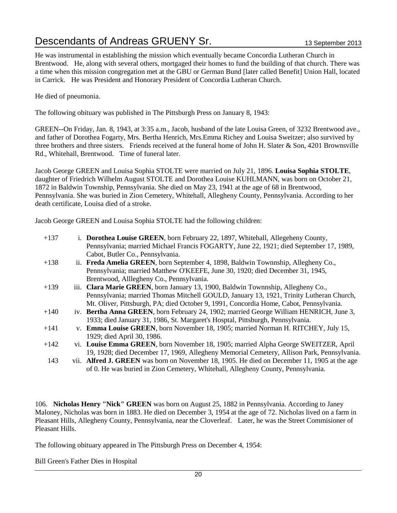He was instrumental in establishing the mission which eventually became Concordia Lutheran Church in Brentwood. He, along with several others, mortgaged their homes to fund the building of that church. There was a time when this mission congregation met at the GBU or German Bund [later called Benefit] Union Hall, located in Carrick. He was President and Honorary President of Concordia Lutheran Church.

He died of pneumonia.

The following obituary was published in The Pittsburgh Press on January 8, 1943:

GREEN--On Friday, Jan. 8, 1943, at 3:35 a.m., Jacob, husband of the late Louisa Green, of 3232 Brentwood ave., and father of Dorothea Fogarty, Mrs. Bertha Henrich, Mrs.Emma Richey and Louisa Sweitzer; also survived by three brothers and three sisters. Friends received at the funeral home of John H. Slater & Son, 4201 Brownsville Rd., Whitehall, Brentwood. Time of funeral later.

Jacob George GREEN and Louisa Sophia STOLTE were married on July 21, 1896. **Louisa Sophia STOLTE**, daughter of Friedrich Wilhelm August STOLTE and Dorothea Louise KUHLMANN, was born on October 21, 1872 in Baldwin Township, Pennsylvania. She died on May 23, 1941 at the age of 68 in Brentwood, Pennsylvania. She was buried in Zion Cemetery, Whitehall, Allegheny County, Pennsylvania. According to her death certificate, Louisa died of a stroke.

Jacob George GREEN and Louisa Sophia STOLTE had the following children:

| $+137$ | i. Dorothea Louise GREEN, born February 22, 1897, Whitehall, Allegeheny County,             |
|--------|---------------------------------------------------------------------------------------------|
|        | Pennsylvania; married Michael Francis FOGARTY, June 22, 1921; died September 17, 1989,      |
|        | Cabot, Butler Co., Pennsylvania.                                                            |
| $+138$ | ii. Freda Amelia GREEN, born September 4, 1898, Baldwin Townnship, Allegheny Co.,           |
|        | Pennsylvania; married Matthew O'KEEFE, June 30, 1920; died December 31, 1945,               |
|        | Brentwood, Alllegheny Co., Pennsylvania.                                                    |
| $+139$ | iii. Clara Marie GREEN, born January 13, 1900, Baldwin Township, Allegheny Co.,             |
|        | Pennsylvania; married Thomas Mitchell GOULD, January 13, 1921, Trinity Lutheran Church,     |
|        | Mt. Oliver, Pittsburgh, PA; died October 9, 1991, Concordia Home, Cabot, Pennsylvania.      |
| $+140$ | iv. Bertha Anna GREEN, born February 24, 1902; married George William HENRICH, June 3,      |
|        | 1933; died January 31, 1986, St. Margaret's Hosptal, Pittsburgh, Pennsylvania.              |
| $+141$ | v. Emma Louise GREEN, born November 18, 1905; married Norman H. RITCHEY, July 15,           |
|        | 1929; died April 30, 1986.                                                                  |
| $+142$ | vi. Louise Emma GREEN, born November 18, 1905; married Alpha George SWEITZER, April         |
|        | 19, 1928; died December 17, 1969, Allegheny Memorial Cemetery, Allison Park, Pennsylvania.  |
| 143    | vii. Alfred J. GREEN was born on November 18, 1905. He died on December 11, 1905 at the age |
|        | of 0. He was buried in Zion Cemetery, Whitehall, Allegheny County, Pennsylvania.            |
|        |                                                                                             |

106. **Nicholas Henry "Nick" GREEN** was born on August 25, 1882 in Pennsylvania. According to Janey Maloney, Nicholas was born in 1883. He died on December 3, 1954 at the age of 72. Nicholas lived on a farm in Pleasant Hills, Allegheny County, Pennsylvania, near the Cloverleaf. Later, he was the Street Commisioner of Pleasant Hills.

The following obituary appeared in The Pittsburgh Press on December 4, 1954:

Bill Green's Father Dies in Hospital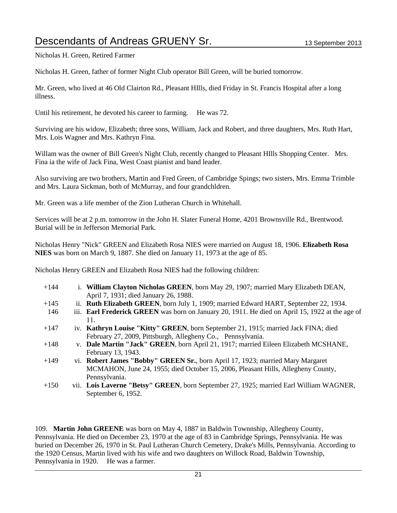Nicholas H. Green, Retired Farmer

Nicholas H. Green, father of former Night Club operator Bill Green, will be buried tomorrow.

Mr. Green, who lived at 46 Old Clairton Rd., Pleasant HIlls, died Friday in St. Francis Hospital after a long illness.

Until his retirement, he devoted his career to farming. He was 72.

Surviving are his widow, Elizabeth; three sons, William, Jack and Robert, and three daughters, Mrs. Ruth Hart, Mrs. Lois Wagner and Mrs. Kathryn Fina.

Willam was the owner of Bill Green's Night Club, recently changed to Pleasant HIIIs Shopping Center. Mrs. Fina ia the wife of Jack Fina, West Coast pianist and band leader.

Also surviving are two brothers, Martin and Fred Green, of Cambridge Spings; two sisters, Mrs. Emma Trimble and Mrs. Laura Sickman, both of McMurray, and four grandchldren.

Mr. Green was a life member of the Zion Lutheran Church in Whitehall.

Services will be at 2 p.m. tomorrow in the John H. Slater Funeral Home, 4201 Brownsville Rd., Brentwood. Burial will be in Jefferson Memorial Park.

Nicholas Henry "Nick" GREEN and Elizabeth Rosa NIES were married on August 18, 1906. **Elizabeth Rosa NIES** was born on March 9, 1887. She died on January 11, 1973 at the age of 85.

Nicholas Henry GREEN and Elizabeth Rosa NIES had the following children:

+144 i. **William Clayton Nicholas GREEN**, born May 29, 1907; married Mary Elizabeth DEAN, April 7, 1931; died January 26, 1988. +145 ii. **Ruth Elizabeth GREEN**, born July 1, 1909; married Edward HART, September 22, 1934. 146 iii. **Earl Frederick GREEN** was born on January 20, 1911. He died on April 15, 1922 at the age of 11. +147 iv. **Kathryn Louise "Kitty" GREEN**, born September 21, 1915; married Jack FINA; died February 27, 2009, Pittsburgh, Allegheny Co., Pennsylvania. +148 v. **Dale Martin "Jack" GREEN**, born April 21, 1917; married Eileen Elizabeth MCSHANE, February 13, 1943. +149 vi. **Robert James "Bobby" GREEN Sr.**, born April 17, 1923; married Mary Margaret MCMAHON, June 24, 1955; died October 15, 2006, Pleasant Hills, Allegheny County, Pennsylvania. +150 vii. **Lois Laverne "Betsy" GREEN**, born September 27, 1925; married Earl William WAGNER, September 6, 1952.

109. **Martin John GREENE** was born on May 4, 1887 in Baldwin Townnship, Allegheny County, Pennsylvania. He died on December 23, 1970 at the age of 83 in Cambridge Springs, Pennsylvania. He was buried on December 26, 1970 in St. Paul Lutheran Church Cemetery, Drake's Mills, Pennsylvania. According to the 1920 Census, Martin lived with his wife and two daughters on Willock Road, Baldwin Township, Pennsylvania in 1920. He was a farmer.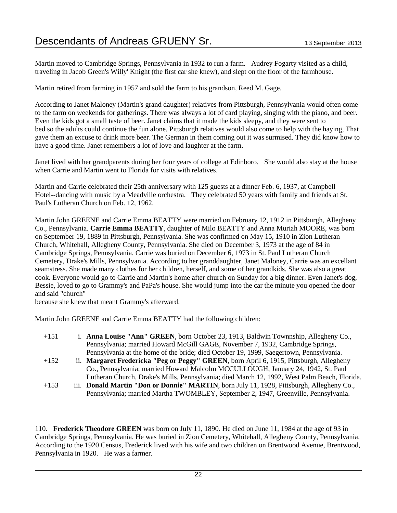Martin moved to Cambridge Springs, Pennsylvania in 1932 to run a farm. Audrey Fogarty visited as a child, traveling in Jacob Green's Willy' Knight (the first car she knew), and slept on the floor of the farmhouse.

Martin retired from farming in 1957 and sold the farm to his grandson, Reed M. Gage.

According to Janet Maloney (Martin's grand daughter) relatives from Pittsburgh, Pennsylvania would often come to the farm on weekends for gatherings. There was always a lot of card playing, singing with the piano, and beer. Even the kids got a small taste of beer. Janet claims that it made the kids sleepy, and they were sent to bed so the adults could continue the fun alone. Pittsburgh relatives would also come to help with the haying, That gave them an excuse to drink more beer. The German in them coming out it was surmised. They did know how to have a good time. Janet remembers a lot of love and laughter at the farm.

Janet lived with her grandparents during her four years of college at Edinboro. She would also stay at the house when Carrie and Martin went to Florida for visits with relatives.

Martin and Carrie celebrated their 25th anniversary with 125 guests at a dinner Feb. 6, 1937, at Campbell Hotel--dancing with music by a Meadville orchestra. They celebrated 50 years with family and friends at St. Paul's Lutheran Church on Feb. 12, 1962.

Martin John GREENE and Carrie Emma BEATTY were married on February 12, 1912 in Pittsburgh, Allegheny Co., Pennsylvania. **Carrie Emma BEATTY**, daughter of Milo BEATTY and Anna Muriah MOORE, was born on September 19, 1889 in Pittsburgh, Pennsylvania. She was confirmed on May 15, 1910 in Zion Lutheran Church, Whitehall, Allegheny County, Pennsylvania. She died on December 3, 1973 at the age of 84 in Cambridge Springs, Pennsylvania. Carrie was buried on December 6, 1973 in St. Paul Lutheran Church Cemetery, Drake's Mills, Pennsylvania. According to her granddaughter, Janet Maloney, Carrie was an excellant seamstress. She made many clothes for her children, herself, and some of her grandkids. She was also a great cook. Everyone would go to Carrie and Martin's home after church on Sunday for a big dinner. Even Janet's dog, Bessie, loved to go to Grammy's and PaPa's house. She would jump into the car the minute you opened the door and said "church"

because she knew that meant Grammy's afterward.

Martin John GREENE and Carrie Emma BEATTY had the following children:

| $+151$ | i. Anna Louise "Ann" GREEN, born October 23, 1913, Baldwin Townnship, Allegheny Co.,         |
|--------|----------------------------------------------------------------------------------------------|
|        | Pennsylvania; married Howard McGill GAGE, November 7, 1932, Cambridge Springs,               |
|        | Pennsylvania at the home of the bride; died October 19, 1999, Saegertown, Pennsylvania.      |
| $+152$ | ii. Margaret Fredericka "Peg or Peggy" GREEN, born April 6, 1915, Pittsburgh, Allegheny      |
|        | Co., Pennsylvania; married Howard Malcolm MCCULLOUGH, January 24, 1942, St. Paul             |
|        | Lutheran Church, Drake's Mills, Pennsylvania; died March 12, 1992, West Palm Beach, Florida. |

+153 iii. **Donald Martin "Don or Donnie" MARTIN**, born July 11, 1928, Pittsburgh, Allegheny Co., Pennsylvania; married Martha TWOMBLEY, September 2, 1947, Greenville, Pennsylvania.

110. **Frederick Theodore GREEN** was born on July 11, 1890. He died on June 11, 1984 at the age of 93 in Cambridge Springs, Pennsylvania. He was buried in Zion Cemetery, Whitehall, Allegheny County, Pennsylvania. According to the 1920 Census, Frederick lived with his wife and two children on Brentwood Avenue, Brentwood, Pennsylvania in 1920. He was a farmer.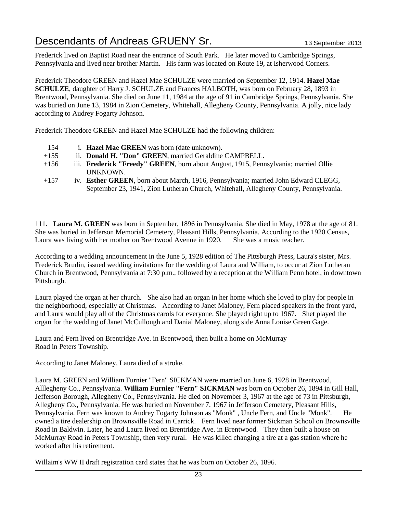Frederick lived on Baptist Road near the entrance of South Park. He later moved to Cambridge Springs, Pennsylvania and lived near brother Martin. His farm was located on Route 19, at Isherwood Corners.

Frederick Theodore GREEN and Hazel Mae SCHULZE were married on September 12, 1914. **Hazel Mae SCHULZE**, daughter of Harry J. SCHULZE and Frances HALBOTH, was born on February 28, 1893 in Brentwood, Pennsylvania. She died on June 11, 1984 at the age of 91 in Cambridge Springs, Pennsylvania. She was buried on June 13, 1984 in Zion Cemetery, Whitehall, Allegheny County, Pennsylvania. A jolly, nice lady according to Audrey Fogarty Johnson.

Frederick Theodore GREEN and Hazel Mae SCHULZE had the following children:

- 154 i. **Hazel Mae GREEN** was born (date unknown).
- +155 ii. **Donald H. "Don" GREEN**, married Geraldine CAMPBELL.
- +156 iii. **Frederick "Freedy" GREEN**, born about August, 1915, Pennsylvania; married Ollie UNKNOWN.
- +157 iv. **Esther GREEN**, born about March, 1916, Pennsylvania; married John Edward CLEGG, September 23, 1941, Zion Lutheran Church, Whitehall, Allegheny County, Pennsylvania.

111. **Laura M. GREEN** was born in September, 1896 in Pennsylvania. She died in May, 1978 at the age of 81. She was buried in Jefferson Memorial Cemetery, Pleasant Hills, Pennsylvania. According to the 1920 Census, Laura was living with her mother on Brentwood Avenue in 1920. She was a music teacher.

According to a wedding announcement in the June 5, 1928 edition of The Pittsburgh Press, Laura's sister, Mrs. Frederick Brudin, issued wedding invitations for the wedding of Laura and William, to occur at Zion Lutheran Church in Brentwood, Pennsylvania at 7:30 p.m., followed by a reception at the William Penn hotel, in downtown Pittsburgh.

Laura played the organ at her church. She also had an organ in her home which she loved to play for people in the neighborhood, especially at Christmas. According to Janet Maloney, Fern placed speakers in the front yard, and Laura would play all of the Christmas carols for everyone. She played right up to 1967. Shet played the organ for the wedding of Janet McCullough and Danial Maloney, along side Anna Louise Green Gage.

Laura and Fern lived on Brentridge Ave. in Brentwood, then built a home on McMurray Road in Peters Township.

According to Janet Maloney, Laura died of a stroke.

Laura M. GREEN and William Furnier "Fern" SICKMAN were married on June 6, 1928 in Brentwood, Alllegheny Co., Pennsylvania. **William Furnier "Fern" SICKMAN** was born on October 26, 1894 in Gill Hall, Jefferson Borough, Allegheny Co., Pennsylvania. He died on November 3, 1967 at the age of 73 in Pittsburgh, Allegheny Co., Pennsylvania. He was buried on November 7, 1967 in Jefferson Cemetery, Pleasant Hills, Pennsylvania. Fern was known to Audrey Fogarty Johnson as "Monk" , Uncle Fern, and Uncle "Monk". He owned a tire dealership on Brownsville Road in Carrick. Fern lived near former Sickman School on Brownsville Road in Baldwin. Later, he and Laura lived on Brentridge Ave. in Brentwood. They then built a house on McMurray Road in Peters Township, then very rural. He was killed changing a tire at a gas station where he worked after his retirement.

Willaim's WW II draft registration card states that he was born on October 26, 1896.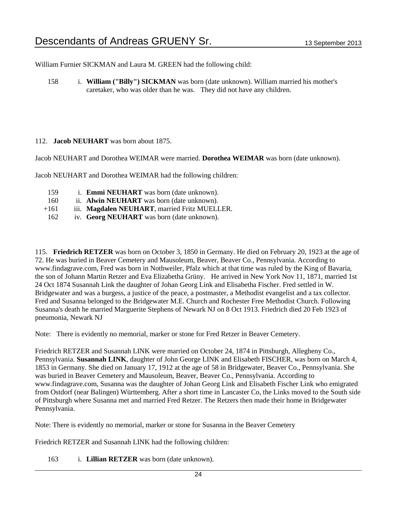William Furnier SICKMAN and Laura M. GREEN had the following child:

158 i. **William ("Billy") SICKMAN** was born (date unknown). William married his mother's caretaker, who was older than he was. They did not have any children.

#### 112. **Jacob NEUHART** was born about 1875.

Jacob NEUHART and Dorothea WEIMAR were married. **Dorothea WEIMAR** was born (date unknown).

Jacob NEUHART and Dorothea WEIMAR had the following children:

- 159 i. **Emmi NEUHART** was born (date unknown).
- 160 ii. **Alwin NEUHART** was born (date unknown).
- +161 iii. **Magdalen NEUHART**, married Fritz MUELLER.
- 162 iv. **Georg NEUHART** was born (date unknown).

115. **Friedrich RETZER** was born on October 3, 1850 in Germany. He died on February 20, 1923 at the age of 72. He was buried in Beaver Cemetery and Mausoleum, Beaver, Beaver Co., Pennsylvania. According to www.findagrave.com, Fred was born in Nothweiler, Pfalz which at that time was ruled by the King of Bavaria, the son of Johann Martin Retzer and Eva Elizabetha Grüny. He arrived in New York Nov 11, 1871, married 1st 24 Oct 1874 Susannah Link the daughter of Johan Georg Link and Elisabetha Fischer. Fred settled in W. Bridgewater and was a burgess, a justice of the peace, a postmaster, a Methodist evangelist and a tax collector. Fred and Susanna belonged to the Bridgewater M.E. Church and Rochester Free Methodist Church. Following Susanna's death he married Marguerite Stephens of Newark NJ on 8 Oct 1913. Friedrich died 20 Feb 1923 of pneumonia, Newark NJ

Note: There is evidently no memorial, marker or stone for Fred Retzer in Beaver Cemetery.

Friedrich RETZER and Susannah LINK were married on October 24, 1874 in Pittsburgh, Allegheny Co., Pennsylvania. **Susannah LINK**, daughter of John George LINK and Elisabeth FISCHER, was born on March 4, 1853 in Germany. She died on January 17, 1912 at the age of 58 in Bridgewater, Beaver Co., Pennsylvania. She was buried in Beaver Cemetery and Mausoleum, Beaver, Beaver Co., Pennsylvania. According to www.findagrave.com, Susanna was the daughter of Johan Georg Link and Elisabeth Fischer Link who emigrated from Ostdorf (near Balingen) Württemberg. After a short time in Lancaster Co, the Links moved to the South side of Pittsburgh where Susanna met and married Fred Retzer. The Retzers then made their home in Bridgewater Pennsylvania.

Note: There is evidently no memorial, marker or stone for Susanna in the Beaver Cemetery

Friedrich RETZER and Susannah LINK had the following children:

163 i. **Lillian RETZER** was born (date unknown).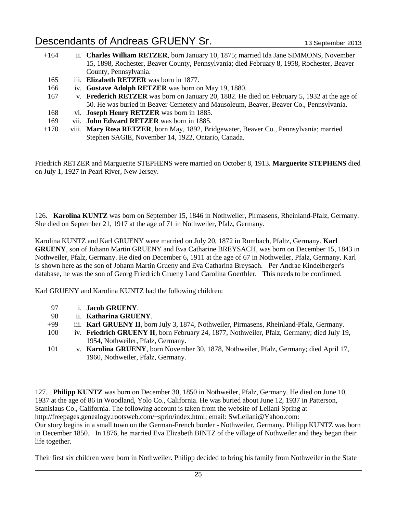| $+164$ | ii. Charles William RETZER, born January 10, 1875; married Ida Jane SIMMONS, November       |
|--------|---------------------------------------------------------------------------------------------|
|        | 15, 1898, Rochester, Beaver County, Pennsylvania; died February 8, 1958, Rochester, Beaver  |
|        | County, Pennsylvania.                                                                       |
| 165    | iii. Elizabeth RETZER was born in 1877.                                                     |
| 166    | iv. Gustave Adolph RETZER was born on May 19, 1880.                                         |
| 167    | v. Frederich RETZER was born on January 20, 1882. He died on February 5, 1932 at the age of |
|        | 50. He was buried in Beaver Cemetery and Mausoleum, Beaver, Beaver Co., Pennsylvania.       |
| 168    | vi. Joseph Henry RETZER was born in 1885.                                                   |
| 169    | vii. <b>John Edward RETZER</b> was born in 1885.                                            |
| $+170$ | viii. Mary Rosa RETZER, born May, 1892, Bridgewater, Beaver Co., Pennsylvania; married      |

Friedrich RETZER and Marguerite STEPHENS were married on October 8, 1913. **Marguerite STEPHENS** died on July 1, 1927 in Pearl River, New Jersey.

Stephen SAGIE, November 14, 1922, Ontario, Canada.

126. **Karolina KUNTZ** was born on September 15, 1846 in Nothweiler, Pirmasens, Rheinland-Pfalz, Germany. She died on September 21, 1917 at the age of 71 in Nothweiler, Pfalz, Germany.

Karolina KUNTZ and Karl GRUENY were married on July 20, 1872 in Rumbach, Pfaltz, Germany. **Karl GRUENY**, son of Johann Martin GRUENY and Eva Catharine BREYSACH, was born on December 15, 1843 in Nothweiler, Pfalz, Germany. He died on December 6, 1911 at the age of 67 in Nothweiler, Pfalz, Germany. Karl is shown here as the son of Johann Martin Grueny and Eva Catharina Breysach. Per Andrae Kindelberger's database, he was the son of Georg Friedrich Grueny I and Carolina Goerthler. This needs to be confirmed.

Karl GRUENY and Karolina KUNTZ had the following children:

- 97 i. **Jacob GRUENY**.
- 98 ii. **Katharina GRUENY**.
- +99 iii. **Karl GRUENY II**, born July 3, 1874, Nothweiler, Pirmasens, Rheinland-Pfalz, Germany.
- 100 iv. **Friedrich GRUENY II**, born February 24, 1877, Nothweiler, Pfalz, Germany; died July 19, 1954, Nothweiler, Pfalz, Germany.
- 101 v. **Karolina GRUENY**, born November 30, 1878, Nothweiler, Pfalz, Germany; died April 17, 1960, Nothweiler, Pfalz, Germany.

127. **Philipp KUNTZ** was born on December 30, 1850 in Nothweiler, Pfalz, Germany. He died on June 10, 1937 at the age of 86 in Woodland, Yolo Co., California. He was buried about June 12, 1937 in Patterson, Stanislaus Co., California. The following account is taken from the website of Leilani Spring at http://freepages.genealogy.rootsweb.com/~sprin/index.html; email: SwLeilani@Yahoo.com: Our story begins in a small town on the German-French border - Nothweiler, Germany. Philipp KUNTZ was born in December 1850. In 1876, he married Eva Elizabeth BINTZ of the village of Nothweiler and they began their life together.

Their first six children were born in Nothweiler. Philipp decided to bring his family from Nothweiler in the State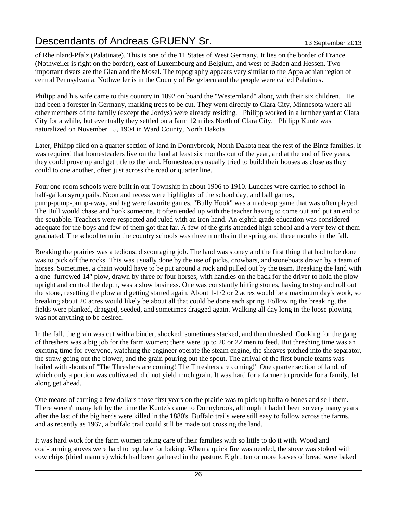of Rheinland-Pfalz (Palatinate). This is one of the 11 States of West Germany. It lies on the border of France (Nothweiler is right on the border), east of Luxembourg and Belgium, and west of Baden and Hessen. Two important rivers are the Glan and the Mosel. The topography appears very similar to the Appalachian region of central Pennsylvania. Nothweiler is in the County of Bergzbern and the people were called Palatines.

Philipp and his wife came to this country in 1892 on board the "Westernland" along with their six children. He had been a forester in Germany, marking trees to be cut. They went directly to Clara City, Minnesota where all other members of the family (except the Jordys) were already residing. Philipp worked in a lumber yard at Clara City for a while, but eventually they settled on a farm 12 miles North of Clara City. Philipp Kuntz was naturalized on November 5, 1904 in Ward County, North Dakota.

Later, Philipp filed on a quarter section of land in Donnybrook, North Dakota near the rest of the Bintz families. It was required that homesteaders live on the land at least six months out of the year, and at the end of five years, they could prove up and get title to the land. Homesteaders usually tried to build their houses as close as they could to one another, often just across the road or quarter line.

Four one-room schools were built in our Township in about 1906 to 1910. Lunches were carried to school in half-gallon syrup pails. Noon and recess were highlights of the school day, and ball games, pump-pump-pump-away, and tag were favorite games. "Bully Hook" was a made-up game that was often played. The Bull would chase and hook someone. It often ended up with the teacher having to come out and put an end to the squabble. Teachers were respected and ruled with an iron hand. An eighth grade education was considered adequate for the boys and few of them got that far. A few of the girls attended high school and a very few of them graduated. The school term in the country schools was three months in the spring and three months in the fall.

Breaking the prairies was a tedious, discouraging job. The land was stoney and the first thing that had to be done was to pick off the rocks. This was usually done by the use of picks, crowbars, and stoneboats drawn by a team of horses. Sometimes, a chain would have to be put around a rock and pulled out by the team. Breaking the land with a one- furrowed 14" plow, drawn by three or four horses, with handles on the back for the driver to hold the plow upright and control the depth, was a slow business. One was constantly hitting stones, having to stop and roll out the stone, resetting the plow and getting started again. About 1-1/2 or 2 acres would be a maximum day's work, so breaking about 20 acres would likely be about all that could be done each spring. Following the breaking, the fields were planked, dragged, seeded, and sometimes dragged again. Walking all day long in the loose plowing was not anything to be desired.

In the fall, the grain was cut with a binder, shocked, sometimes stacked, and then threshed. Cooking for the gang of threshers was a big job for the farm women; there were up to 20 or 22 men to feed. But threshing time was an exciting time for everyone, watching the engineer operate the steam engine, the sheaves pitched into the separator, the straw going out the blower, and the grain pouring out the spout. The arrival of the first bundle teams was hailed with shouts of "The Threshers are coming! The Threshers are coming!" One quarter section of land, of which only a portion was cultivated, did not yield much grain. It was hard for a farmer to provide for a family, let along get ahead.

One means of earning a few dollars those first years on the prairie was to pick up buffalo bones and sell them. There weren't many left by the time the Kuntz's came to Donnybrook, although it hadn't been so very many years after the last of the big herds were killed in the 1880's. Buffalo trails were still easy to follow across the farms, and as recently as 1967, a buffalo trail could still be made out crossing the land.

It was hard work for the farm women taking care of their families with so little to do it with. Wood and coal-burning stoves were hard to regulate for baking. When a quick fire was needed, the stove was stoked with cow chips (dried manure) which had been gathered in the pasture. Eight, ten or more loaves of bread were baked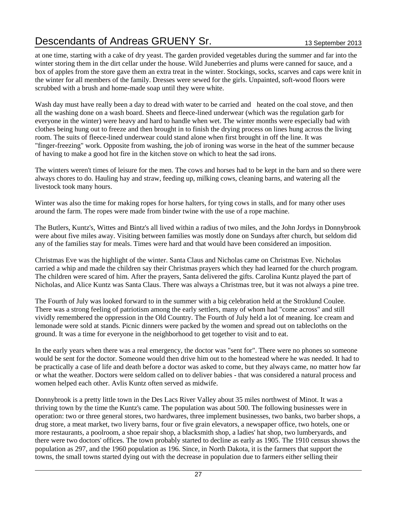at one time, starting with a cake of dry yeast. The garden provided vegetables during the summer and far into the winter storing them in the dirt cellar under the house. Wild Juneberries and plums were canned for sauce, and a box of apples from the store gave them an extra treat in the winter. Stockings, socks, scarves and caps were knit in the winter for all members of the family. Dresses were sewed for the girls. Unpainted, soft-wood floors were scrubbed with a brush and home-made soap until they were white.

Wash day must have really been a day to dread with water to be carried and heated on the coal stove, and then all the washing done on a wash board. Sheets and fleece-lined underwear (which was the regulation garb for everyone in the winter) were heavy and hard to handle when wet. The winter months were especially bad with clothes being hung out to freeze and then brought in to finish the drying process on lines hung across the living room. The suits of fleece-lined underwear could stand alone when first brought in off the line. It was "finger-freezing" work. Opposite from washing, the job of ironing was worse in the heat of the summer because of having to make a good hot fire in the kitchen stove on which to heat the sad irons.

The winters weren't times of leisure for the men. The cows and horses had to be kept in the barn and so there were always chores to do. Hauling hay and straw, feeding up, milking cows, cleaning barns, and watering all the livestock took many hours.

Winter was also the time for making ropes for horse halters, for tying cows in stalls, and for many other uses around the farm. The ropes were made from binder twine with the use of a rope machine.

The Butlers, Kuntz's, Wittes and Bintz's all lived within a radius of two miles, and the John Jordys in Donnybrook were about five miles away. Visiting between families was mostly done on Sundays after church, but seldom did any of the families stay for meals. Times were hard and that would have been considered an imposition.

Christmas Eve was the highlight of the winter. Santa Claus and Nicholas came on Christmas Eve. Nicholas carried a whip and made the children say their Christmas prayers which they had learned for the church program. The children were scared of him. After the prayers, Santa delivered the gifts. Carolina Kuntz played the part of Nicholas, and Alice Kuntz was Santa Claus. There was always a Christmas tree, but it was not always a pine tree.

The Fourth of July was looked forward to in the summer with a big celebration held at the Stroklund Coulee. There was a strong feeling of patriotism among the early settlers, many of whom had "come across" and still vividly remembered the oppression in the Old Country. The Fourth of July held a lot of meaning. Ice cream and lemonade were sold at stands. Picnic dinners were packed by the women and spread out on tablecloths on the ground. It was a time for everyone in the neighborhood to get together to visit and to eat.

In the early years when there was a real emergency, the doctor was "sent for". There were no phones so someone would be sent for the doctor. Someone would then drive him out to the homestead where he was needed. It had to be practically a case of life and death before a doctor was asked to come, but they always came, no matter how far or what the weather. Doctors were seldom called on to deliver babies - that was considered a natural process and women helped each other. Avlis Kuntz often served as midwife.

Donnybrook is a pretty little town in the Des Lacs River Valley about 35 miles northwest of Minot. It was a thriving town by the time the Kuntz's came. The population was about 500. The following businesses were in operation: two or three general stores, two hardwares, three implement businesses, two banks, two barber shops, a drug store, a meat market, two livery barns, four or five grain elevators, a newspaper office, two hotels, one or more restaurants, a poolroom, a shoe repair shop, a blacksmith shop, a ladies' hat shop, two lumberyards, and there were two doctors' offices. The town probably started to decline as early as 1905. The 1910 census shows the population as 297, and the 1960 population as 196. Since, in North Dakota, it is the farmers that support the towns, the small towns started dying out with the decrease in population due to farmers either selling their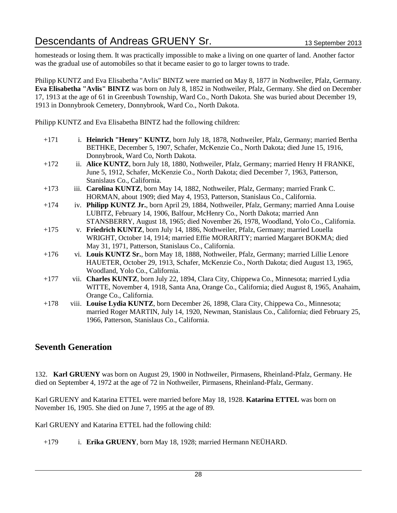homesteads or losing them. It was practically impossible to make a living on one quarter of land. Another factor was the gradual use of automobiles so that it became easier to go to larger towns to trade.

Philipp KUNTZ and Eva Elisabetha "Avlis" BINTZ were married on May 8, 1877 in Nothweiler, Pfalz, Germany. **Eva Elisabetha "Avlis" BINTZ** was born on July 8, 1852 in Nothweiler, Pfalz, Germany. She died on December 17, 1913 at the age of 61 in Greenbush Township, Ward Co., North Dakota. She was buried about December 19, 1913 in Donnybrook Cemetery, Donnybrook, Ward Co., North Dakota.

Philipp KUNTZ and Eva Elisabetha BINTZ had the following children:

- +171 i. **Heinrich "Henry" KUNTZ**, born July 18, 1878, Nothweiler, Pfalz, Germany; married Bertha BETHKE, December 5, 1907, Schafer, McKenzie Co., North Dakota; died June 15, 1916, Donnybrook, Ward Co, North Dakota.
- +172 ii. **Alice KUNTZ**, born July 18, 1880, Nothweiler, Pfalz, Germany; married Henry H FRANKE, June 5, 1912, Schafer, McKenzie Co., North Dakota; died December 7, 1963, Patterson, Stanislaus Co., California.
- +173 iii. **Carolina KUNTZ**, born May 14, 1882, Nothweiler, Pfalz, Germany; married Frank C. HORMAN, about 1909; died May 4, 1953, Patterson, Stanislaus Co., California.
- +174 iv. **Philipp KUNTZ Jr.**, born April 29, 1884, Nothweiler, Pfalz, Germany; married Anna Louise LUBITZ, February 14, 1906, Balfour, McHenry Co., North Dakota; married Ann STANSBERRY, August 18, 1965; died November 26, 1978, Woodland, Yolo Co., California.
- +175 v. **Friedrich KUNTZ**, born July 14, 1886, Nothweiler, Pfalz, Germany; married Louella WRIGHT, October 14, 1914; married Effie MORARITY; married Margaret BOKMA; died May 31, 1971, Patterson, Stanislaus Co., California.
- +176 vi. **Louis KUNTZ Sr.**, born May 18, 1888, Nothweiler, Pfalz, Germany; married Lillie Lenore HAUETER, October 29, 1913, Schafer, McKenzie Co., North Dakota; died August 13, 1965, Woodland, Yolo Co., California.
- +177 vii. **Charles KUNTZ**, born July 22, 1894, Clara City, Chippewa Co., Minnesota; married Lydia WITTE, November 4, 1918, Santa Ana, Orange Co., California; died August 8, 1965, Anahaim, Orange Co., California.
- +178 viii. **Louise Lydia KUNTZ**, born December 26, 1898, Clara City, Chippewa Co., Minnesota; married Roger MARTIN, July 14, 1920, Newman, Stanislaus Co., California; died February 25, 1966, Patterson, Stanislaus Co., California.

#### **Seventh Generation**

132. **Karl GRUENY** was born on August 29, 1900 in Nothweiler, Pirmasens, Rheinland-Pfalz, Germany. He died on September 4, 1972 at the age of 72 in Nothweiler, Pirmasens, Rheinland-Pfalz, Germany.

Karl GRUENY and Katarina ETTEL were married before May 18, 1928. **Katarina ETTEL** was born on November 16, 1905. She died on June 7, 1995 at the age of 89.

Karl GRUENY and Katarina ETTEL had the following child:

+179 i. **Erika GRUENY**, born May 18, 1928; married Hermann NEÜHARD.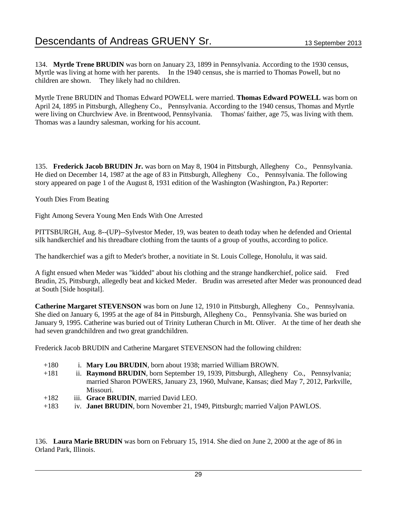134. **Myrtle Trene BRUDIN** was born on January 23, 1899 in Pennsylvania. According to the 1930 census, Myrtle was living at home with her parents. In the 1940 census, she is married to Thomas Powell, but no children are shown. They likely had no children.

Myrtle Trene BRUDIN and Thomas Edward POWELL were married. **Thomas Edward POWELL** was born on April 24, 1895 in Pittsburgh, Allegheny Co., Pennsylvania. According to the 1940 census, Thomas and Myrtle were living on Churchview Ave. in Brentwood, Pennsylvania. Thomas' faither, age 75, was living with them. Thomas was a laundry salesman, working for his account.

135. **Frederick Jacob BRUDIN Jr.** was born on May 8, 1904 in Pittsburgh, Allegheny Co., Pennsylvania. He died on December 14, 1987 at the age of 83 in Pittsburgh, Allegheny Co., Pennsylvania. The following story appeared on page 1 of the August 8, 1931 edition of the Washington (Washington, Pa.) Reporter:

Youth Dies From Beating

Fight Among Severa Young Men Ends With One Arrested

PITTSBURGH, Aug. 8--(UP)--Sylvestor Meder, 19, was beaten to death today when he defended and Oriental silk handkerchief and his threadbare clothing from the taunts of a group of youths, according to police.

The handkerchief was a gift to Meder's brother, a novitiate in St. Louis College, Honolulu, it was said.

A fight ensued when Meder was "kidded" about his clothing and the strange handkerchief, police said. Fred Brudin, 25, Pittsburgh, allegedly beat and kicked Meder. Brudin was arreseted after Meder was pronounced dead at South [Side hospital].

**Catherine Margaret STEVENSON** was born on June 12, 1910 in Pittsburgh, Allegheny Co., Pennsylvania. She died on January 6, 1995 at the age of 84 in Pittsburgh, Allegheny Co., Pennsylvania. She was buried on January 9, 1995. Catherine was buried out of Trinity Lutheran Church in Mt. Oliver. At the time of her death she had seven grandchildren and two great grandchildren.

Frederick Jacob BRUDIN and Catherine Margaret STEVENSON had the following children:

- +180 i. **Mary Lou BRUDIN**, born about 1938; married William BROWN.
- +181 ii. **Raymond BRUDIN**, born September 19, 1939, Pittsburgh, Allegheny Co., Pennsylvania; married Sharon POWERS, January 23, 1960, Mulvane, Kansas; died May 7, 2012, Parkville, Missouri.
- +182 iii. **Grace BRUDIN**, married David LEO.
- +183 iv. **Janet BRUDIN**, born November 21, 1949, Pittsburgh; married Valjon PAWLOS.

136. **Laura Marie BRUDIN** was born on February 15, 1914. She died on June 2, 2000 at the age of 86 in Orland Park, Illinois.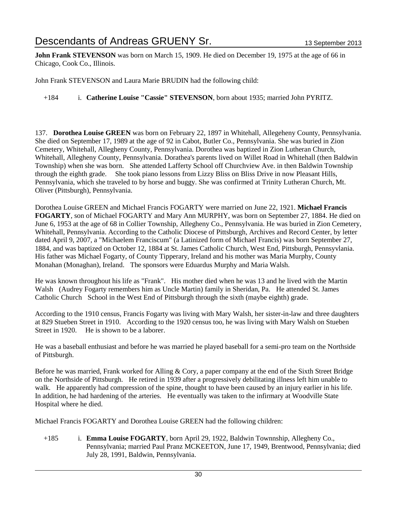**John Frank STEVENSON** was born on March 15, 1909. He died on December 19, 1975 at the age of 66 in Chicago, Cook Co., Illinois.

John Frank STEVENSON and Laura Marie BRUDIN had the following child:

+184 i. **Catherine Louise "Cassie" STEVENSON**, born about 1935; married John PYRITZ.

137. **Dorothea Louise GREEN** was born on February 22, 1897 in Whitehall, Allegeheny County, Pennsylvania. She died on September 17, 1989 at the age of 92 in Cabot, Butler Co., Pennsylvania. She was buried in Zion Cemetery, Whitehall, Allegheny County, Pennsylvania. Dorothea was baptized in Zion Lutheran Church, Whitehall, Allegheny County, Pennsylvania. Dorathea's parents lived on Willet Road in Whitehall (then Baldwin Township) when she was born. She attended Lafferty School off Churchview Ave. in then Baldwin Township through the eighth grade. She took piano lessons from Lizzy Bliss on Bliss Drive in now Pleasant Hills, Pennsylvania, which she traveled to by horse and buggy. She was confirmed at Trinity Lutheran Church, Mt. Oliver (Pittsburgh), Pennsylvania.

Dorothea Louise GREEN and Michael Francis FOGARTY were married on June 22, 1921. **Michael Francis FOGARTY**, son of Michael FOGARTY and Mary Ann MURPHY, was born on September 27, 1884. He died on June 6, 1953 at the age of 68 in Collier Township, Allegheny Co., Pennsylvania. He was buried in Zion Cemetery, Whitehall, Pennsylvania. According to the Catholic Diocese of Pittsburgh, Archives and Record Center, by letter dated April 9, 2007, a "Michaelem Franciscum" (a Latinized form of Michael Francis) was born September 27, 1884, and was baptized on October 12, 1884 at St. James Catholic Church, West End, Pittsburgh, Pennsyvlania. His father was Michael Fogarty, of County Tipperary, Ireland and his mother was Maria Murphy, County Monahan (Monaghan), Ireland. The sponsors were Eduardus Murphy and Maria Walsh.

He was known throughout his life as "Frank". His mother died when he was 13 and he lived with the Martin Walsh (Audrey Fogarty remembers him as Uncle Martin) family in Sheridan, Pa. He attended St. James Catholic Church School in the West End of Pittsburgh through the sixth (maybe eighth) grade.

According to the 1910 census, Francis Fogarty was living with Mary Walsh, her sister-in-law and three daughters at 829 Stueben Street in 1910. According to the 1920 census too, he was living with Mary Walsh on Stueben Street in 1920. He is shown to be a laborer.

He was a baseball enthusiast and before he was married he played baseball for a semi-pro team on the Northside of Pittsburgh.

Before he was married, Frank worked for Alling & Cory, a paper company at the end of the Sixth Street Bridge on the Northside of Pittsburgh. He retired in 1939 after a progressively debilitating illness left him unable to walk. He apparently had compression of the spine, thought to have been caused by an injury earlier in his life. In addition, he had hardening of the arteries. He eventually was taken to the infirmary at Woodville State Hospital where he died.

Michael Francis FOGARTY and Dorothea Louise GREEN had the following children:

+185 i. **Emma Louise FOGARTY**, born April 29, 1922, Baldwin Townnship, Allegheny Co., Pennsylvania; married Paul Pranz MCKEETON, June 17, 1949, Brentwood, Pennsylvania; died July 28, 1991, Baldwin, Pennsylvania.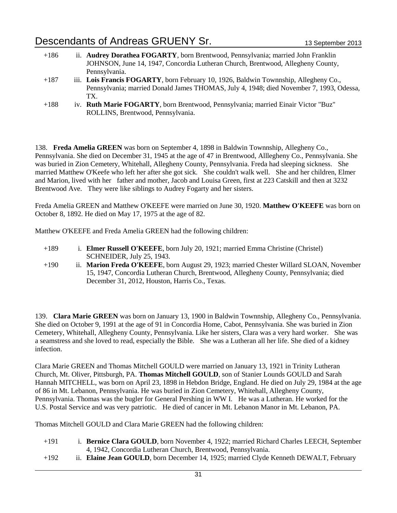- +186 ii. **Audrey Dorathea FOGARTY**, born Brentwood, Pennsylvania; married John Franklin JOHNSON, June 14, 1947, Concordia Lutheran Church, Brentwood, Allegheny County, Pennsylvania.
- +187 iii. **Lois Francis FOGARTY**, born February 10, 1926, Baldwin Townnship, Allegheny Co., Pennsylvania; married Donald James THOMAS, July 4, 1948; died November 7, 1993, Odessa, TX.
- +188 iv. **Ruth Marie FOGARTY**, born Brentwood, Pennsylvania; married Einair Victor "Buz" ROLLINS, Brentwood, Pennsylvania.

138. **Freda Amelia GREEN** was born on September 4, 1898 in Baldwin Townnship, Allegheny Co., Pennsylvania. She died on December 31, 1945 at the age of 47 in Brentwood, Alllegheny Co., Pennsylvania. She was buried in Zion Cemetery, Whitehall, Allegheny County, Pennsylvania. Freda had sleeping sickness. She married Matthew O'Keefe who left her after she got sick. She couldn't walk well. She and her children, Elmer and Marion, lived with her father and mother, Jacob and Louisa Green, first at 223 Catskill and then at 3232 Brentwood Ave. They were like siblings to Audrey Fogarty and her sisters.

Freda Amelia GREEN and Matthew O'KEEFE were married on June 30, 1920. **Matthew O'KEEFE** was born on October 8, 1892. He died on May 17, 1975 at the age of 82.

Matthew O'KEEFE and Freda Amelia GREEN had the following children:

- +189 i. **Elmer Russell O'KEEFE**, born July 20, 1921; married Emma Christine (Christel) SCHNEIDER, July 25, 1943.
- +190 ii. **Marion Freda O'KEEFE**, born August 29, 1923; married Chester Willard SLOAN, November 15, 1947, Concordia Lutheran Church, Brentwood, Allegheny County, Pennsylvania; died December 31, 2012, Houston, Harris Co., Texas.

139. **Clara Marie GREEN** was born on January 13, 1900 in Baldwin Townnship, Allegheny Co., Pennsylvania. She died on October 9, 1991 at the age of 91 in Concordia Home, Cabot, Pennsylvania. She was buried in Zion Cemetery, Whitehall, Allegheny County, Pennsylvania. Like her sisters, Clara was a very hard worker. She was a seamstress and she loved to read, especially the Bible. She was a Lutheran all her life. She died of a kidney infection.

Clara Marie GREEN and Thomas Mitchell GOULD were married on January 13, 1921 in Trinity Lutheran Church, Mt. Oliver, Pittsburgh, PA. **Thomas Mitchell GOULD**, son of Stanier Lounds GOULD and Sarah Hannah MITCHELL, was born on April 23, 1898 in Hebdon Bridge, England. He died on July 29, 1984 at the age of 86 in Mt. Lebanon, Pennsylvania. He was buried in Zion Cemetery, Whitehall, Allegheny County, Pennsylvania. Thomas was the bugler for General Pershing in WW I. He was a Lutheran. He worked for the U.S. Postal Service and was very patriotic. He died of cancer in Mt. Lebanon Manor in Mt. Lebanon, PA.

Thomas Mitchell GOULD and Clara Marie GREEN had the following children:

- +191 i. **Bernice Clara GOULD**, born November 4, 1922; married Richard Charles LEECH, September 4, 1942, Concordia Lutheran Church, Brentwood, Pennsylvania.
- +192 ii. **Elaine Jean GOULD**, born December 14, 1925; married Clyde Kenneth DEWALT, February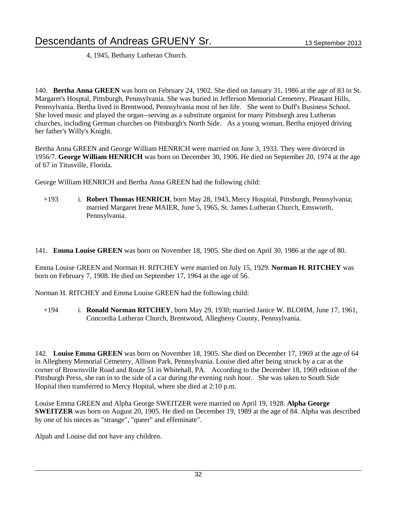4, 1945, Bethany Lutheran Church.

140. **Bertha Anna GREEN** was born on February 24, 1902. She died on January 31, 1986 at the age of 83 in St. Margaret's Hosptal, Pittsburgh, Pennsylvania. She was buried in Jefferson Memorial Cemetery, Pleasant Hills, Pennsylvania. Bertha lived in Brentwood, Pennsylvania most of her life. She went to Duff's Business School. She loved music and played the organ--serving as a substitute organist for many Pittsburgh area Lutheran churches, including German churches on Pittsburgh's North Side. As a young woman, Bertha enjoyed driving her father's Willy's Knight.

Bertha Anna GREEN and George William HENRICH were married on June 3, 1933. They were divorced in 1956/7. **George William HENRICH** was born on December 30, 1906. He died on September 20, 1974 at the age of 67 in Titusville, Florida.

George William HENRICH and Bertha Anna GREEN had the following child:

+193 i. **Robert Thomas HENRICH**, born May 28, 1943, Mercy Hospital, Pittsburgh, Pennsylvania; married Margaret Irene MAIER, June 5, 1965, St. James Lutheran Church, Emsworth, Pennsylvania.

141. **Emma Louise GREEN** was born on November 18, 1905. She died on April 30, 1986 at the age of 80.

Emma Louise GREEN and Norman H. RITCHEY were married on July 15, 1929. **Norman H. RITCHEY** was born on February 7, 1908. He died on September 17, 1964 at the age of 56.

Norman H. RITCHEY and Emma Louise GREEN had the following child:

+194 i. **Ronald Norman RITCHEY**, born May 29, 1930; married Janice W. BLOHM, June 17, 1961, Concordia Lutheran Church, Brentwood, Allegheny County, Pennsylvania.

142. **Louise Emma GREEN** was born on November 18, 1905. She died on December 17, 1969 at the age of 64 in Allegheny Memorial Cemetery, Allison Park, Pennsylvania. Louise died after being struck by a car at the corner of Brownsville Road and Route 51 in Whitehall, PA. According to the December 18, 1969 edition of the Pittsburgh Press, she ran in to the side of a car during the evening rush hour. She was taken to South Side Hopital then transferred to Mercy Hopital, where she died at 2:10 p.m.

Louise Emma GREEN and Alpha George SWEITZER were married on April 19, 1928. **Alpha George SWEITZER** was born on August 20, 1905. He died on December 19, 1989 at the age of 84. Alpha was described by one of his nieces as "strange", "queer" and effeminate".

Alpah and Louise did not have any children.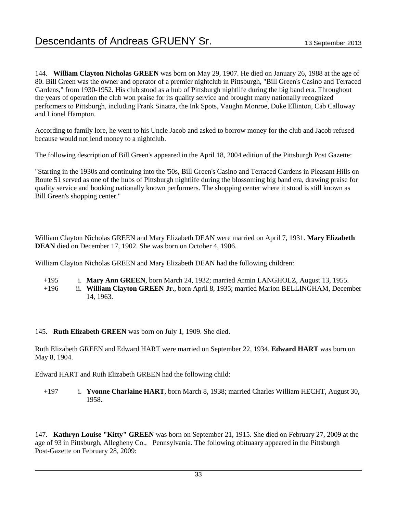144. **William Clayton Nicholas GREEN** was born on May 29, 1907. He died on January 26, 1988 at the age of 80. Bill Green was the owner and operator of a premier nightclub in Pittsburgh, "Bill Green's Casino and Terraced Gardens," from 1930-1952. His club stood as a hub of Pittsburgh nightlife during the big band era. Throughout the years of operation the club won praise for its quality service and brought many nationally recognized performers to Pittsburgh, including Frank Sinatra, the Ink Spots, Vaughn Monroe, Duke Ellinton, Cab Calloway and Lionel Hampton.

According to family lore, he went to his Uncle Jacob and asked to borrow money for the club and Jacob refused because would not lend money to a nightclub.

The following description of Bill Green's appeared in the April 18, 2004 edition of the Pittsburgh Post Gazette:

"Starting in the 1930s and continuing into the '50s, Bill Green's Casino and Terraced Gardens in Pleasant Hills on Route 51 served as one of the hubs of Pittsburgh nightlife during the blossoming big band era, drawing praise for quality service and booking nationally known performers. The shopping center where it stood is still known as Bill Green's shopping center."

William Clayton Nicholas GREEN and Mary Elizabeth DEAN were married on April 7, 1931. **Mary Elizabeth DEAN** died on December 17, 1902. She was born on October 4, 1906.

William Clayton Nicholas GREEN and Mary Elizabeth DEAN had the following children:

- +195 i. **Mary Ann GREEN**, born March 24, 1932; married Armin LANGHOLZ, August 13, 1955.
- +196 ii. **William Clayton GREEN Jr.**, born April 8, 1935; married Marion BELLINGHAM, December 14, 1963.

#### 145. **Ruth Elizabeth GREEN** was born on July 1, 1909. She died.

Ruth Elizabeth GREEN and Edward HART were married on September 22, 1934. **Edward HART** was born on May 8, 1904.

Edward HART and Ruth Elizabeth GREEN had the following child:

+197 i. **Yvonne Charlaine HART**, born March 8, 1938; married Charles William HECHT, August 30, 1958.

147. **Kathryn Louise "Kitty" GREEN** was born on September 21, 1915. She died on February 27, 2009 at the age of 93 in Pittsburgh, Allegheny Co., Pennsylvania. The following obituaary appeared in the Pittsburgh Post-Gazette on February 28, 2009: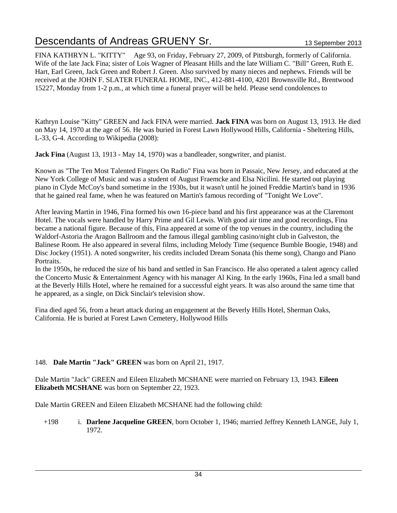FINA KATHRYN L. "KITTY" Age 93, on Friday, February 27, 2009, of Pittsburgh, formerly of California. Wife of the late Jack Fina; sister of Lois Wagner of Pleasant Hills and the late William C. "Bill" Green, Ruth E. Hart, Earl Green, Jack Green and Robert J. Green. Also survived by many nieces and nephews. Friends will be received at the JOHN F. SLATER FUNERAL HOME, INC., 412-881-4100, 4201 Brownsville Rd., Brentwood 15227, Monday from 1-2 p.m., at which time a funeral prayer will be held. Please send condolences to

Kathryn Louise "Kitty" GREEN and Jack FINA were married. **Jack FINA** was born on August 13, 1913. He died on May 14, 1970 at the age of 56. He was buried in Forest Lawn Hollywood Hills, California - Sheltering Hills, L-33, G-4. According to Wikipedia (2008):

**Jack Fina** (August 13, 1913 - May 14, 1970) was a bandleader, songwriter, and pianist.

Known as "The Ten Most Talented Fingers On Radio" Fina was born in Passaic, New Jersey, and educated at the New York College of Music and was a student of August Fraemcke and Elsa Nicilini. He started out playing piano in Clyde McCoy's band sometime in the 1930s, but it wasn't until he joined Freddie Martin's band in 1936 that he gained real fame, when he was featured on Martin's famous recording of "Tonight We Love".

After leaving Martin in 1946, Fina formed his own 16-piece band and his first appearance was at the Claremont Hotel. The vocals were handled by Harry Prime and Gil Lewis. With good air time and good recordings, Fina became a national figure. Because of this, Fina appeared at some of the top venues in the country, including the Waldorf-Astoria the Aragon Ballroom and the famous illegal gambling casino/night club in Galveston, the Balinese Room. He also appeared in several films, including Melody Time (sequence Bumble Boogie, 1948) and Disc Jockey (1951). A noted songwriter, his credits included Dream Sonata (his theme song), Chango and Piano Portraits.

In the 1950s, he reduced the size of his band and settled in San Francisco. He also operated a talent agency called the Concerto Music & Entertainment Agency with his manager Al King. In the early 1960s, Fina led a small band at the Beverly Hills Hotel, where he remained for a successful eight years. It was also around the same time that he appeared, as a single, on Dick Sinclair's television show.

Fina died aged 56, from a heart attack during an engagement at the Beverly Hills Hotel, Sherman Oaks, California. He is buried at Forest Lawn Cemetery, Hollywood Hills

#### 148. **Dale Martin "Jack" GREEN** was born on April 21, 1917.

Dale Martin "Jack" GREEN and Eileen Elizabeth MCSHANE were married on February 13, 1943. **Eileen Elizabeth MCSHANE** was born on September 22, 1923.

Dale Martin GREEN and Eileen Elizabeth MCSHANE had the following child:

+198 i. **Darlene Jacqueline GREEN**, born October 1, 1946; married Jeffrey Kenneth LANGE, July 1, 1972.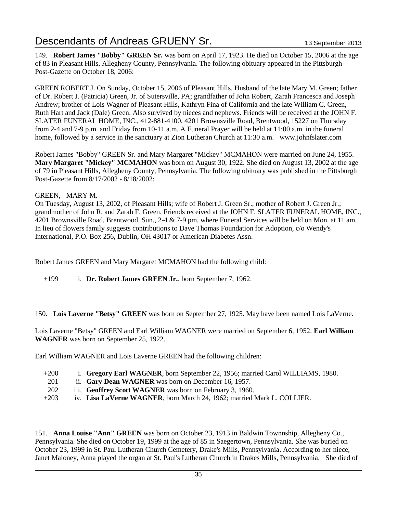149. **Robert James "Bobby" GREEN Sr.** was born on April 17, 1923. He died on October 15, 2006 at the age of 83 in Pleasant Hills, Allegheny County, Pennsylvania. The following obituary appeared in the Pittsburgh Post-Gazette on October 18, 2006:

GREEN ROBERT J. On Sunday, October 15, 2006 of Pleasant Hills. Husband of the late Mary M. Green; father of Dr. Robert J. (Patricia) Green, Jr. of Sutersville, PA; grandfather of John Robert, Zarah Francesca and Joseph Andrew; brother of Lois Wagner of Pleasant Hills, Kathryn Fina of California and the late William C. Green, Ruth Hart and Jack (Dale) Green. Also survived by nieces and nephews. Friends will be received at the JOHN F. SLATER FUNERAL HOME, INC., 412-881-4100, 4201 Brownsville Road, Brentwood, 15227 on Thursday from 2-4 and 7-9 p.m. and Friday from 10-11 a.m. A Funeral Prayer will be held at 11:00 a.m. in the funeral home, followed by a service in the sanctuary at Zion Lutheran Church at 11:30 a.m. www.johnfslater.com

Robert James "Bobby" GREEN Sr. and Mary Margaret "Mickey" MCMAHON were married on June 24, 1955. **Mary Margaret "Mickey" MCMAHON** was born on August 30, 1922. She died on August 13, 2002 at the age of 79 in Pleasant Hills, Allegheny County, Pennsylvania. The following obituary was published in the Pittsburgh Post-Gazette from 8/17/2002 - 8/18/2002:

#### GREEN, MARY M.

On Tuesday, August 13, 2002, of Pleasant Hills; wife of Robert J. Green Sr.; mother of Robert J. Green Jr.; grandmother of John R. and Zarah F. Green. Friends received at the JOHN F. SLATER FUNERAL HOME, INC., 4201 Brownsville Road, Brentwood, Sun., 2-4 & 7-9 pm, where Funeral Services will be held on Mon. at 11 am. In lieu of flowers family suggests contributions to Dave Thomas Foundation for Adoption, c/o Wendy's International, P.O. Box 256, Dublin, OH 43017 or American Diabetes Assn.

Robert James GREEN and Mary Margaret MCMAHON had the following child:

+199 i. **Dr. Robert James GREEN Jr.**, born September 7, 1962.

150. **Lois Laverne "Betsy" GREEN** was born on September 27, 1925. May have been named Lois LaVerne.

Lois Laverne "Betsy" GREEN and Earl William WAGNER were married on September 6, 1952. **Earl William WAGNER** was born on September 25, 1922.

Earl William WAGNER and Lois Laverne GREEN had the following children:

- +200 i. **Gregory Earl WAGNER**, born September 22, 1956; married Carol WILLIAMS, 1980.
- 201 ii. **Gary Dean WAGNER** was born on December 16, 1957.
- 202 iii. **Geoffrey Scott WAGNER** was born on February 3, 1960.
- +203 iv. **Lisa LaVerne WAGNER**, born March 24, 1962; married Mark L. COLLIER.

151. **Anna Louise "Ann" GREEN** was born on October 23, 1913 in Baldwin Townnship, Allegheny Co., Pennsylvania. She died on October 19, 1999 at the age of 85 in Saegertown, Pennsylvania. She was buried on October 23, 1999 in St. Paul Lutheran Church Cemetery, Drake's Mills, Pennsylvania. According to her niece, Janet Maloney, Anna played the organ at St. Paul's Lutheran Church in Drakes Mills, Pennsylvania. She died of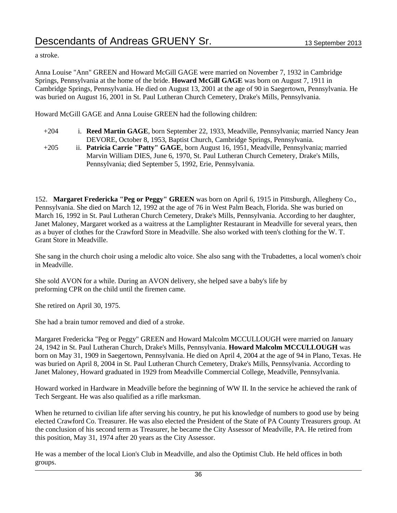a stroke.

Anna Louise "Ann" GREEN and Howard McGill GAGE were married on November 7, 1932 in Cambridge Springs, Pennsylvania at the home of the bride. **Howard McGill GAGE** was born on August 7, 1911 in Cambridge Springs, Pennsylvania. He died on August 13, 2001 at the age of 90 in Saegertown, Pennsylvania. He was buried on August 16, 2001 in St. Paul Lutheran Church Cemetery, Drake's Mills, Pennsylvania.

Howard McGill GAGE and Anna Louise GREEN had the following children:

- +204 i. **Reed Martin GAGE**, born September 22, 1933, Meadville, Pennsylvania; married Nancy Jean DEVORE, October 8, 1953, Baptist Church, Cambridge Springs, Pennsylvania.
- +205 ii. **Patricia Carrie "Patty" GAGE**, born August 16, 1951, Meadville, Pennsylvania; married Marvin William DIES, June 6, 1970, St. Paul Lutheran Church Cemetery, Drake's Mills, Pennsylvania; died September 5, 1992, Erie, Pennsylvania.

152. **Margaret Fredericka "Peg or Peggy" GREEN** was born on April 6, 1915 in Pittsburgh, Allegheny Co., Pennsylvania. She died on March 12, 1992 at the age of 76 in West Palm Beach, Florida. She was buried on March 16, 1992 in St. Paul Lutheran Church Cemetery, Drake's Mills, Pennsylvania. According to her daughter, Janet Maloney, Margaret worked as a waitress at the Lamplighter Restaurant in Meadville for several years, then as a buyer of clothes for the Crawford Store in Meadville. She also worked with teen's clothing for the W. T. Grant Store in Meadville.

She sang in the church choir using a melodic alto voice. She also sang with the Trubadettes, a local women's choir in Meadville.

She sold AVON for a while. During an AVON delivery, she helped save a baby's life by preforming CPR on the child until the firemen came.

She retired on April 30, 1975.

She had a brain tumor removed and died of a stroke.

Margaret Fredericka "Peg or Peggy" GREEN and Howard Malcolm MCCULLOUGH were married on January 24, 1942 in St. Paul Lutheran Church, Drake's Mills, Pennsylvania. **Howard Malcolm MCCULLOUGH** was born on May 31, 1909 in Saegertown, Pennsylvania. He died on April 4, 2004 at the age of 94 in Plano, Texas. He was buried on April 8, 2004 in St. Paul Lutheran Church Cemetery, Drake's Mills, Pennsylvania. According to Janet Maloney, Howard graduated in 1929 from Meadville Commercial College, Meadville, Pennsylvania.

Howard worked in Hardware in Meadville before the beginning of WW II. In the service he achieved the rank of Tech Sergeant. He was also qualified as a rifle marksman.

When he returned to civilian life after serving his country, he put his knowledge of numbers to good use by being elected Crawford Co. Treasurer. He was also elected the President of the State of PA County Treasurers group. At the conclusion of his second term as Treasurer, he became the City Assessor of Meadville, PA. He retired from this position, May 31, 1974 after 20 years as the City Assessor.

He was a member of the local Lion's Club in Meadville, and also the Optimist Club. He held offices in both groups.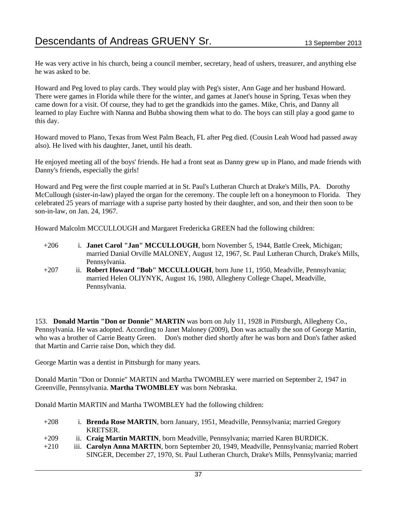He was very active in his church, being a council member, secretary, head of ushers, treasurer, and anything else he was asked to be.

Howard and Peg loved to play cards. They would play with Peg's sister, Ann Gage and her husband Howard. There were games in Florida while there for the winter, and games at Janet's house in Spring, Texas when they came down for a visit. Of course, they had to get the grandkids into the games. Mike, Chris, and Danny all learned to play Euchre with Nanna and Bubba showing them what to do. The boys can still play a good game to this day.

Howard moved to Plano, Texas from West Palm Beach, FL after Peg died. (Cousin Leah Wood had passed away also). He lived with his daughter, Janet, until his death.

He enjoyed meeting all of the boys' friends. He had a front seat as Danny grew up in Plano, and made friends with Danny's friends, especially the girls!

Howard and Peg were the first couple married at in St. Paul's Lutheran Church at Drake's Mills, PA. Dorothy McCullough (sister-in-law) played the organ for the ceremony. The couple left on a honeymoon to Florida. They celebrated 25 years of marriage with a suprise party hosted by their daughter, and son, and their then soon to be son-in-law, on Jan. 24, 1967.

Howard Malcolm MCCULLOUGH and Margaret Fredericka GREEN had the following children:

- +206 i. **Janet Carol "Jan" MCCULLOUGH**, born November 5, 1944, Battle Creek, Michigan; married Danial Orville MALONEY, August 12, 1967, St. Paul Lutheran Church, Drake's Mills, Pennsylvania.
- +207 ii. **Robert Howard "Bob" MCCULLOUGH**, born June 11, 1950, Meadville, Pennsylvania; married Helen OLIYNYK, August 16, 1980, Allegheny College Chapel, Meadville, Pennsylvania.

153. **Donald Martin "Don or Donnie" MARTIN** was born on July 11, 1928 in Pittsburgh, Allegheny Co., Pennsylvania. He was adopted. According to Janet Maloney (2009), Don was actually the son of George Martin, who was a brother of Carrie Beatty Green. Don's mother died shortly after he was born and Don's father asked that Martin and Carrie raise Don, which they did.

George Martin was a dentist in Pittsburgh for many years.

Donald Martin "Don or Donnie" MARTIN and Martha TWOMBLEY were married on September 2, 1947 in Greenville, Pennsylvania. **Martha TWOMBLEY** was born Nebraska.

Donald Martin MARTIN and Martha TWOMBLEY had the following children:

- +208 i. **Brenda Rose MARTIN**, born January, 1951, Meadville, Pennsylvania; married Gregory KRETSER.
- +209 ii. **Craig Martin MARTIN**, born Meadville, Pennsylvania; married Karen BURDICK.
- +210 iii. **Carolyn Anna MARTIN**, born September 20, 1949, Meadville, Pennsylvania; married Robert SINGER, December 27, 1970, St. Paul Lutheran Church, Drake's Mills, Pennsylvania; married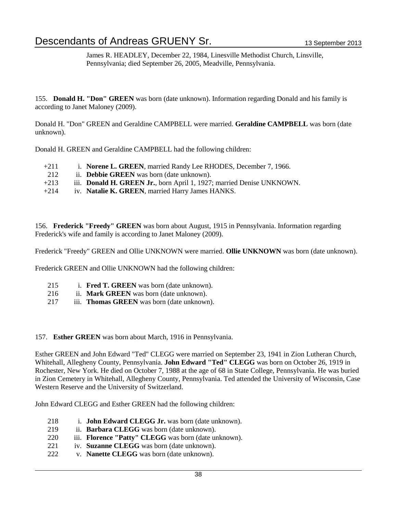James R. HEADLEY, December 22, 1984, Linesville Methodist Church, Linsville, Pennsylvania; died September 26, 2005, Meadville, Pennsylvania.

155. **Donald H. "Don" GREEN** was born (date unknown). Information regarding Donald and his family is according to Janet Maloney (2009).

Donald H. "Don" GREEN and Geraldine CAMPBELL were married. **Geraldine CAMPBELL** was born (date unknown).

Donald H. GREEN and Geraldine CAMPBELL had the following children:

- +211 i. **Norene L. GREEN**, married Randy Lee RHODES, December 7, 1966.
- 212 ii. **Debbie GREEN** was born (date unknown).
- +213 iii. **Donald H. GREEN Jr.**, born April 1, 1927; married Denise UNKNOWN.
- +214 iv. **Natalie K. GREEN**, married Harry James HANKS.

156. **Frederick "Freedy" GREEN** was born about August, 1915 in Pennsylvania. Information regarding Frederick's wife and family is according to Janet Maloney (2009).

Frederick "Freedy" GREEN and Ollie UNKNOWN were married. **Ollie UNKNOWN** was born (date unknown).

Frederick GREEN and Ollie UNKNOWN had the following children:

- 215 i. **Fred T. GREEN** was born (date unknown).
- 216 ii. **Mark GREEN** was born (date unknown).
- 217 iii. **Thomas GREEN** was born (date unknown).

157. **Esther GREEN** was born about March, 1916 in Pennsylvania.

Esther GREEN and John Edward "Ted" CLEGG were married on September 23, 1941 in Zion Lutheran Church, Whitehall, Allegheny County, Pennsylvania. **John Edward "Ted" CLEGG** was born on October 26, 1919 in Rochester, New York. He died on October 7, 1988 at the age of 68 in State College, Pennsylvania. He was buried in Zion Cemetery in Whitehall, Allegheny County, Pennsylvania. Ted attended the University of Wisconsin, Case Western Reserve and the University of Switzerland.

John Edward CLEGG and Esther GREEN had the following children:

- 218 i. **John Edward CLEGG Jr.** was born (date unknown).
- 219 ii. **Barbara CLEGG** was born (date unknown).
- 220 iii. **Florence "Patty" CLEGG** was born (date unknown).
- 221 iv. **Suzanne CLEGG** was born (date unknown).
- 222 v. **Nanette CLEGG** was born (date unknown).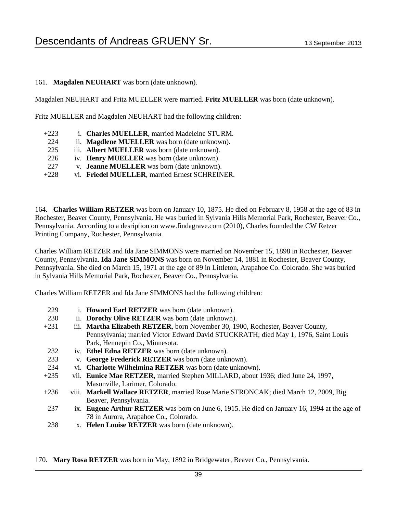#### 161. **Magdalen NEUHART** was born (date unknown).

Magdalen NEUHART and Fritz MUELLER were married. **Fritz MUELLER** was born (date unknown).

Fritz MUELLER and Magdalen NEUHART had the following children:

| $+223$ | i. Charles MUELLER, married Madeleine STURM.      |
|--------|---------------------------------------------------|
| 224    | ii. Magdlene MUELLER was born (date unknown).     |
| 225    | iii. Albert MUELLER was born (date unknown).      |
| 226    | iv. Henry MUELLER was born (date unknown).        |
| 227    | v. <b>Jeanne MUELLER</b> was born (date unknown). |
| $+228$ | vi. Friedel MUELLER, married Ernest SCHREINER.    |

164. **Charles William RETZER** was born on January 10, 1875. He died on February 8, 1958 at the age of 83 in Rochester, Beaver County, Pennsylvania. He was buried in Sylvania Hills Memorial Park, Rochester, Beaver Co., Pennsylvania. According to a desription on www.findagrave.com (2010), Charles founded the CW Retzer Printing Company, Rochester, Pennsylvania.

Charles William RETZER and Ida Jane SIMMONS were married on November 15, 1898 in Rochester, Beaver County, Pennsylvania. **Ida Jane SIMMONS** was born on November 14, 1881 in Rochester, Beaver County, Pennsylvania. She died on March 15, 1971 at the age of 89 in Littleton, Arapahoe Co. Colorado. She was buried in Sylvania Hills Memorial Park, Rochester, Beaver Co., Pennsylvania.

Charles William RETZER and Ida Jane SIMMONS had the following children:

| 229    | i. Howard Earl RETZER was born (date unknown).                                               |
|--------|----------------------------------------------------------------------------------------------|
| 230    | ii. Dorothy Olive RETZER was born (date unknown).                                            |
| $+231$ | iii. Martha Elizabeth RETZER, born November 30, 1900, Rochester, Beaver County,              |
|        | Pennsylvania; married Victor Edward David STUCKRATH; died May 1, 1976, Saint Louis           |
|        | Park, Hennepin Co., Minnesota.                                                               |
| 232    | iv. Ethel Edna RETZER was born (date unknown).                                               |
| 233    | v. George Frederick RETZER was born (date unknown).                                          |
| 234    | vi. Charlotte Wilhelmina RETZER was born (date unknown).                                     |
| $+235$ | vii. Eunice Mae RETZER, married Stephen MILLARD, about 1936; died June 24, 1997,             |
|        | Masonville, Larimer, Colorado.                                                               |
| $+236$ | viii. Markell Wallace RETZER, married Rose Marie STRONCAK; died March 12, 2009, Big          |
|        | Beaver, Pennsylvania.                                                                        |
| 237    | ix. Eugene Arthur RETZER was born on June 6, 1915. He died on January 16, 1994 at the age of |
|        | 78 in Aurora, Arapahoe Co., Colorado.                                                        |
|        |                                                                                              |

238 x. **Helen Louise RETZER** was born (date unknown).

170. **Mary Rosa RETZER** was born in May, 1892 in Bridgewater, Beaver Co., Pennsylvania.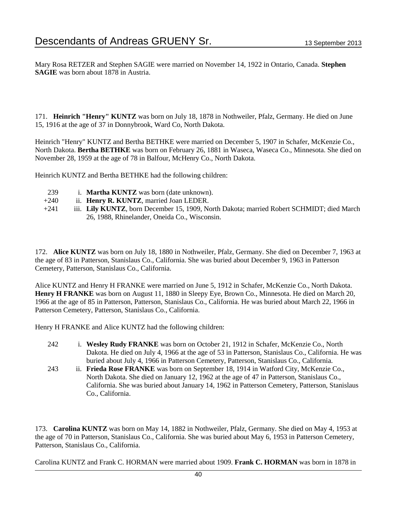Mary Rosa RETZER and Stephen SAGIE were married on November 14, 1922 in Ontario, Canada. **Stephen SAGIE** was born about 1878 in Austria.

171. **Heinrich "Henry" KUNTZ** was born on July 18, 1878 in Nothweiler, Pfalz, Germany. He died on June 15, 1916 at the age of 37 in Donnybrook, Ward Co, North Dakota.

Heinrich "Henry" KUNTZ and Bertha BETHKE were married on December 5, 1907 in Schafer, McKenzie Co., North Dakota. **Bertha BETHKE** was born on February 26, 1881 in Waseca, Waseca Co., Minnesota. She died on November 28, 1959 at the age of 78 in Balfour, McHenry Co., North Dakota.

Heinrich KUNTZ and Bertha BETHKE had the following children:

- 239 i. **Martha KUNTZ** was born (date unknown).
- +240 ii. **Henry R. KUNTZ**, married Joan LEDER.
- +241 iii. **Lily KUNTZ**, born December 15, 1909, North Dakota; married Robert SCHMIDT; died March 26, 1988, Rhinelander, Oneida Co., Wisconsin.

172. **Alice KUNTZ** was born on July 18, 1880 in Nothweiler, Pfalz, Germany. She died on December 7, 1963 at the age of 83 in Patterson, Stanislaus Co., California. She was buried about December 9, 1963 in Patterson Cemetery, Patterson, Stanislaus Co., California.

Alice KUNTZ and Henry H FRANKE were married on June 5, 1912 in Schafer, McKenzie Co., North Dakota. **Henry H FRANKE** was born on August 11, 1880 in Sleepy Eye, Brown Co., Minnesota. He died on March 20, 1966 at the age of 85 in Patterson, Patterson, Stanislaus Co., California. He was buried about March 22, 1966 in Patterson Cemetery, Patterson, Stanislaus Co., California.

Henry H FRANKE and Alice KUNTZ had the following children:

- 242 i. **Wesley Rudy FRANKE** was born on October 21, 1912 in Schafer, McKenzie Co., North Dakota. He died on July 4, 1966 at the age of 53 in Patterson, Stanislaus Co., California. He was buried about July 4, 1966 in Patterson Cemetery, Patterson, Stanislaus Co., California.
- 243 ii. **Frieda Rose FRANKE** was born on September 18, 1914 in Watford City, McKenzie Co., North Dakota. She died on January 12, 1962 at the age of 47 in Patterson, Stanislaus Co., California. She was buried about January 14, 1962 in Patterson Cemetery, Patterson, Stanislaus Co., California.

173. **Carolina KUNTZ** was born on May 14, 1882 in Nothweiler, Pfalz, Germany. She died on May 4, 1953 at the age of 70 in Patterson, Stanislaus Co., California. She was buried about May 6, 1953 in Patterson Cemetery, Patterson, Stanislaus Co., California.

Carolina KUNTZ and Frank C. HORMAN were married about 1909. **Frank C. HORMAN** was born in 1878 in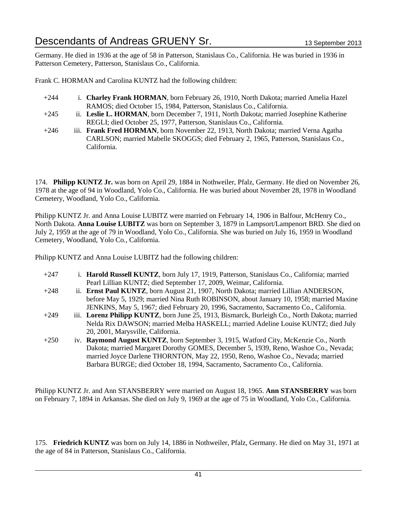Germany. He died in 1936 at the age of 58 in Patterson, Stanislaus Co., California. He was buried in 1936 in Patterson Cemetery, Patterson, Stanislaus Co., California.

Frank C. HORMAN and Carolina KUNTZ had the following children:

- +244 i. **Charley Frank HORMAN**, born February 26, 1910, North Dakota; married Amelia Hazel RAMOS; died October 15, 1984, Patterson, Stanislaus Co., California.
- +245 ii. **Leslie L. HORMAN**, born December 7, 1911, North Dakota; married Josephine Katherine REGLI; died October 25, 1977, Patterson, Stanislaus Co., California.
- +246 iii. **Frank Fred HORMAN**, born November 22, 1913, North Dakota; married Verna Agatha CARLSON; married Mabelle SKOGGS; died February 2, 1965, Patterson, Stanislaus Co., California.

174. **Philipp KUNTZ Jr.** was born on April 29, 1884 in Nothweiler, Pfalz, Germany. He died on November 26, 1978 at the age of 94 in Woodland, Yolo Co., California. He was buried about November 28, 1978 in Woodland Cemetery, Woodland, Yolo Co., California.

Philipp KUNTZ Jr. and Anna Louise LUBITZ were married on February 14, 1906 in Balfour, McHenry Co., North Dakota. **Anna Louise LUBITZ** was born on September 3, 1879 in Lampsort/Lampenort BRD. She died on July 2, 1959 at the age of 79 in Woodland, Yolo Co., California. She was buried on July 16, 1959 in Woodland Cemetery, Woodland, Yolo Co., California.

Philipp KUNTZ and Anna Louise LUBITZ had the following children:

| $+247$ | i. Harold Russell KUNTZ, born July 17, 1919, Patterson, Stanislaus Co., California; married  |
|--------|----------------------------------------------------------------------------------------------|
|        | Pearl Lillian KUNTZ; died September 17, 2009, Weimar, California.                            |
| $+248$ | ii. Ernst Paul KUNTZ, born August 21, 1907, North Dakota; married Lillian ANDERSON,          |
|        | before May 5, 1929; married Nina Ruth ROBINSON, about January 10, 1958; married Maxine       |
|        | JENKINS, May 5, 1967; died February 20, 1996, Sacramento, Sacramento Co., California.        |
| $+249$ | iii. Lorenz Philipp KUNTZ, born June 25, 1913, Bismarck, Burleigh Co., North Dakota; married |
|        | Nelda Rix DAWSON; married Melba HASKELL; married Adeline Louise KUNTZ; died July             |
|        | 20, 2001, Marysville, California.                                                            |
| $+250$ | iv. Raymond August KUNTZ, born September 3, 1915, Watford City, McKenzie Co., North          |
|        | Dakota; married Margaret Dorothy GOMES, December 5, 1939, Reno, Washoe Co., Nevada;          |
|        | married Joyce Darlene THORNTON, May 22, 1950, Reno, Washoe Co., Nevada; married              |
|        | Barbara BURGE; died October 18, 1994, Sacramento, Sacramento Co., California.                |

Philipp KUNTZ Jr. and Ann STANSBERRY were married on August 18, 1965. **Ann STANSBERRY** was born on February 7, 1894 in Arkansas. She died on July 9, 1969 at the age of 75 in Woodland, Yolo Co., California.

175. **Friedrich KUNTZ** was born on July 14, 1886 in Nothweiler, Pfalz, Germany. He died on May 31, 1971 at the age of 84 in Patterson, Stanislaus Co., California.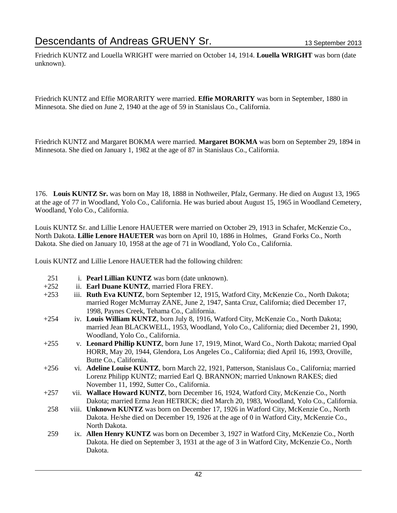Friedrich KUNTZ and Louella WRIGHT were married on October 14, 1914. **Louella WRIGHT** was born (date unknown).

Friedrich KUNTZ and Effie MORARITY were married. **Effie MORARITY** was born in September, 1880 in Minnesota. She died on June 2, 1940 at the age of 59 in Stanislaus Co., California.

Friedrich KUNTZ and Margaret BOKMA were married. **Margaret BOKMA** was born on September 29, 1894 in Minnesota. She died on January 1, 1982 at the age of 87 in Stanislaus Co., California.

176. **Louis KUNTZ Sr.** was born on May 18, 1888 in Nothweiler, Pfalz, Germany. He died on August 13, 1965 at the age of 77 in Woodland, Yolo Co., California. He was buried about August 15, 1965 in Woodland Cemetery, Woodland, Yolo Co., California.

Louis KUNTZ Sr. and Lillie Lenore HAUETER were married on October 29, 1913 in Schafer, McKenzie Co., North Dakota. **Lillie Lenore HAUETER** was born on April 10, 1886 in Holmes, Grand Forks Co., North Dakota. She died on January 10, 1958 at the age of 71 in Woodland, Yolo Co., California.

Louis KUNTZ and Lillie Lenore HAUETER had the following children:

|  | 251 | 1. Pearl Lillian KUNTZ was born (date unknown). |
|--|-----|-------------------------------------------------|
|--|-----|-------------------------------------------------|

- +252 ii. **Earl Duane KUNTZ**, married Flora FREY.
- +253 iii. **Ruth Eva KUNTZ**, born September 12, 1915, Watford City, McKenzie Co., North Dakota; married Roger McMurray ZANE, June 2, 1947, Santa Cruz, California; died December 17, 1998, Paynes Creek, Tehama Co., California.
- +254 iv. **Louis William KUNTZ**, born July 8, 1916, Watford City, McKenzie Co., North Dakota; married Jean BLACKWELL, 1953, Woodland, Yolo Co., California; died December 21, 1990, Woodland, Yolo Co., California.
- +255 v. **Leonard Phillip KUNTZ**, born June 17, 1919, Minot, Ward Co., North Dakota; married Opal HORR, May 20, 1944, Glendora, Los Angeles Co., California; died April 16, 1993, Oroville, Butte Co., California.
- +256 vi. **Adeline Louise KUNTZ**, born March 22, 1921, Patterson, Stanislaus Co., California; married Lorenz Philipp KUNTZ; married Earl Q. BRANNON; married Unknown RAKES; died November 11, 1992, Sutter Co., California.
- +257 vii. **Wallace Howard KUNTZ**, born December 16, 1924, Watford City, McKenzie Co., North Dakota; married Erma Jean HETRICK; died March 20, 1983, Woodland, Yolo Co., California.
- 258 viii. **Unknown KUNTZ** was born on December 17, 1926 in Watford City, McKenzie Co., North Dakota. He/she died on December 19, 1926 at the age of 0 in Watford City, McKenzie Co., North Dakota.
- 259 ix. **Allen Henry KUNTZ** was born on December 3, 1927 in Watford City, McKenzie Co., North Dakota. He died on September 3, 1931 at the age of 3 in Watford City, McKenzie Co., North Dakota.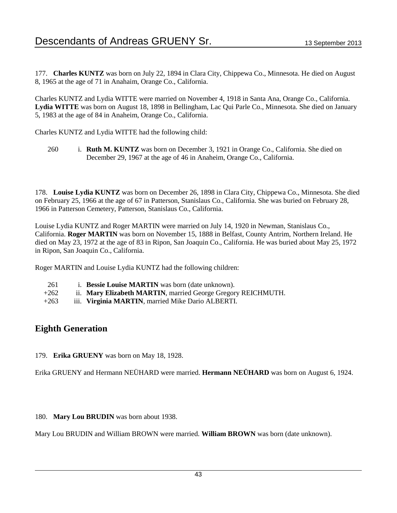177. **Charles KUNTZ** was born on July 22, 1894 in Clara City, Chippewa Co., Minnesota. He died on August 8, 1965 at the age of 71 in Anahaim, Orange Co., California.

Charles KUNTZ and Lydia WITTE were married on November 4, 1918 in Santa Ana, Orange Co., California. **Lydia WITTE** was born on August 18, 1898 in Bellingham, Lac Qui Parle Co., Minnesota. She died on January 5, 1983 at the age of 84 in Anaheim, Orange Co., California.

Charles KUNTZ and Lydia WITTE had the following child:

260 i. **Ruth M. KUNTZ** was born on December 3, 1921 in Orange Co., California. She died on December 29, 1967 at the age of 46 in Anaheim, Orange Co., California.

178. **Louise Lydia KUNTZ** was born on December 26, 1898 in Clara City, Chippewa Co., Minnesota. She died on February 25, 1966 at the age of 67 in Patterson, Stanislaus Co., California. She was buried on February 28, 1966 in Patterson Cemetery, Patterson, Stanislaus Co., California.

Louise Lydia KUNTZ and Roger MARTIN were married on July 14, 1920 in Newman, Stanislaus Co., California. **Roger MARTIN** was born on November 15, 1888 in Belfast, County Antrim, Northern Ireland. He died on May 23, 1972 at the age of 83 in Ripon, San Joaquin Co., California. He was buried about May 25, 1972 in Ripon, San Joaquin Co., California.

Roger MARTIN and Louise Lydia KUNTZ had the following children:

- 261 i. **Bessie Louise MARTIN** was born (date unknown).
- +262 ii. **Mary Elizabeth MARTIN**, married George Gregory REICHMUTH.
- +263 iii. **Virginia MARTIN**, married Mike Dario ALBERTI.

### **Eighth Generation**

179. **Erika GRUENY** was born on May 18, 1928.

Erika GRUENY and Hermann NEÜHARD were married. **Hermann NEÜHARD** was born on August 6, 1924.

180. **Mary Lou BRUDIN** was born about 1938.

Mary Lou BRUDIN and William BROWN were married. **William BROWN** was born (date unknown).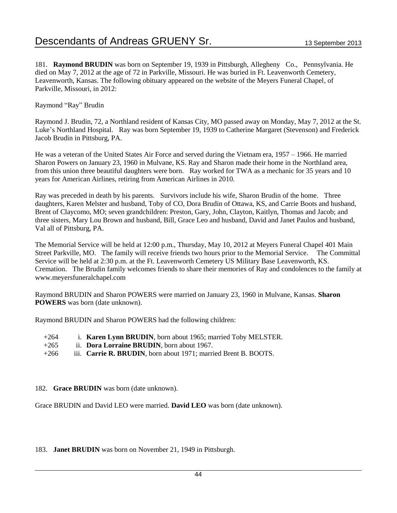181. **Raymond BRUDIN** was born on September 19, 1939 in Pittsburgh, Allegheny Co., Pennsylvania. He died on May 7, 2012 at the age of 72 in Parkville, Missouri. He was buried in Ft. Leavenworth Cemetery, Leavenworth, Kansas. The following obituary appeared on the website of the Meyers Funeral Chapel, of Parkville, Missouri, in 2012:

Raymond "Ray" Brudin

Raymond J. Brudin, 72, a Northland resident of Kansas City, MO passed away on Monday, May 7, 2012 at the St. Luke's Northland Hospital. Ray was born September 19, 1939 to Catherine Margaret (Stevenson) and Frederick Jacob Brudin in Pittsburg, PA.

He was a veteran of the United States Air Force and served during the Vietnam era, 1957 – 1966. He married Sharon Powers on January 23, 1960 in Mulvane, KS. Ray and Sharon made their home in the Northland area, from this union three beautiful daughters were born. Ray worked for TWA as a mechanic for 35 years and 10 years for American Airlines, retiring from American Airlines in 2010.

Ray was preceded in death by his parents. Survivors include his wife, Sharon Brudin of the home. Three daughters, Karen Melster and husband, Toby of CO, Dora Brudin of Ottawa, KS, and Carrie Boots and husband, Brent of Claycomo, MO; seven grandchildren: Preston, Gary, John, Clayton, Kaitlyn, Thomas and Jacob; and three sisters, Mary Lou Brown and husband, Bill, Grace Leo and husband, David and Janet Paulos and husband, Val all of Pittsburg, PA.

The Memorial Service will be held at 12:00 p.m., Thursday, May 10, 2012 at Meyers Funeral Chapel 401 Main Street Parkville, MO. The family will receive friends two hours prior to the Memorial Service. The Committal Service will be held at 2:30 p.m. at the Ft. Leavenworth Cemetery US Military Base Leavenworth, KS. Cremation. The Brudin family welcomes friends to share their memories of Ray and condolences to the family at www.meyersfuneralchapel.com

Raymond BRUDIN and Sharon POWERS were married on January 23, 1960 in Mulvane, Kansas. **Sharon POWERS** was born (date unknown).

Raymond BRUDIN and Sharon POWERS had the following children:

| $+264$ | i. Karen Lynn BRUDIN, born about 1965; married Toby MELSTER.    |  |
|--------|-----------------------------------------------------------------|--|
| $+265$ | ii. <b>Dora Lorraine BRUDIN</b> , born about 1967.              |  |
| $+266$ | iii. Carrie R. BRUDIN, born about 1971; married Brent B. BOOTS. |  |

#### 182. **Grace BRUDIN** was born (date unknown).

Grace BRUDIN and David LEO were married. **David LEO** was born (date unknown).

183. **Janet BRUDIN** was born on November 21, 1949 in Pittsburgh.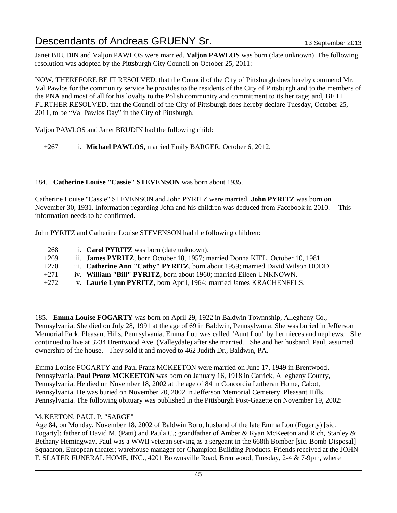Janet BRUDIN and Valjon PAWLOS were married. **Valjon PAWLOS** was born (date unknown). The following resolution was adopted by the Pittsburgh City Council on October 25, 2011:

NOW, THEREFORE BE IT RESOLVED, that the Council of the City of Pittsburgh does hereby commend Mr. Val Pawlos for the community service he provides to the residents of the City of Pittsburgh and to the members of the PNA and most of all for his loyalty to the Polish community and commitment to its heritage; and, BE IT FURTHER RESOLVED, that the Council of the City of Pittsburgh does hereby declare Tuesday, October 25, 2011, to be "Val Pawlos Day" in the City of Pittsburgh.

Valjon PAWLOS and Janet BRUDIN had the following child:

+267 i. **Michael PAWLOS**, married Emily BARGER, October 6, 2012.

#### 184. **Catherine Louise "Cassie" STEVENSON** was born about 1935.

Catherine Louise "Cassie" STEVENSON and John PYRITZ were married. **John PYRITZ** was born on November 30, 1931. Information regarding John and his children was deduced from Facebook in 2010. This information needs to be confirmed.

John PYRITZ and Catherine Louise STEVENSON had the following children:

- 268 i. **Carol PYRITZ** was born (date unknown). +269 ii. **James PYRITZ**, born October 18, 1957; married Donna KIEL, October 10, 1981. +270 iii. **Catherine Ann "Cathy" PYRITZ**, born about 1959; married David Wilson DODD.
- +271 iv. **William "Bill" PYRITZ**, born about 1960; married Eileen UNKNOWN.
- +272 v. **Laurie Lynn PYRITZ**, born April, 1964; married James KRACHENFELS.

185. **Emma Louise FOGARTY** was born on April 29, 1922 in Baldwin Townnship, Allegheny Co., Pennsylvania. She died on July 28, 1991 at the age of 69 in Baldwin, Pennsylvania. She was buried in Jefferson Memorial Park, Pleasant Hills, Pennsylvania. Emma Lou was called "Aunt Lou" by her nieces and nephews. She continued to live at 3234 Brentwood Ave. (Valleydale) after she married. She and her husband, Paul, assumed ownership of the house. They sold it and moved to 462 Judith Dr., Baldwin, PA.

Emma Louise FOGARTY and Paul Pranz MCKEETON were married on June 17, 1949 in Brentwood, Pennsylvania. **Paul Pranz MCKEETON** was born on January 16, 1918 in Carrick, Allegheny County, Pennsylvania. He died on November 18, 2002 at the age of 84 in Concordia Lutheran Home, Cabot, Pennsylvania. He was buried on November 20, 2002 in Jefferson Memorial Cemetery, Pleasant Hills, Pennsylvania. The following obituary was published in the Pittsburgh Post-Gazette on November 19, 2002:

#### McKEETON, PAUL P. "SARGE"

Age 84, on Monday, November 18, 2002 of Baldwin Boro, husband of the late Emma Lou (Fogerty) [sic. Fogarty]; father of David M. (Patti) and Paula C.; grandfather of Amber & Ryan McKeeton and Rich, Stanley & Bethany Hemingway. Paul was a WWII veteran serving as a sergeant in the 668th Bomber [sic. Bomb Disposal] Squadron, European theater; warehouse manager for Champion Building Products. Friends received at the JOHN F. SLATER FUNERAL HOME, INC., 4201 Brownsville Road, Brentwood, Tuesday, 2-4 & 7-9pm, where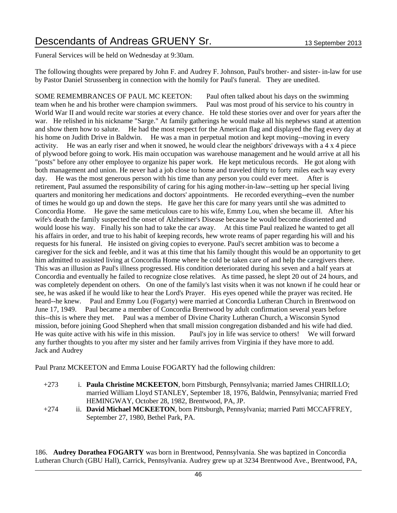Funeral Services will be held on Wednesday at 9:30am.

The following thoughts were prepared by John F. and Audrey F. Johnson, Paul's brother- and sister- in-law for use by Pastor Daniel Strussenberg in connection with the homily for Paul's funeral. They are unedited.

SOME REMEMBRANCES OF PAUL MC KEETON: Paul often talked about his days on the swimming team when he and his brother were champion swimmers. Paul was most proud of his service to his country in World War II and would recite war stories at every chance. He told these stories over and over for years after the war. He relished in his nickname "Sarge." At family gatherings he would make all his nephews stand at attention and show them how to salute. He had the most respect for the American flag and displayed the flag every day at his home on Judith Drive in Baldwin. He was a man in perpetual motion and kept moving--moving in every activity. He was an early riser and when it snowed, he would clear the neighbors' driveways with a 4 x 4 piece of plywood before going to work. His main occupation was warehouse management and he would arrive at all his "posts" before any other employee to organize his paper work. He kept meticulous records. He got along with both management and union. He never had a job close to home and traveled thirty to forty miles each way every day. He was the most generous person with his time than any person you could ever meet. After is retirement, Paul assumed the responsibility of caring for his aging mother-in-law--setting up her special living quarters and monitoring her medications and doctors' appointments. He recorded everything--even the number of times he would go up and down the steps. He gave her this care for many years until she was admitted to Concordia Home. He gave the same meticulous care to his wife, Emmy Lou, when she became ill. After his wife's death the family suspected the onset of Alzheimer's Disease because he would become disoriented and would loose his way. Finally his son had to take the car away. At this time Paul realized he wanted to get all his affairs in order, and true to his habit of keeping records, hew wrote reams of paper regarding his will and his requests for his funeral. He insisted on giving copies to everyone. Paul's secret ambition was to become a caregiver for the sick and feeble, and it was at this time that his family thought this would be an opportunity to get him admitted to assisted living at Concordia Home where he cold be taken care of and help the caregivers there. This was an illusion as Paul's illness progressed. His condition deteriorated during his seven and a half years at Concordia and eventually he failed to recognize close relatives. As time passed, he slept 20 out of 24 hours, and was completely dependent on others. On one of the family's last visits when it was not known if he could hear or see, he was asked if he would like to hear the Lord's Prayer. His eyes opened while the prayer was recited. He heard--he knew. Paul and Emmy Lou (Fogarty) were married at Concordia Lutheran Church in Brentwood on June 17, 1949. Paul became a member of Concordia Brentwood by adult confirmation several years before this--this is where they met. Paul was a member of Divine Charity Lutheran Church, a Wisconsin Synod mission, before joining Good Shepherd when that small mission congregation disbanded and his wife had died. He was quite active with his wife in this mission. Paul's joy in life was service to others! We will forward any further thoughts to you after my sister and her family arrives from Virginia if they have more to add. Jack and Audrey

Paul Pranz MCKEETON and Emma Louise FOGARTY had the following children:

- +273 i. **Paula Christine MCKEETON**, born Pittsburgh, Pennsylvania; married James CHIRILLO; married William Lloyd STANLEY, September 18, 1976, Baldwin, Pennsylvania; married Fred HEMINGWAY, October 28, 1982, Brentwood, PA, JP.
- +274 ii. **David Michael MCKEETON**, born Pittsburgh, Pennsylvania; married Patti MCCAFFREY, September 27, 1980, Bethel Park, PA.

186. **Audrey Dorathea FOGARTY** was born in Brentwood, Pennsylvania. She was baptized in Concordia Lutheran Church (GBU Hall), Carrick, Pennsylvania. Audrey grew up at 3234 Brentwood Ave., Brentwood, PA,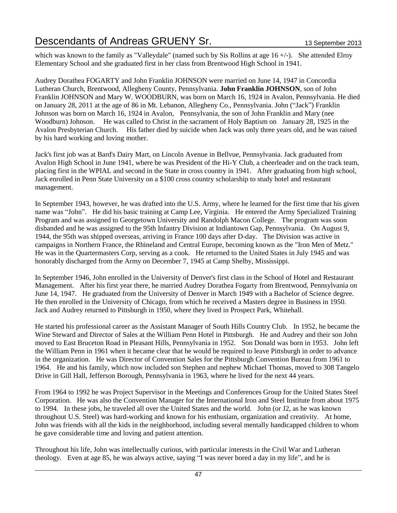which was known to the family as "Valleydale" (named such by Sis Rollins at age 16 +/-). She attended Elroy Elementary School and she graduated first in her class from Brentwood High School in 1941.

Audrey Dorathea FOGARTY and John Franklin JOHNSON were married on June 14, 1947 in Concordia Lutheran Church, Brentwood, Allegheny County, Pennsylvania. **John Franklin JOHNSON**, son of John Franklin JOHNSON and Mary W. WOODBURN, was born on March 16, 1924 in Avalon, Pennsylvania. He died on January 28, 2011 at the age of 86 in Mt. Lebanon, Allegheny Co., Pennsylvania. John ("Jack") Franklin Johnson was born on March 16, 1924 in Avalon, Pennsylvania, the son of John Franklin and Mary (nee Woodburn) Johnson. He was called to Christ in the sacrament of Holy Baptism on January 28, 1925 in the Avalon Presbyterian Church. His father died by suicide when Jack was only three years old, and he was raised by his hard working and loving mother.

Jack's first job was at Bard's Dairy Mart, on Lincoln Avenue in Bellvue, Pennsylvania. Jack graduated from Avalon High School in June 1941, where he was President of the Hi-Y Club, a cheerleader and on the track team, placing first in the WPIAL and second in the State in cross country in 1941. After graduating from high school, Jack enrolled in Penn State University on a \$100 cross country scholarship to study hotel and restaurant management.

In September 1943, however, he was drafted into the U.S. Army, where he learned for the first time that his given name was "John". He did his basic training at Camp Lee, Virginia. He entered the Army Specialized Training Program and was assigned to Georgetown University and Randolph Macon College. The program was soon disbanded and he was assigned to the 95th Infantry Division at Indiantown Gap, Pennsylvania. On August 9, 1944, the 95th was shipped overseas, arriving in France 100 days after D-day. The Division was active in campaigns in Northern France, the Rhineland and Central Europe, becoming known as the "Iron Men of Metz." He was in the Quartermasters Corp, serving as a cook. He returned to the United States in July 1945 and was honorably discharged from the Army on December 7, 1945 at Camp Shelby, Mississippi.

In September 1946, John enrolled in the University of Denver's first class in the School of Hotel and Restaurant Management. After his first year there, he married Audrey Dorathea Fogarty from Brentwood, Pennsylvania on June 14, 1947. He graduated from the University of Denver in March 1949 with a Bachelor of Science degree. He then enrolled in the University of Chicago, from which he received a Masters degree in Business in 1950. Jack and Audrey returned to Pittsburgh in 1950, where they lived in Prospect Park, Whitehall.

He started his professional career as the Assistant Manager of South Hills Country Club. In 1952, he became the Wine Steward and Director of Sales at the William Penn Hotel in Pittsburgh. He and Audrey and their son John moved to East Bruceton Road in Pleasant Hills, Pennsylvania in 1952. Son Donald was born in 1953. John left the William Penn in 1961 when it became clear that he would be required to leave Pittsburgh in order to advance in the organization. He was Director of Convention Sales for the Pittsburgh Convention Bureau from 1961 to 1964. He and his family, which now included son Stephen and nephew Michael Thomas, moved to 308 Tangelo Drive in Gill Hall, Jefferson Borough, Pennsylvania in 1963, where he lived for the next 44 years.

From 1964 to 1992 he was Project Supervisor in the Meetings and Conferences Group for the United States Steel Corporation. He was also the Convention Manager for the International Iron and Steel Institute from about 1975 to 1994. In these jobs, he traveled all over the United States and the world. John (or J2, as he was known throughout U.S. Steel) was hard-working and known for his enthusiam, organization and creativity. At home, John was friends with all the kids in the neighborhood, including several mentally handicapped children to whom he gave considerable time and loving and patient attention.

Throughout his life, John was intellectually curious, with particular interests in the Civil War and Lutheran theology. Even at age 85, he was always active, saying "I was never bored a day in my life", and he is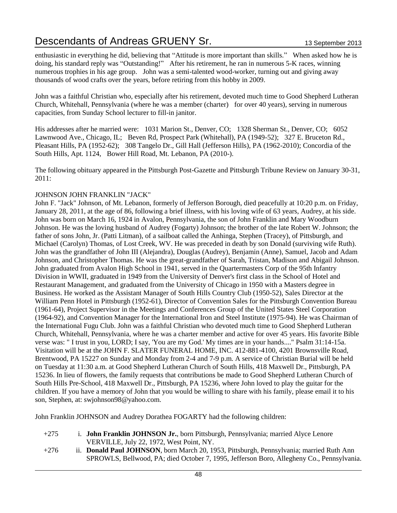enthusiastic in everything he did, believing that "Attitude is more important than skills." When asked how he is doing, his standard reply was "Outstanding!" After his retirement, he ran in numerous 5-K races, winning numerous trophies in his age group. John was a semi-talented wood-worker, turning out and giving away thousands of wood crafts over the years, before retiring from this hobby in 2009.

John was a faithful Christian who, especially after his retirement, devoted much time to Good Shepherd Lutheran Church, Whitehall, Pennsylvania (where he was a member (charter) for over 40 years), serving in numerous capacities, from Sunday School lecturer to fill-in janitor.

His addresses after he married were: 1031 Marion St., Denver, CO; 1328 Sherman St., Denver, CO; 6052 Lawnwood Ave., Chicago, IL; Beven Rd, Prospect Park (Whitehall), PA (1949-52); 327 E. Bruceton Rd., Pleasant Hills, PA (1952-62); 308 Tangelo Dr., Gill Hall (Jefferson Hills), PA (1962-2010); Concordia of the South Hills, Apt. 1124, Bower Hill Road, Mt. Lebanon, PA (2010-).

The following obituary appeared in the Pittsburgh Post-Gazette and Pittsburgh Tribune Review on January 30-31, 2011:

#### JOHNSON JOHN FRANKLIN "JACK"

John F. "Jack" Johnson, of Mt. Lebanon, formerly of Jefferson Borough, died peacefully at 10:20 p.m. on Friday, January 28, 2011, at the age of 86, following a brief illness, with his loving wife of 63 years, Audrey, at his side. John was born on March 16, 1924 in Avalon, Pennsylvania, the son of John Franklin and Mary Woodburn Johnson. He was the loving husband of Audrey (Fogarty) Johnson; the brother of the late Robert W. Johnson; the father of sons John, Jr. (Patti Litman), of a sailboat called the Anhinga, Stephen (Tracey), of Pittsburgh, and Michael (Carolyn) Thomas, of Lost Creek, WV. He was preceded in death by son Donald (surviving wife Ruth). John was the grandfather of John III (Alejandra), Douglas (Audrey), Benjamin (Anne), Samuel, Jacob and Adam Johnson, and Christopher Thomas. He was the great-grandfather of Sarah, Tristan, Madison and Abigail Johnson. John graduated from Avalon High School in 1941, served in the Quartermasters Corp of the 95th Infantry Division in WWII, graduated in 1949 from the University of Denver's first class in the School of Hotel and Restaurant Management, and graduated from the University of Chicago in 1950 with a Masters degree in Business. He worked as the Assistant Manager of South Hills Country Club (1950-52), Sales Director at the William Penn Hotel in Pittsburgh (1952-61), Director of Convention Sales for the Pittsburgh Convention Bureau (1961-64), Project Supervisor in the Meetings and Conferences Group of the United States Steel Corporation (1964-92), and Convention Manager for the International Iron and Steel Institute (1975-94). He was Chairman of the International Fugu Club. John was a faithful Christian who devoted much time to Good Shepherd Lutheran Church, Whitehall, Pennsylvania, where he was a charter member and active for over 45 years. His favorite Bible verse was: " I trust in you, LORD; I say, 'You are my God.' My times are in your hands...." Psalm 31:14-15a. Visitation will be at the JOHN F. SLATER FUNERAL HOME, INC. 412-881-4100, 4201 Brownsville Road, Brentwood, PA 15227 on Sunday and Monday from 2-4 and 7-9 p.m. A service of Christian Burial will be held on Tuesday at 11:30 a.m. at Good Shepherd Lutheran Church of South Hills, 418 Maxwell Dr., Pittsburgh, PA 15236. In lieu of flowers, the family requests that contributions be made to Good Shepherd Lutheran Church of South Hills Pre-School, 418 Maxwell Dr., Pittsburgh, PA 15236, where John loved to play the guitar for the children. If you have a memory of John that you would be willing to share with his family, please email it to his son, Stephen, at: swjohnson98@yahoo.com.

John Franklin JOHNSON and Audrey Dorathea FOGARTY had the following children:

| $+275$ | i. John Franklin JOHNSON Jr., born Pittsburgh, Pennsylvania; married Alyce Lenore |
|--------|-----------------------------------------------------------------------------------|
|        | VERVILLE, July 22, 1972, West Point, NY.                                          |

+276 ii. **Donald Paul JOHNSON**, born March 20, 1953, Pittsburgh, Pennsylvania; married Ruth Ann SPROWLS, Bellwood, PA; died October 7, 1995, Jefferson Boro, Allegheny Co., Pennsylvania.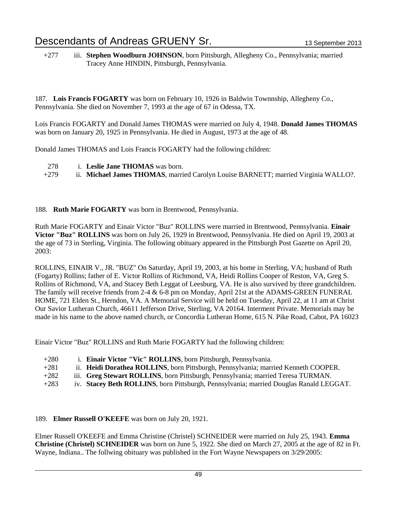+277 iii. **Stephen Woodburn JOHNSON**, born Pittsburgh, Allegheny Co., Pennsylvania; married Tracey Anne HINDIN, Pittsburgh, Pennsylvania.

187. **Lois Francis FOGARTY** was born on February 10, 1926 in Baldwin Townnship, Allegheny Co., Pennsylvania. She died on November 7, 1993 at the age of 67 in Odessa, TX.

Lois Francis FOGARTY and Donald James THOMAS were married on July 4, 1948. **Donald James THOMAS** was born on January 20, 1925 in Pennsylvania. He died in August, 1973 at the age of 48.

Donald James THOMAS and Lois Francis FOGARTY had the following children:

- 278 i. **Leslie Jane THOMAS** was born.
- +279 ii. **Michael James THOMAS**, married Carolyn Louise BARNETT; married Virginia WALLO?.

#### 188. **Ruth Marie FOGARTY** was born in Brentwood, Pennsylvania.

Ruth Marie FOGARTY and Einair Victor "Buz" ROLLINS were married in Brentwood, Pennsylvania. **Einair Victor "Buz" ROLLINS** was born on July 26, 1929 in Brentwood, Pennsylvania. He died on April 19, 2003 at the age of 73 in Sterling, Virginia. The following obituary appeared in the Pittsburgh Post Gazette on April 20, 2003:

ROLLINS, EINAIR V., JR. "BUZ" On Saturday, April 19, 2003, at his home in Sterling, VA; husband of Ruth (Fogarty) Rollins; father of E. Victor Rollins of Richmond, VA, Heidi Rollins Cooper of Reston, VA, Greg S. Rollins of Richmond, VA, and Stacey Beth Leggat of Leesburg, VA. He is also survived by three grandchildren. The family will receive friends from 2-4 & 6-8 pm on Monday, April 21st at the ADAMS-GREEN FUNERAL HOME, 721 Elden St., Herndon, VA. A Memorial Service will be held on Tuesday, April 22, at 11 am at Christ Our Savior Lutheran Church, 46611 Jefferson Drive, Sterling, VA 20164. Interment Private. Memorials may be made in his name to the above named church, or Concordia Lutheran Home, 615 N. Pike Road, Cabot, PA 16023

Einair Victor "Buz" ROLLINS and Ruth Marie FOGARTY had the following children:

- +280 i. **Einair Victor "Vic" ROLLINS**, born Pittsburgh, Pennsylvania.
- +281 ii. **Heidi Dorathea ROLLINS**, born Pittsburgh, Pennsylvania; married Kenneth COOPER.
- +282 iii. **Greg Stewart ROLLINS**, born Pittsburgh, Pennsylvania; married Teresa TURMAN.
- +283 iv. **Stacey Beth ROLLINS**, born Pittsburgh, Pennsylvania; married Douglas Ranald LEGGAT.

#### 189. **Elmer Russell O'KEEFE** was born on July 20, 1921.

Elmer Russell O'KEEFE and Emma Christine (Christel) SCHNEIDER were married on July 25, 1943. **Emma Christine (Christel) SCHNEIDER** was born on June 5, 1922. She died on March 27, 2005 at the age of 82 in Ft. Wayne, Indiana.. The follwing obituary was published in the Fort Wayne Newspapers on 3/29/2005: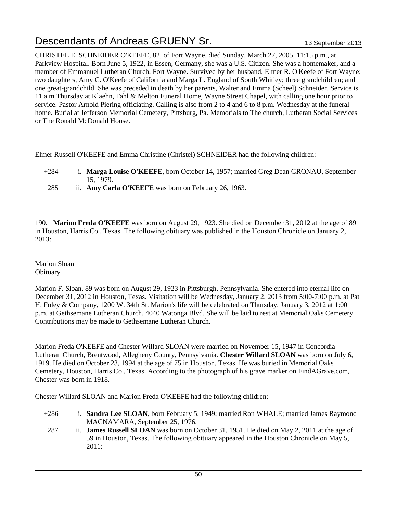CHRISTEL E. SCHNEIDER O'KEEFE, 82, of Fort Wayne, died Sunday, March 27, 2005, 11:15 p.m., at Parkview Hospital. Born June 5, 1922, in Essen, Germany, she was a U.S. Citizen. She was a homemaker, and a member of Emmanuel Lutheran Church, Fort Wayne. Survived by her husband, Elmer R. O'Keefe of Fort Wayne; two daughters, Amy C. O'Keefe of California and Marga L. England of South Whitley; three grandchildren; and one great-grandchild. She was preceded in death by her parents, Walter and Emma (Scheel) Schneider. Service is 11 a.m Thursday at Klaehn, Fahl & Melton Funeral Home, Wayne Street Chapel, with calling one hour prior to service. Pastor Arnold Piering officiating. Calling is also from 2 to 4 and 6 to 8 p.m. Wednesday at the funeral home. Burial at Jefferson Memorial Cemetery, Pittsburg, Pa. Memorials to The church, Lutheran Social Services or The Ronald McDonald House.

Elmer Russell O'KEEFE and Emma Christine (Christel) SCHNEIDER had the following children:

- +284 i. **Marga Louise O'KEEFE**, born October 14, 1957; married Greg Dean GRONAU, September 15, 1979.
- 285 ii. **Amy Carla O'KEEFE** was born on February 26, 1963.

190. **Marion Freda O'KEEFE** was born on August 29, 1923. She died on December 31, 2012 at the age of 89 in Houston, Harris Co., Texas. The following obituary was published in the Houston Chronicle on January 2, 2013:

Marion Sloan **Obituary** 

Marion F. Sloan, 89 was born on August 29, 1923 in Pittsburgh, Pennsylvania. She entered into eternal life on December 31, 2012 in Houston, Texas. Visitation will be Wednesday, January 2, 2013 from 5:00-7:00 p.m. at Pat H. Foley & Company, 1200 W. 34th St. Marion's life will be celebrated on Thursday, January 3, 2012 at 1:00 p.m. at Gethsemane Lutheran Church, 4040 Watonga Blvd. She will be laid to rest at Memorial Oaks Cemetery. Contributions may be made to Gethsemane Lutheran Church.

Marion Freda O'KEEFE and Chester Willard SLOAN were married on November 15, 1947 in Concordia Lutheran Church, Brentwood, Allegheny County, Pennsylvania. **Chester Willard SLOAN** was born on July 6, 1919. He died on October 23, 1994 at the age of 75 in Houston, Texas. He was buried in Memorial Oaks Cemetery, Houston, Harris Co., Texas. According to the photograph of his grave marker on FindAGrave.com, Chester was born in 1918.

Chester Willard SLOAN and Marion Freda O'KEEFE had the following children:

- +286 i. **Sandra Lee SLOAN**, born February 5, 1949; married Ron WHALE; married James Raymond MACNAMARA, September 25, 1976.
- 287 ii. **James Russell SLOAN** was born on October 31, 1951. He died on May 2, 2011 at the age of 59 in Houston, Texas. The following obituary appeared in the Houston Chronicle on May 5, 2011: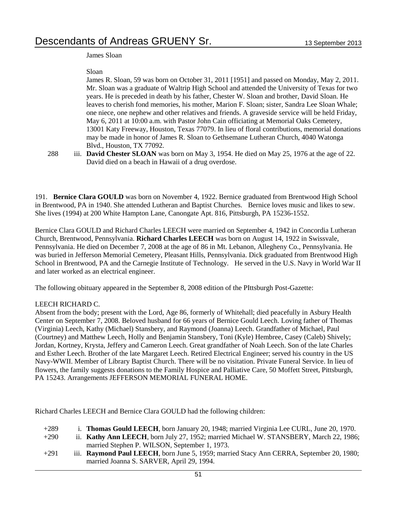#### James Sloan

#### Sloan

James R. Sloan, 59 was born on October 31, 2011 [1951] and passed on Monday, May 2, 2011. Mr. Sloan was a graduate of Waltrip High School and attended the University of Texas for two years. He is preceded in death by his father, Chester W. Sloan and brother, David Sloan. He leaves to cherish fond memories, his mother, Marion F. Sloan; sister, Sandra Lee Sloan Whale; one niece, one nephew and other relatives and friends. A graveside service will be held Friday, May 6, 2011 at 10:00 a.m. with Pastor John Cain officiating at Memorial Oaks Cemetery, 13001 Katy Freeway, Houston, Texas 77079. In lieu of floral contributions, memorial donations may be made in honor of James R. Sloan to Gethsemane Lutheran Church, 4040 Watonga Blvd., Houston, TX 77092.

288 iii. **David Chester SLOAN** was born on May 3, 1954. He died on May 25, 1976 at the age of 22. David died on a beach in Hawaii of a drug overdose.

191. **Bernice Clara GOULD** was born on November 4, 1922. Bernice graduated from Brentwood High School in Brentwood, PA in 1940. She attended Lutheran and Baptist Churches. Bernice loves music and likes to sew. She lives (1994) at 200 White Hampton Lane, Canongate Apt. 816, Pittsburgh, PA 15236-1552.

Bernice Clara GOULD and Richard Charles LEECH were married on September 4, 1942 in Concordia Lutheran Church, Brentwood, Pennsylvania. **Richard Charles LEECH** was born on August 14, 1922 in Swissvale, Pennsylvania. He died on December 7, 2008 at the age of 86 in Mt. Lebanon, Allegheny Co., Pennsylvania. He was buried in Jefferson Memorial Cemetery, Pleasant Hills, Pennsylvania. Dick graduated from Brentwood High School in Brentwood, PA and the Carnegie Institute of Technology. He served in the U.S. Navy in World War II and later worked as an electrical engineer.

The following obituary appeared in the September 8, 2008 edition of the PIttsburgh Post-Gazette:

#### LEECH RICHARD C.

Absent from the body; present with the Lord, Age 86, formerly of Whitehall; died peacefully in Asbury Health Center on September 7, 2008. Beloved husband for 66 years of Bernice Gould Leech. Loving father of Thomas (Virginia) Leech, Kathy (Michael) Stansbery, and Raymond (Joanna) Leech. Grandfather of Michael, Paul (Courtney) and Matthew Leech, Holly and Benjamin Stansbery, Toni (Kyle) Hembree, Casey (Caleb) Shively; Jordan, Kortney, Krysta, Jeffery and Cameron Leech. Great grandfather of Noah Leech. Son of the late Charles and Esther Leech. Brother of the late Margaret Leech. Retired Electrical Engineer; served his country in the US Navy-WWII. Member of Library Baptist Church. There will be no visitation. Private Funeral Service. In lieu of flowers, the family suggests donations to the Family Hospice and Palliative Care, 50 Moffett Street, Pittsburgh, PA 15243. Arrangements JEFFERSON MEMORIAL FUNERAL HOME.

Richard Charles LEECH and Bernice Clara GOULD had the following children:

| $+289$ | i. Thomas Gould LEECH, born January 20, 1948; married Virginia Lee CURL, June 20, 1970.  |
|--------|------------------------------------------------------------------------------------------|
| $+290$ | ii. Kathy Ann LEECH, born July 27, 1952; married Michael W. STANSBERY, March 22, 1986;   |
|        | married Stephen P. WILSON, September 1, 1973.                                            |
| $+291$ | iii. Raymond Paul LEECH, born June 5, 1959; married Stacy Ann CERRA, September 20, 1980; |
|        | married Joanna S. SARVER, April 29, 1994.                                                |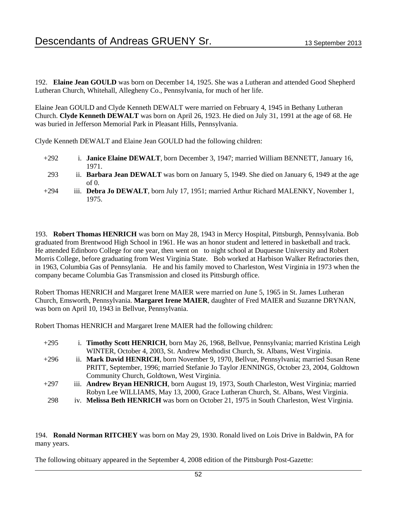192. **Elaine Jean GOULD** was born on December 14, 1925. She was a Lutheran and attended Good Shepherd Lutheran Church, Whitehall, Allegheny Co., Pennsylvania, for much of her life.

Elaine Jean GOULD and Clyde Kenneth DEWALT were married on February 4, 1945 in Bethany Lutheran Church. **Clyde Kenneth DEWALT** was born on April 26, 1923. He died on July 31, 1991 at the age of 68. He was buried in Jefferson Memorial Park in Pleasant Hills, Pennsylvania.

Clyde Kenneth DEWALT and Elaine Jean GOULD had the following children:

- +292 i. **Janice Elaine DEWALT**, born December 3, 1947; married William BENNETT, January 16, 1971.
- 293 ii. **Barbara Jean DEWALT** was born on January 5, 1949. She died on January 6, 1949 at the age of 0.
- +294 iii. **Debra Jo DEWALT**, born July 17, 1951; married Arthur Richard MALENKY, November 1, 1975.

193. **Robert Thomas HENRICH** was born on May 28, 1943 in Mercy Hospital, Pittsburgh, Pennsylvania. Bob graduated from Brentwood High School in 1961. He was an honor student and lettered in basketball and track. He attended Edinboro College for one year, then went on to night school at Duquesne University and Robert Morris College, before graduating from West Virginia State. Bob worked at Harbison Walker Refractories then, in 1963, Columbia Gas of Pennsylania. He and his family moved to Charleston, West Virginia in 1973 when the company became Columbia Gas Transmission and closed its Pittsburgh office.

Robert Thomas HENRICH and Margaret Irene MAIER were married on June 5, 1965 in St. James Lutheran Church, Emsworth, Pennsylvania. **Margaret Irene MAIER**, daughter of Fred MAIER and Suzanne DRYNAN, was born on April 10, 1943 in Bellvue, Pennsylvania.

Robert Thomas HENRICH and Margaret Irene MAIER had the following children:

| $+295$ | i. Timothy Scott HENRICH, born May 26, 1968, Bellvue, Pennsylvania; married Kristina Leigh |
|--------|--------------------------------------------------------------------------------------------|
|        | WINTER, October 4, 2003, St. Andrew Methodist Church, St. Albans, West Virginia.           |
| $+296$ | ii. Mark David HENRICH, born November 9, 1970, Bellyue, Pennsylvania; married Susan Rene   |
|        | PRITT, September, 1996; married Stefanie Jo Taylor JENNINGS, October 23, 2004, Goldtown    |
|        | Community Church, Goldtown, West Virginia.                                                 |
| $+297$ | iii. Andrew Bryan HENRICH, born August 19, 1973, South Charleston, West Virginia; married  |
|        | Robyn Lee WILLIAMS, May 13, 2000, Grace Lutheran Church, St. Albans, West Virginia.        |
| 298    | iv. Melissa Beth HENRICH was born on October 21, 1975 in South Charleston, West Virginia.  |

194. **Ronald Norman RITCHEY** was born on May 29, 1930. Ronald lived on Lois Drive in Baldwin, PA for many years.

The following obituary appeared in the September 4, 2008 edition of the Pittsburgh Post-Gazette: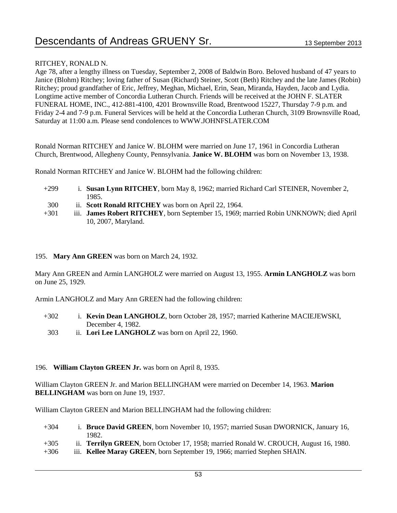#### RITCHEY, RONALD N.

Age 78, after a lengthy illness on Tuesday, September 2, 2008 of Baldwin Boro. Beloved husband of 47 years to Janice (Blohm) Ritchey; loving father of Susan (Richard) Steiner, Scott (Beth) Ritchey and the late James (Robin) Ritchey; proud grandfather of Eric, Jeffrey, Meghan, Michael, Erin, Sean, Miranda, Hayden, Jacob and Lydia. Longtime active member of Concordia Lutheran Church. Friends will be received at the JOHN F. SLATER FUNERAL HOME, INC., 412-881-4100, 4201 Brownsville Road, Brentwood 15227, Thursday 7-9 p.m. and Friday 2-4 and 7-9 p.m. Funeral Services will be held at the Concordia Lutheran Church, 3109 Brownsville Road, Saturday at 11:00 a.m. Please send condolences to WWW.JOHNFSLATER.COM

Ronald Norman RITCHEY and Janice W. BLOHM were married on June 17, 1961 in Concordia Lutheran Church, Brentwood, Allegheny County, Pennsylvania. **Janice W. BLOHM** was born on November 13, 1938.

Ronald Norman RITCHEY and Janice W. BLOHM had the following children:

- +299 i. **Susan Lynn RITCHEY**, born May 8, 1962; married Richard Carl STEINER, November 2, 1985.
- 300 ii. **Scott Ronald RITCHEY** was born on April 22, 1964.
- +301 iii. **James Robert RITCHEY**, born September 15, 1969; married Robin UNKNOWN; died April 10, 2007, Maryland.

#### 195. **Mary Ann GREEN** was born on March 24, 1932.

Mary Ann GREEN and Armin LANGHOLZ were married on August 13, 1955. **Armin LANGHOLZ** was born on June 25, 1929.

Armin LANGHOLZ and Mary Ann GREEN had the following children:

- +302 i. **Kevin Dean LANGHOLZ**, born October 28, 1957; married Katherine MACIEJEWSKI, December 4, 1982.
- 303 ii. **Lori Lee LANGHOLZ** was born on April 22, 1960.

#### 196. **William Clayton GREEN Jr.** was born on April 8, 1935.

William Clayton GREEN Jr. and Marion BELLINGHAM were married on December 14, 1963. **Marion BELLINGHAM** was born on June 19, 1937.

William Clayton GREEN and Marion BELLINGHAM had the following children:

- +304 i. **Bruce David GREEN**, born November 10, 1957; married Susan DWORNICK, January 16, 1982.
- +305 ii. **Terrilyn GREEN**, born October 17, 1958; married Ronald W. CROUCH, August 16, 1980.
- +306 iii. **Kellee Maray GREEN**, born September 19, 1966; married Stephen SHAIN.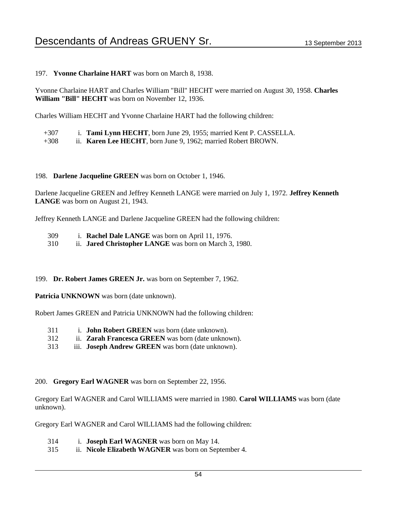197. **Yvonne Charlaine HART** was born on March 8, 1938.

Yvonne Charlaine HART and Charles William "Bill" HECHT were married on August 30, 1958. **Charles William "Bill" HECHT** was born on November 12, 1936.

Charles William HECHT and Yvonne Charlaine HART had the following children:

- +307 i. **Tami Lynn HECHT**, born June 29, 1955; married Kent P. CASSELLA.
- +308 ii. **Karen Lee HECHT**, born June 9, 1962; married Robert BROWN.

#### 198. **Darlene Jacqueline GREEN** was born on October 1, 1946.

Darlene Jacqueline GREEN and Jeffrey Kenneth LANGE were married on July 1, 1972. **Jeffrey Kenneth LANGE** was born on August 21, 1943.

Jeffrey Kenneth LANGE and Darlene Jacqueline GREEN had the following children:

- 309 i. **Rachel Dale LANGE** was born on April 11, 1976.
- 310 ii. **Jared Christopher LANGE** was born on March 3, 1980.

199. **Dr. Robert James GREEN Jr.** was born on September 7, 1962.

Patricia UNKNOWN was born (date unknown).

Robert James GREEN and Patricia UNKNOWN had the following children:

- 311 i. **John Robert GREEN** was born (date unknown).
- 312 ii. **Zarah Francesca GREEN** was born (date unknown).
- 313 iii. **Joseph Andrew GREEN** was born (date unknown).

200. **Gregory Earl WAGNER** was born on September 22, 1956.

Gregory Earl WAGNER and Carol WILLIAMS were married in 1980. **Carol WILLIAMS** was born (date unknown).

Gregory Earl WAGNER and Carol WILLIAMS had the following children:

- 314 i. **Joseph Earl WAGNER** was born on May 14.
- 315 ii. **Nicole Elizabeth WAGNER** was born on September 4.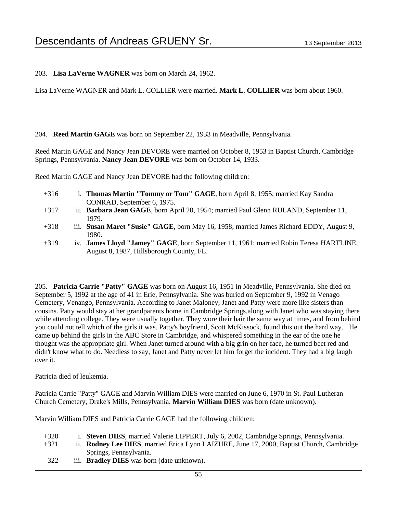203. **Lisa LaVerne WAGNER** was born on March 24, 1962.

Lisa LaVerne WAGNER and Mark L. COLLIER were married. **Mark L. COLLIER** was born about 1960.

#### 204. **Reed Martin GAGE** was born on September 22, 1933 in Meadville, Pennsylvania.

Reed Martin GAGE and Nancy Jean DEVORE were married on October 8, 1953 in Baptist Church, Cambridge Springs, Pennsylvania. **Nancy Jean DEVORE** was born on October 14, 1933.

Reed Martin GAGE and Nancy Jean DEVORE had the following children:

- +316 i. **Thomas Martin "Tommy or Tom" GAGE**, born April 8, 1955; married Kay Sandra CONRAD, September 6, 1975.
- +317 ii. **Barbara Jean GAGE**, born April 20, 1954; married Paul Glenn RULAND, September 11, 1979.
- +318 iii. **Susan Maret "Susie" GAGE**, born May 16, 1958; married James Richard EDDY, August 9, 1980.
- +319 iv. **James Lloyd "Jamey" GAGE**, born September 11, 1961; married Robin Teresa HARTLINE, August 8, 1987, Hillsborough County, FL.

205. **Patricia Carrie "Patty" GAGE** was born on August 16, 1951 in Meadville, Pennsylvania. She died on September 5, 1992 at the age of 41 in Erie, Pennsylvania. She was buried on September 9, 1992 in Venago Cemetery, Venango, Pennsylvania. According to Janet Maloney, Janet and Patty were more like sisters than cousins. Patty would stay at her grandparents home in Cambridge Springs,along with Janet who was staying there while attending college. They were usually together. They wore their hair the same way at times, and from behind you could not tell which of the girls it was. Patty's boyfriend, Scott McKissock, found this out the hard way. He came up behind the girls in the ABC Store in Cambridge, and whispered something in the ear of the one he thought was the appropriate girl. When Janet turned around with a big grin on her face, he turned beet red and didn't know what to do. Needless to say, Janet and Patty never let him forget the incident. They had a big laugh over it.

Patricia died of leukemia.

Patricia Carrie "Patty" GAGE and Marvin William DIES were married on June 6, 1970 in St. Paul Lutheran Church Cemetery, Drake's Mills, Pennsylvania. **Marvin William DIES** was born (date unknown).

Marvin William DIES and Patricia Carrie GAGE had the following children:

- +320 i. **Steven DIES**, married Valerie LIPPERT, July 6, 2002, Cambridge Springs, Pennsylvania.
- +321 ii. **Rodney Lee DIES**, married Erica Lynn LAIZURE, June 17, 2000, Baptist Church, Cambridge Springs, Pennsylvania.
- 322 iii. **Bradley DIES** was born (date unknown).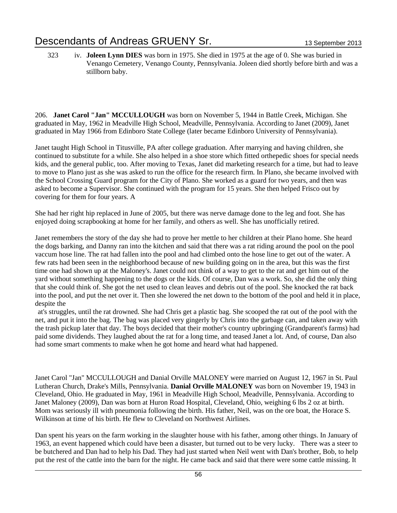323 iv. **Joleen Lynn DIES** was born in 1975. She died in 1975 at the age of 0. She was buried in Venango Cemetery, Venango County, Pennsylvania. Joleen died shortly before birth and was a stillborn baby.

206. **Janet Carol "Jan" MCCULLOUGH** was born on November 5, 1944 in Battle Creek, Michigan. She graduated in May, 1962 in Meadville High School, Meadville, Pennsylvania. According to Janet (2009), Janet graduated in May 1966 from Edinboro State College (later became Edinboro University of Pennsylvania).

Janet taught High School in Titusville, PA after college graduation. After marrying and having children, she continued to substitute for a while. She also helped in a shoe store which fitted orthepedic shoes for special needs kids, and the general public, too. After moving to Texas, Janet did marketing research for a time, but had to leave to move to Plano just as she was asked to run the office for the research firm. In Plano, she became involved with the School Crossing Guard program for the City of Plano. She worked as a guard for two years, and then was asked to become a Supervisor. She continued with the program for 15 years. She then helped Frisco out by covering for them for four years. A

She had her right hip replaced in June of 2005, but there was nerve damage done to the leg and foot. She has enjoyed doing scrapbooking at home for her family, and others as well. She has unofficially retired.

Janet remembers the story of the day she had to prove her mettle to her children at their Plano home. She heard the dogs barking, and Danny ran into the kitchen and said that there was a rat riding around the pool on the pool vaccum hose line. The rat had fallen into the pool and had climbed onto the hose line to get out of the water. A few rats had been seen in the neighborhood because of new building going on in the area, but this was the first time one had shown up at the Maloney's. Janet could not think of a way to get to the rat and get him out of the yard without something happening to the dogs or the kids. Of course, Dan was a work. So, she did the only thing that she could think of. She got the net used to clean leaves and debris out of the pool. She knocked the rat back into the pool, and put the net over it. Then she lowered the net down to the bottom of the pool and held it in place, despite the

at's struggles, until the rat drowned. She had Chris get a plastic bag. She scooped the rat out of the pool with the net, and put it into the bag. The bag was placed very gingerly by Chris into the garbage can, and taken away with the trash pickup later that day. The boys decided that their mother's country upbringing (Grandparent's farms) had paid some dividends. They laughed about the rat for a long time, and teased Janet a lot. And, of course, Dan also had some smart comments to make when he got home and heard what had happened.

Janet Carol "Jan" MCCULLOUGH and Danial Orville MALONEY were married on August 12, 1967 in St. Paul Lutheran Church, Drake's Mills, Pennsylvania. **Danial Orville MALONEY** was born on November 19, 1943 in Cleveland, Ohio. He graduated in May, 1961 in Meadville High School, Meadville, Pennsylvania. According to Janet Maloney (2009), Dan was born at Huron Road Hospital, Cleveland, Ohio, weighing 6 lbs 2 oz at birth. Mom was seriously ill with pneumonia following the birth. His father, Neil, was on the ore boat, the Horace S. Wilkinson at time of his birth. He flew to Cleveland on Northwest Airlines.

Dan spent his years on the farm working in the slaughter house with his father, among other things. In January of 1963, an event happened which could have been a disaster, but turned out to be very lucky. There was a steer to be butchered and Dan had to help his Dad. They had just started when Neil went with Dan's brother, Bob, to help put the rest of the cattle into the barn for the night. He came back and said that there were some cattle missing. It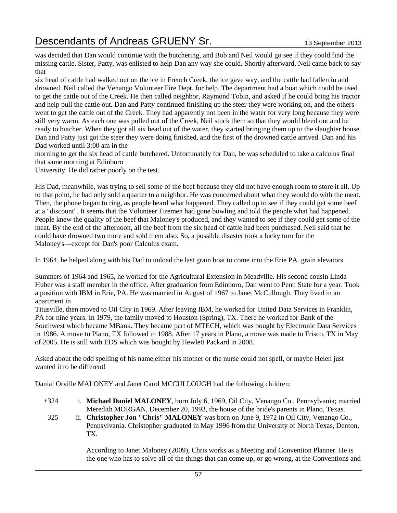was decided that Dan would continue with the butchering, and Bob and Neil would go see if they could find the missing cattle. Sister, Patty, was enlisted to help Dan any way she could. Shortly afterward, Neil came back to say that

six head of cattle had walked out on the ice in French Creek, the ice gave way, and the cattle had fallen in and drowned. Neil called the Venango Volunteer Fire Dept. for help. The department had a boat which could be used to get the cattle out of the Creek. He then called neighbor, Raymond Tobin, and asked if he could bring his tractor and help pull the cattle out. Dan and Patty continued finishing up the steer they were working on, and the others went to get the cattle out of the Creek. They had apparently not been in the water for very long because they were still very warm. As each one was pulled out of the Creek, Neil stuck them so that they would bleed out and be ready to butcher. When they got all six head out of the water, they started bringing them up to the slaughter house. Dan and Patty just got the steer they were doing finished, and the first of the drowned cattle arrived. Dan and his Dad worked until 3:00 am in the

morning to get the six head of cattle butchered. Unfortunately for Dan, he was scheduled to take a calculus final that same morning at Edinboro

University. He did rather poorly on the test.

His Dad, meanwhile, was trying to sell some of the beef because they did not have enough room to store it all. Up to that point, he had only sold a quarter to a neighbor. He was concerned about what they would do with the meat. Then, the phone began to ring, as people heard what happened. They called up to see if they could get some beef at a "discount". It seems that the Volunteer Firemen had gone bowling and told the people what had happened. People knew the quality of the beef that Maloney's produced, and they wanted to see if they could get some of the meat. By the end of the afternoon, all the beef from the six head of cattle had been purchased. Neil said that he could have drowned two more and sold them also. So, a possible disaster took a lucky turn for the Maloney's---except for Dan's poor Calculus exam.

In 1964, he helped along with his Dad to unload the last grain boat to come into the Erie PA. grain elevators.

Summers of 1964 and 1965, he worked for the Agricultural Extension in Meadville. His second cousin Linda Huber was a staff member in the office. After graduation from Edinboro, Dan went to Penn State for a year. Took a position with IBM in Erie, PA. He was married in August of 1967 to Janet McCullough. They lived in an apartment in

Titusville, then moved to Oil City in 1969. After leaving IBM, he worked for United Data Services in Franklin, PA for nine years. In 1979, the family moved to Houston (Spring), TX. There he worked for Bank of the Southwest which became MBank. They became part of MTECH, which was bought by Electronic Data Services in 1986. A move to Plano, TX followed in 1988. After 17 years in Plano, a move was made to Frisco, TX in May of 2005. He is still with EDS which was bought by Hewlett Packard in 2008.

Asked about the odd spelling of his name,either his mother or the nurse could not spell, or maybe Helen just wanted it to be different!

Danial Orville MALONEY and Janet Carol MCCULLOUGH had the following children:

- +324 i. **Michael Daniel MALONEY**, born July 6, 1969, Oil City, Venango Co., Pennsylvania; married Meredith MORGAN, December 20, 1993, the house of the bride's parents in Plano, Texas.
- 325 ii. **Christopher Jon "Chris" MALONEY** was born on June 9, 1972 in Oil City, Venango Co., Pennsylvania. Christopher graduated in May 1996 from the University of North Texas, Denton, TX.

According to Janet Maloney (2009), Chris works as a Meeting and Convention Planner. He is the one who has to solve all of the things that can come up, or go wrong, at the Conventions and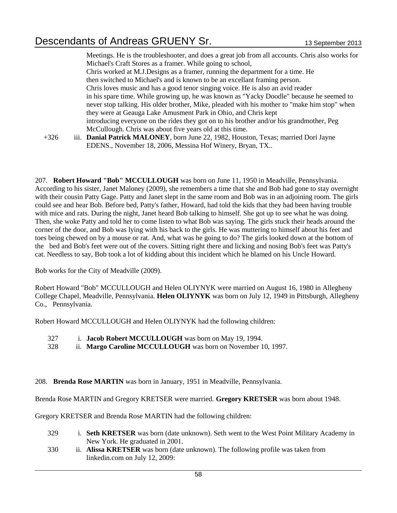Meetings. He is the troubleshooter, and does a great job from all accounts. Chris also works for Michael's Craft Stores as a framer. While going to school, Chris worked at M.J.Designs as a framer, running the department for a time. He then switched to Michael's and is known to be an excellant framing person. Chris loves music and has a good tenor singing voice. He is also an avid reader in his spare time. While growing up, he was known as "Yacky Doodle" because he seemed to never stop talking. His older brother, Mike, pleaded with his mother to "make him stop" when they were at Geauga Lake Amusment Park in Ohio, and Chris kept introducing everyone on the rides they got on to his brother and/or his grandmother, Peg McCullough. Chris was about five years old at this time.

+326 iii. **Danial Patrick MALONEY**, born June 22, 1982, Houston, Texas; married Dori Jayne EDENS., November 18, 2006, Messina Hof Winery, Bryan, TX..

207. **Robert Howard "Bob" MCCULLOUGH** was born on June 11, 1950 in Meadville, Pennsylvania. According to his sister, Janet Maloney (2009), she remembers a time that she and Bob had gone to stay overnight with their cousin Patty Gage. Patty and Janet slept in the same room and Bob was in an adjoining room. The girls could see and hear Bob. Before bed, Patty's father, Howard, had told the kids that they had been having trouble with mice and rats. During the night, Janet heard Bob talking to himself. She got up to see what he was doing. Then, she woke Patty and told her to come listen to what Bob was saying. The girls stuck their heads around the corner of the door, and Bob was lying with his back to the girls. He was muttering to himself about his feet and toes being chewed on by a mouse or rat. And, what was he going to do? The girls looked down at the bottom of the bed and Bob's feet were out of the covers. Sitting right there and licking and nosing Bob's feet was Patty's cat. Needless to say, Bob took a lot of kidding about this incident which he blamed on his Uncle Howard.

Bob works for the City of Meadville (2009).

Robert Howard "Bob" MCCULLOUGH and Helen OLIYNYK were married on August 16, 1980 in Allegheny College Chapel, Meadville, Pennsylvania. **Helen OLIYNYK** was born on July 12, 1949 in Pittsburgh, Allegheny Co., Pennsylvania.

Robert Howard MCCULLOUGH and Helen OLIYNYK had the following children:

- 327 i. **Jacob Robert MCCULLOUGH** was born on May 19, 1994.
- 328 ii. **Margo Caroline MCCULLOUGH** was born on November 10, 1997.

#### 208. **Brenda Rose MARTIN** was born in January, 1951 in Meadville, Pennsylvania.

Brenda Rose MARTIN and Gregory KRETSER were married. **Gregory KRETSER** was born about 1948.

Gregory KRETSER and Brenda Rose MARTIN had the following children:

- 329 i. **Seth KRETSER** was born (date unknown). Seth went to the West Point Military Academy in New York. He graduated in 2001.
- 330 ii. **Alissa KRETSER** was born (date unknown). The following profile was taken from linkedin.com on July 12, 2009: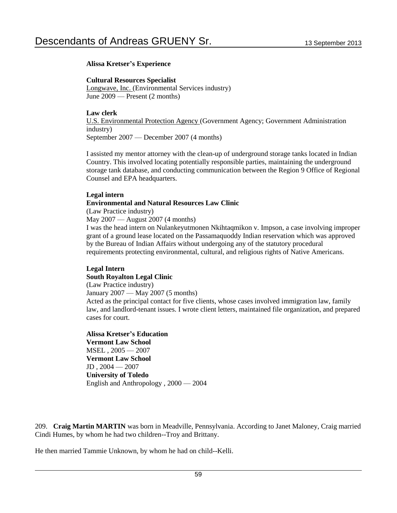#### **Alissa Kretser's Experience**

**Cultural Resources Specialist** 

Longwave, Inc. (Environmental Services industry) June 2009 — Present (2 months)

#### **Law clerk**

U.S. Environmental Protection Agency (Government Agency; Government Administration industry) September 2007 — December 2007 (4 months)

I assisted my mentor attorney with the clean-up of underground storage tanks located in Indian Country. This involved locating potentially responsible parties, maintaining the underground storage tank database, and conducting communication between the Region 9 Office of Regional Counsel and EPA headquarters.

#### **Legal intern**

#### **Environmental and Natural Resources Law Clinic**

(Law Practice industry)

May 2007 — August 2007 (4 months)

I was the head intern on Nulankeyutmonen Nkihtaqmikon v. Impson, a case involving improper grant of a ground lease located on the Passamaquoddy Indian reservation which was approved by the Bureau of Indian Affairs without undergoing any of the statutory procedural requirements protecting environmental, cultural, and religious rights of Native Americans.

### **Legal Intern**

**South Royalton Legal Clinic**

(Law Practice industry)

January 2007 — May 2007 (5 months)

Acted as the principal contact for five clients, whose cases involved immigration law, family law, and landlord-tenant issues. I wrote client letters, maintained file organization, and prepared cases for court.

#### **Alissa Kretser's Education Vermont Law School**

MSEL , 2005 — 2007 **Vermont Law School**   $JD, 2004 - 2007$ **University of Toledo**  English and Anthropology , 2000 — 2004

209. **Craig Martin MARTIN** was born in Meadville, Pennsylvania. According to Janet Maloney, Craig married Cindi Humes, by whom he had two children--Troy and Brittany.

He then married Tammie Unknown, by whom he had on child--Kelli.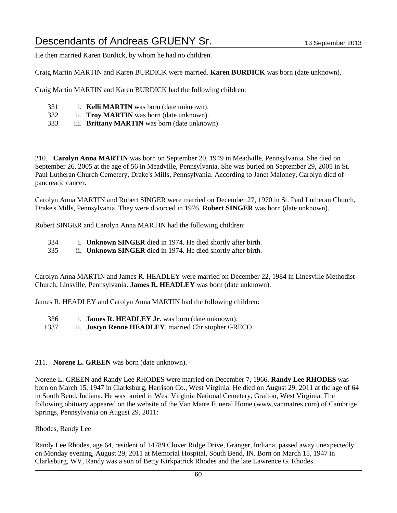He then married Karen Burdick, by whom he had no children.

Craig Martin MARTIN and Karen BURDICK were married. **Karen BURDICK** was born (date unknown).

Craig Martin MARTIN and Karen BURDICK had the following children:

- 331 i. **Kelli MARTIN** was born (date unknown).
- 332 ii. **Troy MARTIN** was born (date unknown).
- 333 iii. **Brittany MARTIN** was born (date unknown).

210. **Carolyn Anna MARTIN** was born on September 20, 1949 in Meadville, Pennsylvania. She died on September 26, 2005 at the age of 56 in Meadville, Pennsylvania. She was buried on September 29, 2005 in St. Paul Lutheran Church Cemetery, Drake's Mills, Pennsylvania. According to Janet Maloney, Carolyn died of pancreatic cancer.

Carolyn Anna MARTIN and Robert SINGER were married on December 27, 1970 in St. Paul Lutheran Church, Drake's Mills, Pennsylvania. They were divorced in 1976. **Robert SINGER** was born (date unknown).

Robert SINGER and Carolyn Anna MARTIN had the following children:

- 334 i. **Unknown SINGER** died in 1974. He died shortly after birth.
- 335 ii. **Unknown SINGER** died in 1974. He died shortly after birth.

Carolyn Anna MARTIN and James R. HEADLEY were married on December 22, 1984 in Linesville Methodist Church, Linsville, Pennsylvania. **James R. HEADLEY** was born (date unknown).

James R. HEADLEY and Carolyn Anna MARTIN had the following children:

- 336 i. **James R. HEADLEY Jr.** was born (date unknown).
- +337 ii. **Justyn Renne HEADLEY**, married Christopher GRECO.

#### 211. **Norene L. GREEN** was born (date unknown).

Norene L. GREEN and Randy Lee RHODES were married on December 7, 1966. **Randy Lee RHODES** was born on March 15, 1947 in Clarksburg, Harrison Co., West Virginia. He died on August 29, 2011 at the age of 64 in South Bend, Indiana. He was buried in West Virginia National Cemetery, Grafton, West Virginia. The following obituary appeared on the website of the Van Matre Funeral Home (www.vanmatres.com) of Cambrige Springs, Pennsylvania on August 29, 2011:

Rhodes, Randy Lee

Randy Lee Rhodes, age 64, resident of 14789 Clover Ridge Drive, Granger, Indiana, passed away unexpectedly on Monday evening, August 29, 2011 at Memorial Hospital, South Bend, IN. Born on March 15, 1947 in Clarksburg, WV, Randy was a son of Betty Kirkpatrick Rhodes and the late Lawrence G. Rhodes.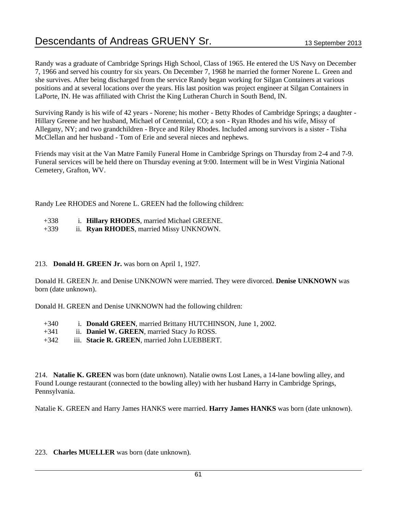Randy was a graduate of Cambridge Springs High School, Class of 1965. He entered the US Navy on December 7, 1966 and served his country for six years. On December 7, 1968 he married the former Norene L. Green and she survives. After being discharged from the service Randy began working for Silgan Containers at various positions and at several locations over the years. His last position was project engineer at Silgan Containers in LaPorte, IN. He was affiliated with Christ the King Lutheran Church in South Bend, IN.

Surviving Randy is his wife of 42 years - Norene; his mother - Betty Rhodes of Cambridge Springs; a daughter - Hillary Greene and her husband, Michael of Centennial, CO; a son - Ryan Rhodes and his wife, Missy of Allegany, NY; and two grandchildren - Bryce and Riley Rhodes. Included among survivors is a sister - Tisha McClellan and her husband - Tom of Erie and several nieces and nephews.

Friends may visit at the Van Matre Family Funeral Home in Cambridge Springs on Thursday from 2-4 and 7-9. Funeral services will be held there on Thursday evening at 9:00. Interment will be in West Virginia National Cemetery, Grafton, WV.

Randy Lee RHODES and Norene L. GREEN had the following children:

- +338 i. **Hillary RHODES**, married Michael GREENE.
- +339 ii. **Ryan RHODES**, married Missy UNKNOWN.

#### 213. **Donald H. GREEN Jr.** was born on April 1, 1927.

Donald H. GREEN Jr. and Denise UNKNOWN were married. They were divorced. **Denise UNKNOWN** was born (date unknown).

Donald H. GREEN and Denise UNKNOWN had the following children:

- +340 i. **Donald GREEN**, married Brittany HUTCHINSON, June 1, 2002.
- +341 ii. **Daniel W. GREEN**, married Stacy Jo ROSS.
- +342 iii. **Stacie R. GREEN**, married John LUEBBERT.

214. **Natalie K. GREEN** was born (date unknown). Natalie owns Lost Lanes, a 14-lane bowling alley, and Found Lounge restaurant (connected to the bowling alley) with her husband Harry in Cambridge Springs, Pennsylvania.

Natalie K. GREEN and Harry James HANKS were married. **Harry James HANKS** was born (date unknown).

#### 223. **Charles MUELLER** was born (date unknown).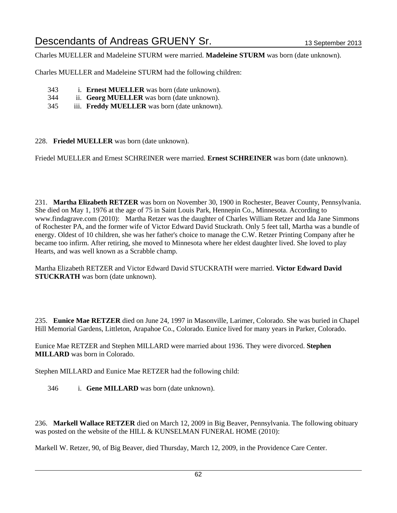Charles MUELLER and Madeleine STURM were married. **Madeleine STURM** was born (date unknown).

Charles MUELLER and Madeleine STURM had the following children:

- 343 i. **Ernest MUELLER** was born (date unknown).
- 344 ii. **Georg MUELLER** was born (date unknown).
- 345 iii. **Freddy MUELLER** was born (date unknown).

228. **Friedel MUELLER** was born (date unknown).

Friedel MUELLER and Ernest SCHREINER were married. **Ernest SCHREINER** was born (date unknown).

231. **Martha Elizabeth RETZER** was born on November 30, 1900 in Rochester, Beaver County, Pennsylvania. She died on May 1, 1976 at the age of 75 in Saint Louis Park, Hennepin Co., Minnesota. According to www.findagrave.com (2010): Martha Retzer was the daughter of Charles William Retzer and Ida Jane Simmons of Rochester PA, and the former wife of Victor Edward David Stuckrath. Only 5 feet tall, Martha was a bundle of energy. Oldest of 10 children, she was her father's choice to manage the C.W. Retzer Printing Company after he became too infirm. After retiring, she moved to Minnesota where her eldest daughter lived. She loved to play Hearts, and was well known as a Scrabble champ.

Martha Elizabeth RETZER and Victor Edward David STUCKRATH were married. **Victor Edward David STUCKRATH** was born (date unknown).

235. **Eunice Mae RETZER** died on June 24, 1997 in Masonville, Larimer, Colorado. She was buried in Chapel Hill Memorial Gardens, Littleton, Arapahoe Co., Colorado. Eunice lived for many years in Parker, Colorado.

Eunice Mae RETZER and Stephen MILLARD were married about 1936. They were divorced. **Stephen MILLARD** was born in Colorado.

Stephen MILLARD and Eunice Mae RETZER had the following child:

346 i. **Gene MILLARD** was born (date unknown).

236. **Markell Wallace RETZER** died on March 12, 2009 in Big Beaver, Pennsylvania. The following obituary was posted on the website of the HILL & KUNSELMAN FUNERAL HOME (2010):

Markell W. Retzer, 90, of Big Beaver, died Thursday, March 12, 2009, in the Providence Care Center.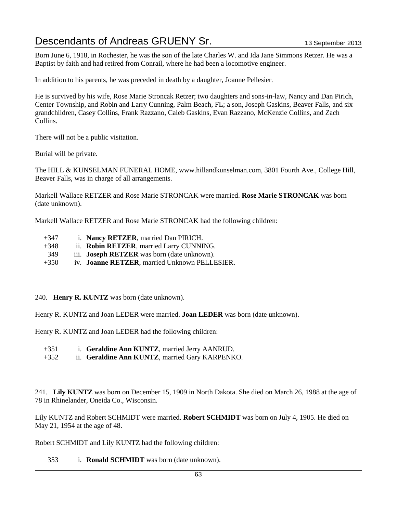Born June 6, 1918, in Rochester, he was the son of the late Charles W. and Ida Jane Simmons Retzer. He was a Baptist by faith and had retired from Conrail, where he had been a locomotive engineer.

In addition to his parents, he was preceded in death by a daughter, Joanne Pellesier.

He is survived by his wife, Rose Marie Stroncak Retzer; two daughters and sons-in-law, Nancy and Dan Pirich, Center Township, and Robin and Larry Cunning, Palm Beach, FL; a son, Joseph Gaskins, Beaver Falls, and six grandchildren, Casey Collins, Frank Razzano, Caleb Gaskins, Evan Razzano, McKenzie Collins, and Zach Collins.

There will not be a public visitation.

Burial will be private.

The HILL & KUNSELMAN FUNERAL HOME, www.hillandkunselman.com, 3801 Fourth Ave., College Hill, Beaver Falls, was in charge of all arrangements.

Markell Wallace RETZER and Rose Marie STRONCAK were married. **Rose Marie STRONCAK** was born (date unknown).

Markell Wallace RETZER and Rose Marie STRONCAK had the following children:

- +347 i. **Nancy RETZER**, married Dan PIRICH.
- +348 ii. **Robin RETZER**, married Larry CUNNING.
- 349 iii. **Joseph RETZER** was born (date unknown).
- +350 iv. **Joanne RETZER**, married Unknown PELLESIER.
- 240. **Henry R. KUNTZ** was born (date unknown).

Henry R. KUNTZ and Joan LEDER were married. **Joan LEDER** was born (date unknown).

Henry R. KUNTZ and Joan LEDER had the following children:

- +351 i. **Geraldine Ann KUNTZ**, married Jerry AANRUD.
- +352 ii. **Geraldine Ann KUNTZ**, married Gary KARPENKO.

241. **Lily KUNTZ** was born on December 15, 1909 in North Dakota. She died on March 26, 1988 at the age of 78 in Rhinelander, Oneida Co., Wisconsin.

Lily KUNTZ and Robert SCHMIDT were married. **Robert SCHMIDT** was born on July 4, 1905. He died on May 21, 1954 at the age of 48.

Robert SCHMIDT and Lily KUNTZ had the following children:

353 i. **Ronald SCHMIDT** was born (date unknown).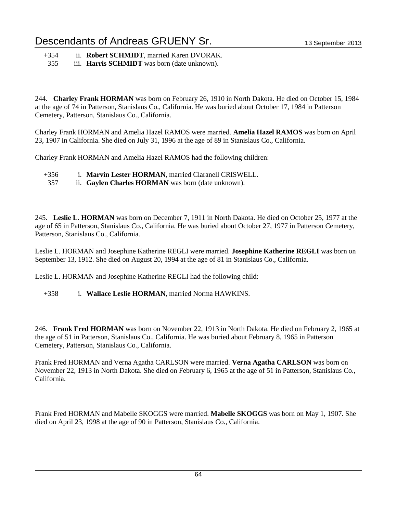+354 ii. **Robert SCHMIDT**, married Karen DVORAK.

355 iii. **Harris SCHMIDT** was born (date unknown).

244. **Charley Frank HORMAN** was born on February 26, 1910 in North Dakota. He died on October 15, 1984 at the age of 74 in Patterson, Stanislaus Co., California. He was buried about October 17, 1984 in Patterson Cemetery, Patterson, Stanislaus Co., California.

Charley Frank HORMAN and Amelia Hazel RAMOS were married. **Amelia Hazel RAMOS** was born on April 23, 1907 in California. She died on July 31, 1996 at the age of 89 in Stanislaus Co., California.

Charley Frank HORMAN and Amelia Hazel RAMOS had the following children:

- +356 i. **Marvin Lester HORMAN**, married Claranell CRISWELL.
- 357 ii. **Gaylen Charles HORMAN** was born (date unknown).

245. **Leslie L. HORMAN** was born on December 7, 1911 in North Dakota. He died on October 25, 1977 at the age of 65 in Patterson, Stanislaus Co., California. He was buried about October 27, 1977 in Patterson Cemetery, Patterson, Stanislaus Co., California.

Leslie L. HORMAN and Josephine Katherine REGLI were married. **Josephine Katherine REGLI** was born on September 13, 1912. She died on August 20, 1994 at the age of 81 in Stanislaus Co., California.

Leslie L. HORMAN and Josephine Katherine REGLI had the following child:

+358 i. **Wallace Leslie HORMAN**, married Norma HAWKINS.

246. **Frank Fred HORMAN** was born on November 22, 1913 in North Dakota. He died on February 2, 1965 at the age of 51 in Patterson, Stanislaus Co., California. He was buried about February 8, 1965 in Patterson Cemetery, Patterson, Stanislaus Co., California.

Frank Fred HORMAN and Verna Agatha CARLSON were married. **Verna Agatha CARLSON** was born on November 22, 1913 in North Dakota. She died on February 6, 1965 at the age of 51 in Patterson, Stanislaus Co., California.

Frank Fred HORMAN and Mabelle SKOGGS were married. **Mabelle SKOGGS** was born on May 1, 1907. She died on April 23, 1998 at the age of 90 in Patterson, Stanislaus Co., California.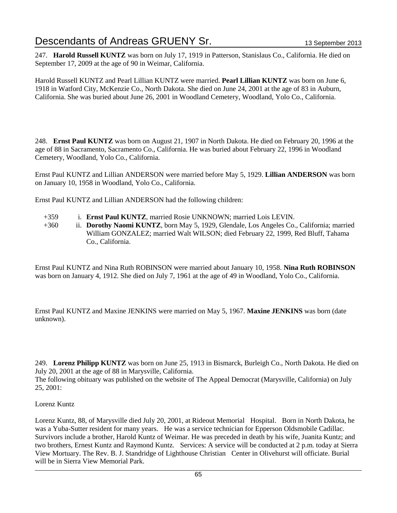247. **Harold Russell KUNTZ** was born on July 17, 1919 in Patterson, Stanislaus Co., California. He died on September 17, 2009 at the age of 90 in Weimar, California.

Harold Russell KUNTZ and Pearl Lillian KUNTZ were married. **Pearl Lillian KUNTZ** was born on June 6, 1918 in Watford City, McKenzie Co., North Dakota. She died on June 24, 2001 at the age of 83 in Auburn, California. She was buried about June 26, 2001 in Woodland Cemetery, Woodland, Yolo Co., California.

248. **Ernst Paul KUNTZ** was born on August 21, 1907 in North Dakota. He died on February 20, 1996 at the age of 88 in Sacramento, Sacramento Co., California. He was buried about February 22, 1996 in Woodland Cemetery, Woodland, Yolo Co., California.

Ernst Paul KUNTZ and Lillian ANDERSON were married before May 5, 1929. **Lillian ANDERSON** was born on January 10, 1958 in Woodland, Yolo Co., California.

Ernst Paul KUNTZ and Lillian ANDERSON had the following children:

- +359 i. **Ernst Paul KUNTZ**, married Rosie UNKNOWN; married Lois LEVIN.
- +360 ii. **Dorothy Naomi KUNTZ**, born May 5, 1929, Glendale, Los Angeles Co., California; married William GONZALEZ; married Walt WILSON; died February 22, 1999, Red Bluff, Tahama Co., California.

Ernst Paul KUNTZ and Nina Ruth ROBINSON were married about January 10, 1958. **Nina Ruth ROBINSON** was born on January 4, 1912. She died on July 7, 1961 at the age of 49 in Woodland, Yolo Co., California.

Ernst Paul KUNTZ and Maxine JENKINS were married on May 5, 1967. **Maxine JENKINS** was born (date unknown).

249. **Lorenz Philipp KUNTZ** was born on June 25, 1913 in Bismarck, Burleigh Co., North Dakota. He died on July 20, 2001 at the age of 88 in Marysville, California.

The following obituary was published on the website of The Appeal Democrat (Marysville, California) on July 25, 2001:

#### Lorenz Kuntz

Lorenz Kuntz, 88, of Marysville died July 20, 2001, at Rideout Memorial Hospital. Born in North Dakota, he was a Yuba-Sutter resident for many years. He was a service technician for Epperson Oldsmobile Cadillac. Survivors include a brother, Harold Kuntz of Weimar. He was preceded in death by his wife, Juanita Kuntz; and two brothers, Ernest Kuntz and Raymond Kuntz. Services: A service will be conducted at 2 p.m. today at Sierra View Mortuary. The Rev. B. J. Standridge of Lighthouse Christian Center in Olivehurst will officiate. Burial will be in Sierra View Memorial Park.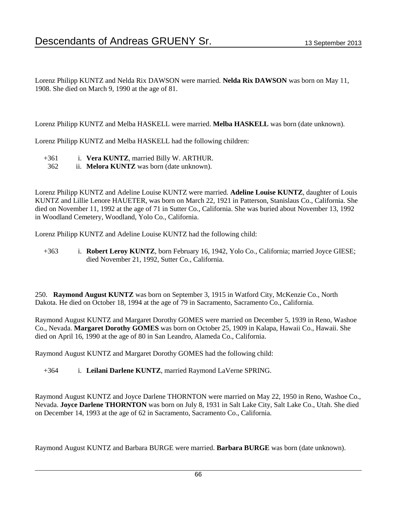Lorenz Philipp KUNTZ and Nelda Rix DAWSON were married. **Nelda Rix DAWSON** was born on May 11, 1908. She died on March 9, 1990 at the age of 81.

Lorenz Philipp KUNTZ and Melba HASKELL were married. **Melba HASKELL** was born (date unknown).

Lorenz Philipp KUNTZ and Melba HASKELL had the following children:

- +361 i. **Vera KUNTZ**, married Billy W. ARTHUR.
- 362 ii. **Melora KUNTZ** was born (date unknown).

Lorenz Philipp KUNTZ and Adeline Louise KUNTZ were married. **Adeline Louise KUNTZ**, daughter of Louis KUNTZ and Lillie Lenore HAUETER, was born on March 22, 1921 in Patterson, Stanislaus Co., California. She died on November 11, 1992 at the age of 71 in Sutter Co., California. She was buried about November 13, 1992 in Woodland Cemetery, Woodland, Yolo Co., California.

Lorenz Philipp KUNTZ and Adeline Louise KUNTZ had the following child:

+363 i. **Robert Leroy KUNTZ**, born February 16, 1942, Yolo Co., California; married Joyce GIESE; died November 21, 1992, Sutter Co., California.

250. **Raymond August KUNTZ** was born on September 3, 1915 in Watford City, McKenzie Co., North Dakota. He died on October 18, 1994 at the age of 79 in Sacramento, Sacramento Co., California.

Raymond August KUNTZ and Margaret Dorothy GOMES were married on December 5, 1939 in Reno, Washoe Co., Nevada. **Margaret Dorothy GOMES** was born on October 25, 1909 in Kalapa, Hawaii Co., Hawaii. She died on April 16, 1990 at the age of 80 in San Leandro, Alameda Co., California.

Raymond August KUNTZ and Margaret Dorothy GOMES had the following child:

+364 i. **Leilani Darlene KUNTZ**, married Raymond LaVerne SPRING.

Raymond August KUNTZ and Joyce Darlene THORNTON were married on May 22, 1950 in Reno, Washoe Co., Nevada. **Joyce Darlene THORNTON** was born on July 8, 1931 in Salt Lake City, Salt Lake Co., Utah. She died on December 14, 1993 at the age of 62 in Sacramento, Sacramento Co., California.

Raymond August KUNTZ and Barbara BURGE were married. **Barbara BURGE** was born (date unknown).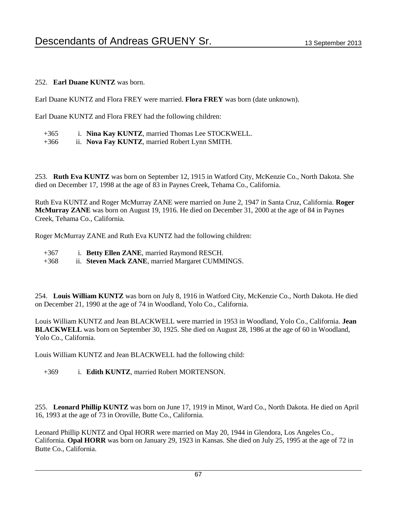#### 252. **Earl Duane KUNTZ** was born.

Earl Duane KUNTZ and Flora FREY were married. **Flora FREY** was born (date unknown).

Earl Duane KUNTZ and Flora FREY had the following children:

- +365 i. **Nina Kay KUNTZ**, married Thomas Lee STOCKWELL.
- +366 ii. **Nova Fay KUNTZ**, married Robert Lynn SMITH.

253. **Ruth Eva KUNTZ** was born on September 12, 1915 in Watford City, McKenzie Co., North Dakota. She died on December 17, 1998 at the age of 83 in Paynes Creek, Tehama Co., California.

Ruth Eva KUNTZ and Roger McMurray ZANE were married on June 2, 1947 in Santa Cruz, California. **Roger McMurray ZANE** was born on August 19, 1916. He died on December 31, 2000 at the age of 84 in Paynes Creek, Tehama Co., California.

Roger McMurray ZANE and Ruth Eva KUNTZ had the following children:

+367 i. **Betty Ellen ZANE**, married Raymond RESCH.

+368 ii. **Steven Mack ZANE**, married Margaret CUMMINGS.

254. **Louis William KUNTZ** was born on July 8, 1916 in Watford City, McKenzie Co., North Dakota. He died on December 21, 1990 at the age of 74 in Woodland, Yolo Co., California.

Louis William KUNTZ and Jean BLACKWELL were married in 1953 in Woodland, Yolo Co., California. **Jean BLACKWELL** was born on September 30, 1925. She died on August 28, 1986 at the age of 60 in Woodland, Yolo Co., California.

Louis William KUNTZ and Jean BLACKWELL had the following child:

+369 i. **Edith KUNTZ**, married Robert MORTENSON.

255. **Leonard Phillip KUNTZ** was born on June 17, 1919 in Minot, Ward Co., North Dakota. He died on April 16, 1993 at the age of 73 in Oroville, Butte Co., California.

Leonard Phillip KUNTZ and Opal HORR were married on May 20, 1944 in Glendora, Los Angeles Co., California. **Opal HORR** was born on January 29, 1923 in Kansas. She died on July 25, 1995 at the age of 72 in Butte Co., California.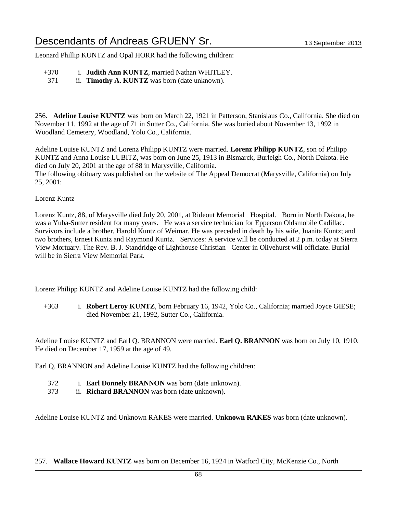Leonard Phillip KUNTZ and Opal HORR had the following children:

- +370 i. **Judith Ann KUNTZ**, married Nathan WHITLEY.
- 371 ii. **Timothy A. KUNTZ** was born (date unknown).

256. **Adeline Louise KUNTZ** was born on March 22, 1921 in Patterson, Stanislaus Co., California. She died on November 11, 1992 at the age of 71 in Sutter Co., California. She was buried about November 13, 1992 in Woodland Cemetery, Woodland, Yolo Co., California.

Adeline Louise KUNTZ and Lorenz Philipp KUNTZ were married. **Lorenz Philipp KUNTZ**, son of Philipp KUNTZ and Anna Louise LUBITZ, was born on June 25, 1913 in Bismarck, Burleigh Co., North Dakota. He died on July 20, 2001 at the age of 88 in Marysville, California.

The following obituary was published on the website of The Appeal Democrat (Marysville, California) on July 25, 2001:

Lorenz Kuntz

Lorenz Kuntz, 88, of Marysville died July 20, 2001, at Rideout Memorial Hospital. Born in North Dakota, he was a Yuba-Sutter resident for many years. He was a service technician for Epperson Oldsmobile Cadillac. Survivors include a brother, Harold Kuntz of Weimar. He was preceded in death by his wife, Juanita Kuntz; and two brothers, Ernest Kuntz and Raymond Kuntz. Services: A service will be conducted at 2 p.m. today at Sierra View Mortuary. The Rev. B. J. Standridge of Lighthouse Christian Center in Olivehurst will officiate. Burial will be in Sierra View Memorial Park

Lorenz Philipp KUNTZ and Adeline Louise KUNTZ had the following child:

+363 i. **Robert Leroy KUNTZ**, born February 16, 1942, Yolo Co., California; married Joyce GIESE; died November 21, 1992, Sutter Co., California.

Adeline Louise KUNTZ and Earl Q. BRANNON were married. **Earl Q. BRANNON** was born on July 10, 1910. He died on December 17, 1959 at the age of 49.

Earl Q. BRANNON and Adeline Louise KUNTZ had the following children:

- 372 i. **Earl Donnely BRANNON** was born (date unknown).
- 373 ii. **Richard BRANNON** was born (date unknown).

Adeline Louise KUNTZ and Unknown RAKES were married. **Unknown RAKES** was born (date unknown).

#### 257. **Wallace Howard KUNTZ** was born on December 16, 1924 in Watford City, McKenzie Co., North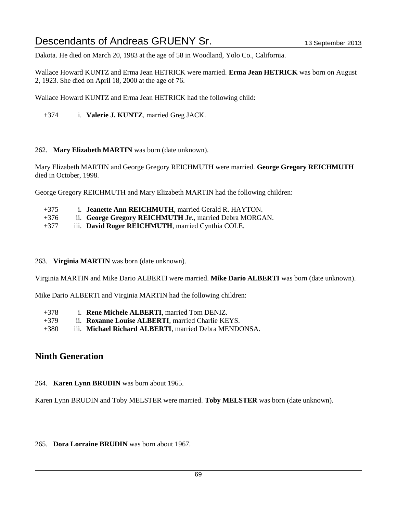Dakota. He died on March 20, 1983 at the age of 58 in Woodland, Yolo Co., California.

Wallace Howard KUNTZ and Erma Jean HETRICK were married. **Erma Jean HETRICK** was born on August 2, 1923. She died on April 18, 2000 at the age of 76.

Wallace Howard KUNTZ and Erma Jean HETRICK had the following child:

+374 i. **Valerie J. KUNTZ**, married Greg JACK.

#### 262. **Mary Elizabeth MARTIN** was born (date unknown).

Mary Elizabeth MARTIN and George Gregory REICHMUTH were married. **George Gregory REICHMUTH** died in October, 1998.

George Gregory REICHMUTH and Mary Elizabeth MARTIN had the following children:

- +375 i. **Jeanette Ann REICHMUTH**, married Gerald R. HAYTON.
- +376 ii. **George Gregory REICHMUTH Jr.**, married Debra MORGAN.
- +377 iii. **David Roger REICHMUTH**, married Cynthia COLE.

#### 263. **Virginia MARTIN** was born (date unknown).

Virginia MARTIN and Mike Dario ALBERTI were married. **Mike Dario ALBERTI** was born (date unknown).

Mike Dario ALBERTI and Virginia MARTIN had the following children:

- +378 i. **Rene Michele ALBERTI**, married Tom DENIZ.
- +379 ii. **Roxanne Louise ALBERTI**, married Charlie KEYS.
- +380 iii. **Michael Richard ALBERTI**, married Debra MENDONSA.

### **Ninth Generation**

264. **Karen Lynn BRUDIN** was born about 1965.

Karen Lynn BRUDIN and Toby MELSTER were married. **Toby MELSTER** was born (date unknown).

#### 265. **Dora Lorraine BRUDIN** was born about 1967.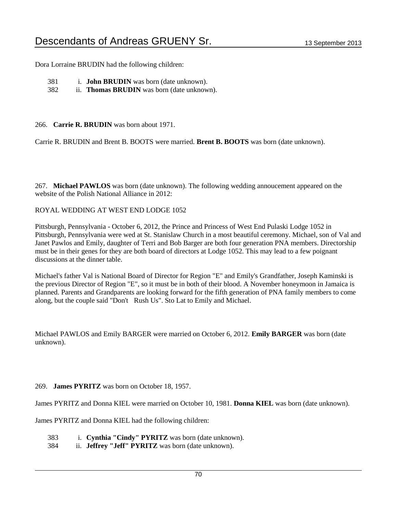Dora Lorraine BRUDIN had the following children:

| 381 | i. <b>John BRUDIN</b> was born (date unknown). |
|-----|------------------------------------------------|
|-----|------------------------------------------------|

382 ii. **Thomas BRUDIN** was born (date unknown).

266. **Carrie R. BRUDIN** was born about 1971.

Carrie R. BRUDIN and Brent B. BOOTS were married. **Brent B. BOOTS** was born (date unknown).

267. **Michael PAWLOS** was born (date unknown). The following wedding annoucement appeared on the website of the Polish National Alliance in 2012:

#### ROYAL WEDDING AT WEST END LODGE 1052

Pittsburgh, Pennsylvania - October 6, 2012, the Prince and Princess of West End Pulaski Lodge 1052 in Pittsburgh, Pennsylvania were wed at St. Stanislaw Church in a most beautiful ceremony. Michael, son of Val and Janet Pawlos and Emily, daughter of Terri and Bob Barger are both four generation PNA members. Directorship must be in their genes for they are both board of directors at Lodge 1052. This may lead to a few poignant discussions at the dinner table.

Michael's father Val is National Board of Director for Region "E" and Emily's Grandfather, Joseph Kaminski is the previous Director of Region "E", so it must be in both of their blood. A November honeymoon in Jamaica is planned. Parents and Grandparents are looking forward for the fifth generation of PNA family members to come along, but the couple said "Don't Rush Us". Sto Lat to Emily and Michael.

Michael PAWLOS and Emily BARGER were married on October 6, 2012. **Emily BARGER** was born (date unknown).

#### 269. **James PYRITZ** was born on October 18, 1957.

James PYRITZ and Donna KIEL were married on October 10, 1981. **Donna KIEL** was born (date unknown).

James PYRITZ and Donna KIEL had the following children:

- 383 i. **Cynthia "Cindy" PYRITZ** was born (date unknown).
- 384 ii. **Jeffrey "Jeff" PYRITZ** was born (date unknown).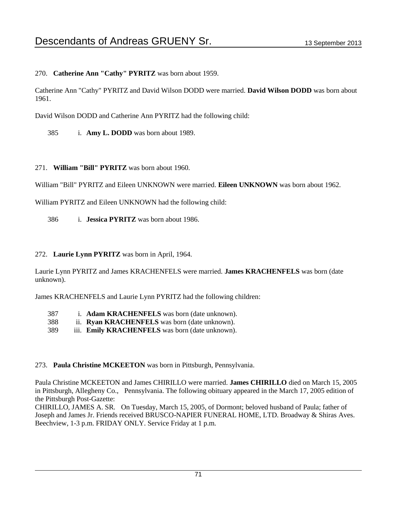270. **Catherine Ann "Cathy" PYRITZ** was born about 1959.

Catherine Ann "Cathy" PYRITZ and David Wilson DODD were married. **David Wilson DODD** was born about 1961.

David Wilson DODD and Catherine Ann PYRITZ had the following child:

385 i. **Amy L. DODD** was born about 1989.

271. **William "Bill" PYRITZ** was born about 1960.

William "Bill" PYRITZ and Eileen UNKNOWN were married. **Eileen UNKNOWN** was born about 1962.

William PYRITZ and Eileen UNKNOWN had the following child:

386 i. **Jessica PYRITZ** was born about 1986.

#### 272. **Laurie Lynn PYRITZ** was born in April, 1964.

Laurie Lynn PYRITZ and James KRACHENFELS were married. **James KRACHENFELS** was born (date unknown).

James KRACHENFELS and Laurie Lynn PYRITZ had the following children:

- 387 i. **Adam KRACHENFELS** was born (date unknown).
- 388 ii. **Ryan KRACHENFELS** was born (date unknown).
- 389 iii. **Emily KRACHENFELS** was born (date unknown).

#### 273. **Paula Christine MCKEETON** was born in Pittsburgh, Pennsylvania.

Paula Christine MCKEETON and James CHIRILLO were married. **James CHIRILLO** died on March 15, 2005 in Pittsburgh, Allegheny Co., Pennsylvania. The following obituary appeared in the March 17, 2005 edition of the Pittsburgh Post-Gazette:

CHIRILLO, JAMES A. SR. On Tuesday, March 15, 2005, of Dormont; beloved husband of Paula; father of Joseph and James Jr. Friends received BRUSCO-NAPIER FUNERAL HOME, LTD. Broadway & Shiras Aves. Beechview, 1-3 p.m. FRIDAY ONLY. Service Friday at 1 p.m.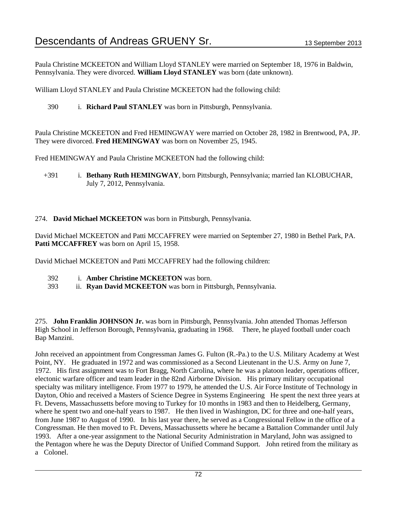Paula Christine MCKEETON and William Lloyd STANLEY were married on September 18, 1976 in Baldwin, Pennsylvania. They were divorced. **William Lloyd STANLEY** was born (date unknown).

William Lloyd STANLEY and Paula Christine MCKEETON had the following child:

390 i. **Richard Paul STANLEY** was born in Pittsburgh, Pennsylvania.

Paula Christine MCKEETON and Fred HEMINGWAY were married on October 28, 1982 in Brentwood, PA, JP. They were divorced. **Fred HEMINGWAY** was born on November 25, 1945.

Fred HEMINGWAY and Paula Christine MCKEETON had the following child:

+391 i. **Bethany Ruth HEMINGWAY**, born Pittsburgh, Pennsylvania; married Ian KLOBUCHAR, July 7, 2012, Pennsylvania.

#### 274. **David Michael MCKEETON** was born in Pittsburgh, Pennsylvania.

David Michael MCKEETON and Patti MCCAFFREY were married on September 27, 1980 in Bethel Park, PA. Patti MCCAFFREY was born on April 15, 1958.

David Michael MCKEETON and Patti MCCAFFREY had the following children:

- 392 i. **Amber Christine MCKEETON** was born.
- 393 ii. **Ryan David MCKEETON** was born in Pittsburgh, Pennsylvania.

275. **John Franklin JOHNSON Jr.** was born in Pittsburgh, Pennsylvania. John attended Thomas Jefferson High School in Jefferson Borough, Pennsylvania, graduating in 1968. There, he played football under coach Bap Manzini.

John received an appointment from Congressman James G. Fulton (R.-Pa.) to the U.S. Military Academy at West Point, NY. He graduated in 1972 and was commissioned as a Second Lieutenant in the U.S. Army on June 7, 1972. His first assignment was to Fort Bragg, North Carolina, where he was a platoon leader, operations officer, electonic warfare officer and team leader in the 82nd Airborne Division. His primary military occupational specialty was military intelligence. From 1977 to 1979, he attended the U.S. Air Force Institute of Technology in Dayton, Ohio and received a Masters of Science Degree in Systems Engineering He spent the next three years at Ft. Devens, Massachussetts before moving to Turkey for 10 months in 1983 and then to Heidelberg, Germany, where he spent two and one-half years to 1987. He then lived in Washington, DC for three and one-half years, from June 1987 to August of 1990. In his last year there, he served as a Congressional Fellow in the office of a Congressman. He then moved to Ft. Devens, Massachussetts where he became a Battalion Commander until July 1993. After a one-year assignment to the National Security Administration in Maryland, John was assigned to the Pentagon where he was the Deputy Director of Unified Command Support. John retired from the military as a Colonel.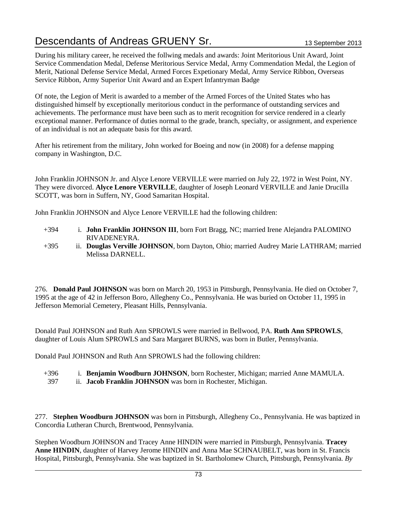During his military career, he received the follwing medals and awards: Joint Meritorious Unit Award, Joint Service Commendation Medal, Defense Meritorious Service Medal, Army Commendation Medal, the Legion of Merit, National Defense Service Medal, Armed Forces Expetionary Medal, Army Service Ribbon, Overseas Service Ribbon, Army Superior Unit Award and an Expert Infantryman Badge

Of note, the Legion of Merit is awarded to a member of the Armed Forces of the United States who has distinguished himself by exceptionally meritorious conduct in the performance of outstanding services and achievements. The performance must have been such as to merit recognition for service rendered in a clearly exceptional manner. Performance of duties normal to the grade, branch, specialty, or assignment, and experience of an individual is not an adequate basis for this award.

After his retirement from the military, John worked for Boeing and now (in 2008) for a defense mapping company in Washington, D.C.

John Franklin JOHNSON Jr. and Alyce Lenore VERVILLE were married on July 22, 1972 in West Point, NY. They were divorced. **Alyce Lenore VERVILLE**, daughter of Joseph Leonard VERVILLE and Janie Drucilla SCOTT, was born in Suffern, NY, Good Samaritan Hospital.

John Franklin JOHNSON and Alyce Lenore VERVILLE had the following children:

- +394 i. **John Franklin JOHNSON III**, born Fort Bragg, NC; married Irene Alejandra PALOMINO RIVADENEYRA.
- +395 ii. **Douglas Verville JOHNSON**, born Dayton, Ohio; married Audrey Marie LATHRAM; married Melissa DARNELL.

276. **Donald Paul JOHNSON** was born on March 20, 1953 in Pittsburgh, Pennsylvania. He died on October 7, 1995 at the age of 42 in Jefferson Boro, Allegheny Co., Pennsylvania. He was buried on October 11, 1995 in Jefferson Memorial Cemetery, Pleasant Hills, Pennsylvania.

Donald Paul JOHNSON and Ruth Ann SPROWLS were married in Bellwood, PA. **Ruth Ann SPROWLS**, daughter of Louis Alum SPROWLS and Sara Margaret BURNS, was born in Butler, Pennsylvania.

Donald Paul JOHNSON and Ruth Ann SPROWLS had the following children:

- +396 i. **Benjamin Woodburn JOHNSON**, born Rochester, Michigan; married Anne MAMULA.
- 397 ii. **Jacob Franklin JOHNSON** was born in Rochester, Michigan.

277. **Stephen Woodburn JOHNSON** was born in Pittsburgh, Allegheny Co., Pennsylvania. He was baptized in Concordia Lutheran Church, Brentwood, Pennsylvania.

Stephen Woodburn JOHNSON and Tracey Anne HINDIN were married in Pittsburgh, Pennsylvania. **Tracey Anne HINDIN**, daughter of Harvey Jerome HINDIN and Anna Mae SCHNAUBELT, was born in St. Francis Hospital, Pittsburgh, Pennsylvania. She was baptized in St. Bartholomew Church, Pittsburgh, Pennsylvania. *By*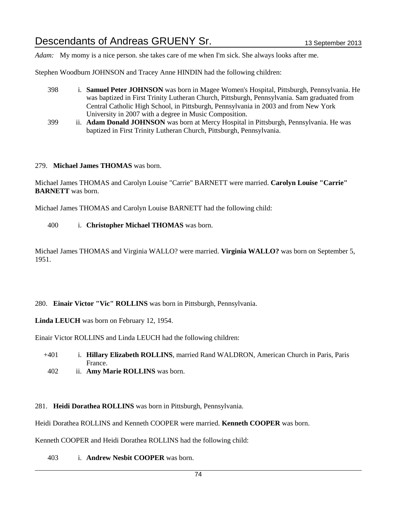*Adam:* My momy is a nice person. she takes care of me when I'm sick. She always looks after me.

Stephen Woodburn JOHNSON and Tracey Anne HINDIN had the following children:

- 398 i. **Samuel Peter JOHNSON** was born in Magee Women's Hospital, Pittsburgh, Pennsylvania. He was baptized in First Trinity Lutheran Church, Pittsburgh, Pennsylvania. Sam graduated from Central Catholic High School, in Pittsburgh, Pennsylvania in 2003 and from New York University in 2007 with a degree in Music Composition.
- 399 ii. **Adam Donald JOHNSON** was born at Mercy Hospital in Pittsburgh, Pennsylvania. He was baptized in First Trinity Lutheran Church, Pittsburgh, Pennsylvania.

#### 279. **Michael James THOMAS** was born.

Michael James THOMAS and Carolyn Louise "Carrie" BARNETT were married. **Carolyn Louise "Carrie" BARNETT** was born.

Michael James THOMAS and Carolyn Louise BARNETT had the following child:

400 i. **Christopher Michael THOMAS** was born.

Michael James THOMAS and Virginia WALLO? were married. **Virginia WALLO?** was born on September 5, 1951.

280. **Einair Victor "Vic" ROLLINS** was born in Pittsburgh, Pennsylvania.

**Linda LEUCH** was born on February 12, 1954.

Einair Victor ROLLINS and Linda LEUCH had the following children:

- +401 i. **Hillary Elizabeth ROLLINS**, married Rand WALDRON, American Church in Paris, Paris France.
- 402 ii. **Amy Marie ROLLINS** was born.
- 281. **Heidi Dorathea ROLLINS** was born in Pittsburgh, Pennsylvania.

Heidi Dorathea ROLLINS and Kenneth COOPER were married. **Kenneth COOPER** was born.

Kenneth COOPER and Heidi Dorathea ROLLINS had the following child:

403 i. **Andrew Nesbit COOPER** was born.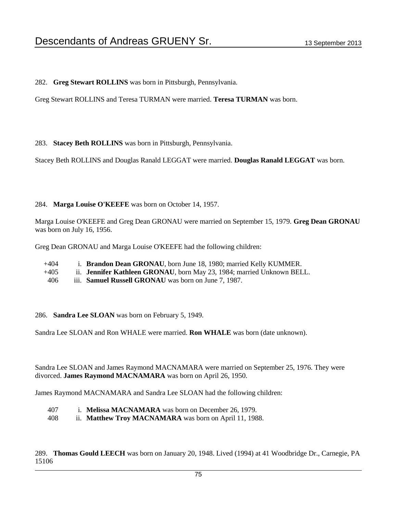282. **Greg Stewart ROLLINS** was born in Pittsburgh, Pennsylvania.

Greg Stewart ROLLINS and Teresa TURMAN were married. **Teresa TURMAN** was born.

283. **Stacey Beth ROLLINS** was born in Pittsburgh, Pennsylvania.

Stacey Beth ROLLINS and Douglas Ranald LEGGAT were married. **Douglas Ranald LEGGAT** was born.

#### 284. **Marga Louise O'KEEFE** was born on October 14, 1957.

Marga Louise O'KEEFE and Greg Dean GRONAU were married on September 15, 1979. **Greg Dean GRONAU** was born on July 16, 1956.

Greg Dean GRONAU and Marga Louise O'KEEFE had the following children:

- +404 i. **Brandon Dean GRONAU**, born June 18, 1980; married Kelly KUMMER.
- +405 ii. **Jennifer Kathleen GRONAU**, born May 23, 1984; married Unknown BELL.
- 406 iii. **Samuel Russell GRONAU** was born on June 7, 1987.
- 286. **Sandra Lee SLOAN** was born on February 5, 1949.

Sandra Lee SLOAN and Ron WHALE were married. **Ron WHALE** was born (date unknown).

Sandra Lee SLOAN and James Raymond MACNAMARA were married on September 25, 1976. They were divorced. **James Raymond MACNAMARA** was born on April 26, 1950.

James Raymond MACNAMARA and Sandra Lee SLOAN had the following children:

- 407 i. **Melissa MACNAMARA** was born on December 26, 1979.
- 408 ii. **Matthew Troy MACNAMARA** was born on April 11, 1988.

289. **Thomas Gould LEECH** was born on January 20, 1948. Lived (1994) at 41 Woodbridge Dr., Carnegie, PA 15106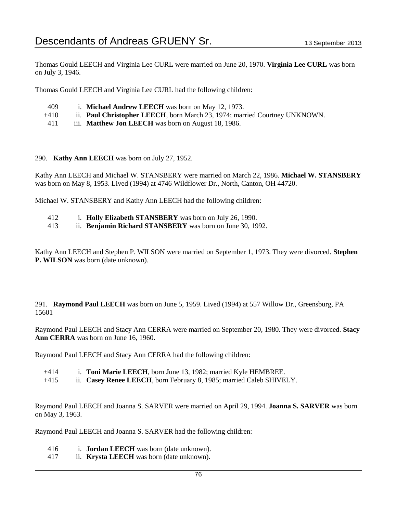Thomas Gould LEECH and Virginia Lee CURL were married on June 20, 1970. **Virginia Lee CURL** was born on July 3, 1946.

Thomas Gould LEECH and Virginia Lee CURL had the following children:

- 409 i. **Michael Andrew LEECH** was born on May 12, 1973.
- +410 ii. **Paul Christopher LEECH**, born March 23, 1974; married Courtney UNKNOWN.
- 411 iii. **Matthew Jon LEECH** was born on August 18, 1986.

290. **Kathy Ann LEECH** was born on July 27, 1952.

Kathy Ann LEECH and Michael W. STANSBERY were married on March 22, 1986. **Michael W. STANSBERY** was born on May 8, 1953. Lived (1994) at 4746 Wildflower Dr., North, Canton, OH 44720.

Michael W. STANSBERY and Kathy Ann LEECH had the following children:

- 412 i. **Holly Elizabeth STANSBERY** was born on July 26, 1990.
- 413 ii. **Benjamin Richard STANSBERY** was born on June 30, 1992.

Kathy Ann LEECH and Stephen P. WILSON were married on September 1, 1973. They were divorced. **Stephen P. WILSON** was born (date unknown).

291. **Raymond Paul LEECH** was born on June 5, 1959. Lived (1994) at 557 Willow Dr., Greensburg, PA 15601

Raymond Paul LEECH and Stacy Ann CERRA were married on September 20, 1980. They were divorced. **Stacy Ann CERRA** was born on June 16, 1960.

Raymond Paul LEECH and Stacy Ann CERRA had the following children:

- +414 i. **Toni Marie LEECH**, born June 13, 1982; married Kyle HEMBREE.
- +415 ii. **Casey Renee LEECH**, born February 8, 1985; married Caleb SHIVELY.

Raymond Paul LEECH and Joanna S. SARVER were married on April 29, 1994. **Joanna S. SARVER** was born on May 3, 1963.

Raymond Paul LEECH and Joanna S. SARVER had the following children:

- 416 i. **Jordan LEECH** was born (date unknown).
- 417 ii. **Krysta LEECH** was born (date unknown).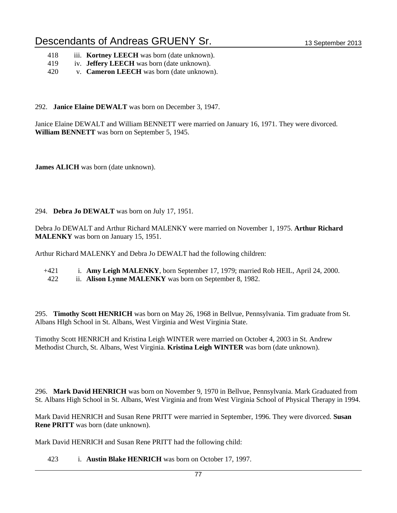- 418 iii. **Kortney LEECH** was born (date unknown).
- 419 iv. **Jeffery LEECH** was born (date unknown).
- 420 v. **Cameron LEECH** was born (date unknown).
- 292. **Janice Elaine DEWALT** was born on December 3, 1947.

Janice Elaine DEWALT and William BENNETT were married on January 16, 1971. They were divorced. **William BENNETT** was born on September 5, 1945.

**James ALICH** was born (date unknown).

#### 294. **Debra Jo DEWALT** was born on July 17, 1951.

Debra Jo DEWALT and Arthur Richard MALENKY were married on November 1, 1975. **Arthur Richard MALENKY** was born on January 15, 1951.

Arthur Richard MALENKY and Debra Jo DEWALT had the following children:

- +421 i. **Amy Leigh MALENKY**, born September 17, 1979; married Rob HEIL, April 24, 2000.
- 422 ii. **Alison Lynne MALENKY** was born on September 8, 1982.

295. **Timothy Scott HENRICH** was born on May 26, 1968 in Bellvue, Pennsylvania. Tim graduate from St. Albans HIgh School in St. Albans, West Virginia and West Virginia State.

Timothy Scott HENRICH and Kristina Leigh WINTER were married on October 4, 2003 in St. Andrew Methodist Church, St. Albans, West Virginia. **Kristina Leigh WINTER** was born (date unknown).

296. **Mark David HENRICH** was born on November 9, 1970 in Bellvue, Pennsylvania. Mark Graduated from St. Albans High School in St. Albans, West Virginia and from West Virginia School of Physical Therapy in 1994.

Mark David HENRICH and Susan Rene PRITT were married in September, 1996. They were divorced. **Susan Rene PRITT** was born (date unknown).

Mark David HENRICH and Susan Rene PRITT had the following child:

423 i. **Austin Blake HENRICH** was born on October 17, 1997.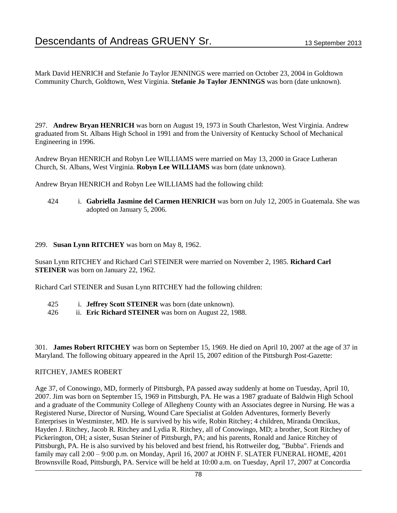Mark David HENRICH and Stefanie Jo Taylor JENNINGS were married on October 23, 2004 in Goldtown Community Church, Goldtown, West Virginia. **Stefanie Jo Taylor JENNINGS** was born (date unknown).

297. **Andrew Bryan HENRICH** was born on August 19, 1973 in South Charleston, West Virginia. Andrew graduated from St. Albans High School in 1991 and from the University of Kentucky School of Mechanical Engineering in 1996.

Andrew Bryan HENRICH and Robyn Lee WILLIAMS were married on May 13, 2000 in Grace Lutheran Church, St. Albans, West Virginia. **Robyn Lee WILLIAMS** was born (date unknown).

Andrew Bryan HENRICH and Robyn Lee WILLIAMS had the following child:

424 i. **Gabriella Jasmine del Carmen HENRICH** was born on July 12, 2005 in Guatemala. She was adopted on January 5, 2006.

#### 299. **Susan Lynn RITCHEY** was born on May 8, 1962.

Susan Lynn RITCHEY and Richard Carl STEINER were married on November 2, 1985. **Richard Carl STEINER** was born on January 22, 1962.

Richard Carl STEINER and Susan Lynn RITCHEY had the following children:

- 425 i. **Jeffrey Scott STEINER** was born (date unknown).
- 426 ii. **Eric Richard STEINER** was born on August 22, 1988.

301. **James Robert RITCHEY** was born on September 15, 1969. He died on April 10, 2007 at the age of 37 in Maryland. The following obituary appeared in the April 15, 2007 edition of the Pittsburgh Post-Gazette:

#### RITCHEY, JAMES ROBERT

Age 37, of Conowingo, MD, formerly of Pittsburgh, PA passed away suddenly at home on Tuesday, April 10, 2007. Jim was born on September 15, 1969 in Pittsburgh, PA. He was a 1987 graduate of Baldwin High School and a graduate of the Community College of Allegheny County with an Associates degree in Nursing. He was a Registered Nurse, Director of Nursing, Wound Care Specialist at Golden Adventures, formerly Beverly Enterprises in Westminster, MD. He is survived by his wife, Robin Ritchey; 4 children, Miranda Omcikus, Hayden J. Ritchey, Jacob R. Ritchey and Lydia R. Ritchey, all of Conowingo, MD; a brother, Scott Ritchey of Pickerington, OH; a sister, Susan Steiner of Pittsburgh, PA; and his parents, Ronald and Janice Ritchey of Pittsburgh, PA. He is also survived by his beloved and best friend, his Rottweiler dog, "Bubba". Friends and family may call 2:00 – 9:00 p.m. on Monday, April 16, 2007 at JOHN F. SLATER FUNERAL HOME, 4201 Brownsville Road, Pittsburgh, PA. Service will be held at 10:00 a.m. on Tuesday, April 17, 2007 at Concordia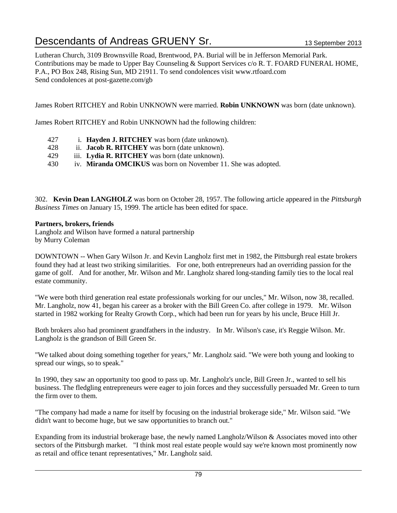Lutheran Church, 3109 Brownsville Road, Brentwood, PA. Burial will be in Jefferson Memorial Park. Contributions may be made to Upper Bay Counseling & Support Services c/o R. T. FOARD FUNERAL HOME, P.A., PO Box 248, Rising Sun, MD 21911. To send condolences visit www.rtfoard.com Send condolences at post-gazette.com/gb

James Robert RITCHEY and Robin UNKNOWN were married. **Robin UNKNOWN** was born (date unknown).

James Robert RITCHEY and Robin UNKNOWN had the following children:

- 427 i. **Hayden J. RITCHEY** was born (date unknown).
- 428 ii. **Jacob R. RITCHEY** was born (date unknown).
- 429 iii. **Lydia R. RITCHEY** was born (date unknown).
- 430 iv. **Miranda OMCIKUS** was born on November 11. She was adopted.

302. **Kevin Dean LANGHOLZ** was born on October 28, 1957. The following article appeared in the *Pittsburgh Business Times* on January 15, 1999. The article has been edited for space.

#### **Partners, brokers, friends**

Langholz and Wilson have formed a natural partnership by Murry Coleman

DOWNTOWN -- When Gary Wilson Jr. and Kevin Langholz first met in 1982, the Pittsburgh real estate brokers found they had at least two striking similarities. For one, both entrepreneurs had an overriding passion for the game of golf. And for another, Mr. Wilson and Mr. Langholz shared long-standing family ties to the local real estate community.

"We were both third generation real estate professionals working for our uncles," Mr. Wilson, now 38, recalled. Mr. Langholz, now 41, began his career as a broker with the Bill Green Co. after college in 1979. Mr. Wilson started in 1982 working for Realty Growth Corp., which had been run for years by his uncle, Bruce Hill Jr.

Both brokers also had prominent grandfathers in the industry. In Mr. Wilson's case, it's Reggie Wilson. Mr. Langholz is the grandson of Bill Green Sr.

"We talked about doing something together for years," Mr. Langholz said. "We were both young and looking to spread our wings, so to speak."

In 1990, they saw an opportunity too good to pass up. Mr. Langholz's uncle, Bill Green Jr., wanted to sell his business. The fledgling entrepreneurs were eager to join forces and they successfully persuaded Mr. Green to turn the firm over to them.

"The company had made a name for itself by focusing on the industrial brokerage side," Mr. Wilson said. "We didn't want to become huge, but we saw opportunities to branch out."

Expanding from its industrial brokerage base, the newly named Langholz/Wilson & Associates moved into other sectors of the Pittsburgh market. "I think most real estate people would say we're known most prominently now as retail and office tenant representatives," Mr. Langholz said.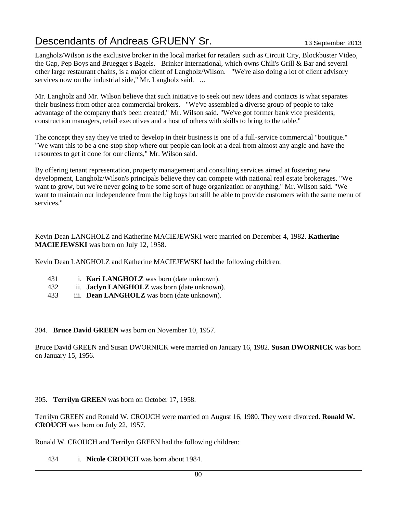Langholz/Wilson is the exclusive broker in the local market for retailers such as Circuit City, Blockbuster Video, the Gap, Pep Boys and Bruegger's Bagels. Brinker International, which owns Chili's Grill & Bar and several other large restaurant chains, is a major client of Langholz/Wilson. "We're also doing a lot of client advisory services now on the industrial side," Mr. Langholz said. ...

Mr. Langholz and Mr. Wilson believe that such initiative to seek out new ideas and contacts is what separates their business from other area commercial brokers. "We've assembled a diverse group of people to take advantage of the company that's been created," Mr. Wilson said. "We've got former bank vice presidents, construction managers, retail executives and a host of others with skills to bring to the table."

The concept they say they've tried to develop in their business is one of a full-service commercial "boutique." "We want this to be a one-stop shop where our people can look at a deal from almost any angle and have the resources to get it done for our clients," Mr. Wilson said.

By offering tenant representation, property management and consulting services aimed at fostering new development, Langholz/Wilson's principals believe they can compete with national real estate brokerages. "We want to grow, but we're never going to be some sort of huge organization or anything," Mr. Wilson said. "We want to maintain our independence from the big boys but still be able to provide customers with the same menu of services."

Kevin Dean LANGHOLZ and Katherine MACIEJEWSKI were married on December 4, 1982. **Katherine MACIEJEWSKI** was born on July 12, 1958.

Kevin Dean LANGHOLZ and Katherine MACIEJEWSKI had the following children:

- 431 i. **Kari LANGHOLZ** was born (date unknown).
- 432 ii. **Jaclyn LANGHOLZ** was born (date unknown).
- 433 iii. **Dean LANGHOLZ** was born (date unknown).

#### 304. **Bruce David GREEN** was born on November 10, 1957.

Bruce David GREEN and Susan DWORNICK were married on January 16, 1982. **Susan DWORNICK** was born on January 15, 1956.

305. **Terrilyn GREEN** was born on October 17, 1958.

Terrilyn GREEN and Ronald W. CROUCH were married on August 16, 1980. They were divorced. **Ronald W. CROUCH** was born on July 22, 1957.

Ronald W. CROUCH and Terrilyn GREEN had the following children:

434 i. **Nicole CROUCH** was born about 1984.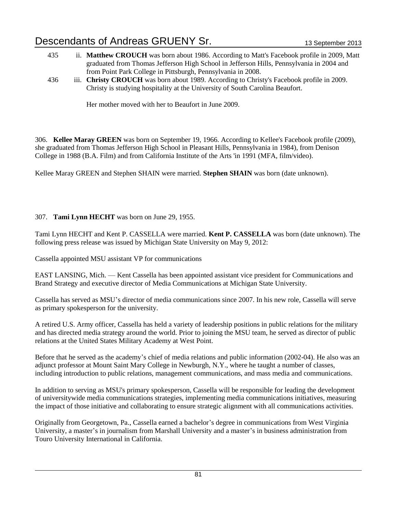- 435 ii. **Matthew CROUCH** was born about 1986. According to Matt's Facebook profile in 2009, Matt graduated from Thomas Jefferson High School in Jefferson Hills, Pennsylvania in 2004 and from Point Park College in Pittsburgh, Pennsylvania in 2008.
- 436 iii. **Christy CROUCH** was born about 1989. According to Christy's Facebook profile in 2009. Christy is studying hospitality at the University of South Carolina Beaufort.

Her mother moved with her to Beaufort in June 2009.

306. **Kellee Maray GREEN** was born on September 19, 1966. According to Kellee's Facebook profile (2009), she graduated from Thomas Jefferson High School in Pleasant Hills, Pennsylvania in 1984), from Denison College in 1988 (B.A. Film) and from California Institute of the Arts 'in 1991 (MFA, film/video).

Kellee Maray GREEN and Stephen SHAIN were married. **Stephen SHAIN** was born (date unknown).

### 307. **Tami Lynn HECHT** was born on June 29, 1955.

Tami Lynn HECHT and Kent P. CASSELLA were married. **Kent P. CASSELLA** was born (date unknown). The following press release was issued by Michigan State University on May 9, 2012:

Cassella appointed MSU assistant VP for communications

EAST LANSING, Mich. — Kent Cassella has been appointed assistant vice president for Communications and Brand Strategy and executive director of Media Communications at Michigan State University.

Cassella has served as MSU's director of media communications since 2007. In his new role, Cassella will serve as primary spokesperson for the university.

A retired U.S. Army officer, Cassella has held a variety of leadership positions in public relations for the military and has directed media strategy around the world. Prior to joining the MSU team, he served as director of public relations at the United States Military Academy at West Point.

Before that he served as the academy's chief of media relations and public information (2002-04). He also was an adjunct professor at Mount Saint Mary College in Newburgh, N.Y., where he taught a number of classes, including introduction to public relations, management communications, and mass media and communications.

In addition to serving as MSU's primary spokesperson, Cassella will be responsible for leading the development of universitywide media communications strategies, implementing media communications initiatives, measuring the impact of those initiative and collaborating to ensure strategic alignment with all communications activities.

Originally from Georgetown, Pa., Cassella earned a bachelor's degree in communications from West Virginia University, a master's in journalism from Marshall University and a master's in business administration from Touro University International in California.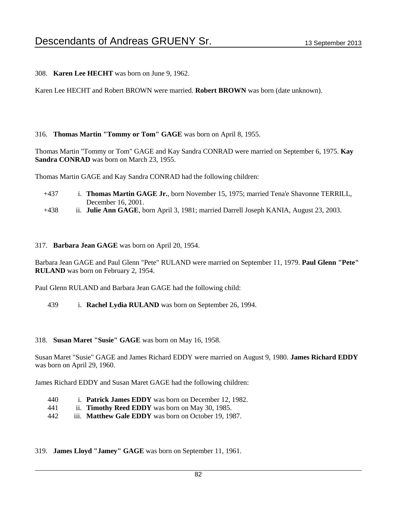308. **Karen Lee HECHT** was born on June 9, 1962.

Karen Lee HECHT and Robert BROWN were married. **Robert BROWN** was born (date unknown).

#### 316. **Thomas Martin "Tommy or Tom" GAGE** was born on April 8, 1955.

Thomas Martin "Tommy or Tom" GAGE and Kay Sandra CONRAD were married on September 6, 1975. **Kay**  Sandra CONRAD was born on March 23, 1955.

Thomas Martin GAGE and Kay Sandra CONRAD had the following children:

- +437 i. **Thomas Martin GAGE Jr.**, born November 15, 1975; married Tena'e Shavonne TERRILL, December 16, 2001.
- +438 ii. **Julie Ann GAGE**, born April 3, 1981; married Darrell Joseph KANIA, August 23, 2003.

#### 317. **Barbara Jean GAGE** was born on April 20, 1954.

Barbara Jean GAGE and Paul Glenn "Pete" RULAND were married on September 11, 1979. **Paul Glenn "Pete" RULAND** was born on February 2, 1954.

Paul Glenn RULAND and Barbara Jean GAGE had the following child:

439 i. **Rachel Lydia RULAND** was born on September 26, 1994.

#### 318. **Susan Maret "Susie" GAGE** was born on May 16, 1958.

Susan Maret "Susie" GAGE and James Richard EDDY were married on August 9, 1980. **James Richard EDDY** was born on April 29, 1960.

James Richard EDDY and Susan Maret GAGE had the following children:

- 440 i. **Patrick James EDDY** was born on December 12, 1982.
- 441 ii. **Timothy Reed EDDY** was born on May 30, 1985.
- 442 iii. **Matthew Gale EDDY** was born on October 19, 1987.

319. **James Lloyd "Jamey" GAGE** was born on September 11, 1961.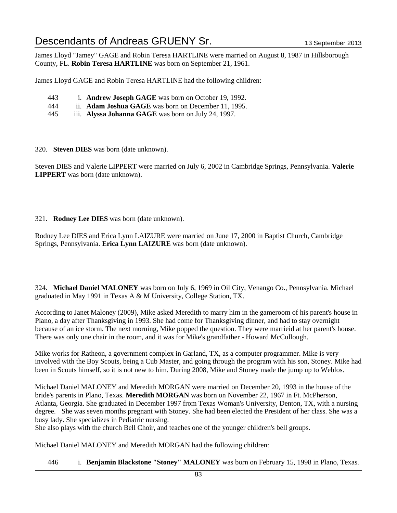James Lloyd "Jamey" GAGE and Robin Teresa HARTLINE were married on August 8, 1987 in Hillsborough County, FL. **Robin Teresa HARTLINE** was born on September 21, 1961.

James Lloyd GAGE and Robin Teresa HARTLINE had the following children:

- 443 i. **Andrew Joseph GAGE** was born on October 19, 1992.
- 444 ii. **Adam Joshua GAGE** was born on December 11, 1995.
- 445 iii. **Alyssa Johanna GAGE** was born on July 24, 1997.

320. **Steven DIES** was born (date unknown).

Steven DIES and Valerie LIPPERT were married on July 6, 2002 in Cambridge Springs, Pennsylvania. **Valerie LIPPERT** was born (date unknown).

#### 321. **Rodney Lee DIES** was born (date unknown).

Rodney Lee DIES and Erica Lynn LAIZURE were married on June 17, 2000 in Baptist Church, Cambridge Springs, Pennsylvania. **Erica Lynn LAIZURE** was born (date unknown).

324. **Michael Daniel MALONEY** was born on July 6, 1969 in Oil City, Venango Co., Pennsylvania. Michael graduated in May 1991 in Texas A & M University, College Station, TX.

According to Janet Maloney (2009), Mike asked Meredith to marry him in the gameroom of his parent's house in Plano, a day after Thanksgiving in 1993. She had come for Thanksgiving dinner, and had to stay overnight because of an ice storm. The next morning, Mike popped the question. They were marrieid at her parent's house. There was only one chair in the room, and it was for Mike's grandfather - Howard McCullough.

Mike works for Ratheon, a government complex in Garland, TX, as a computer programmer. Mike is very involved with the Boy Scouts, being a Cub Master, and going through the program with his son, Stoney. Mike had been in Scouts himself, so it is not new to him. During 2008, Mike and Stoney made the jump up to Weblos.

Michael Daniel MALONEY and Meredith MORGAN were married on December 20, 1993 in the house of the bride's parents in Plano, Texas. **Meredith MORGAN** was born on November 22, 1967 in Ft. McPherson, Atlanta, Georgia. She graduated in December 1997 from Texas Woman's University, Denton, TX, with a nursing degree. She was seven months pregnant with Stoney. She had been elected the President of her class. She was a busy lady. She specializes in Pediatric nursing.

She also plays with the church Bell Choir, and teaches one of the younger children's bell groups.

Michael Daniel MALONEY and Meredith MORGAN had the following children:

446 i. **Benjamin Blackstone "Stoney" MALONEY** was born on February 15, 1998 in Plano, Texas.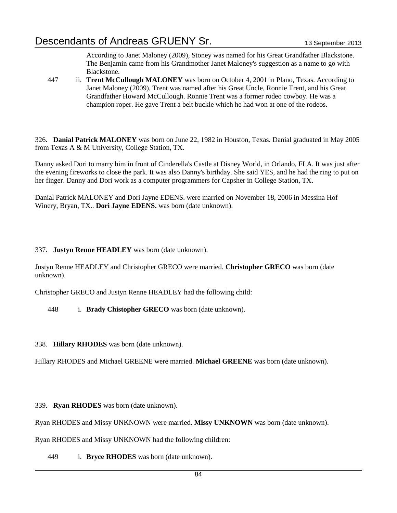According to Janet Maloney (2009), Stoney was named for his Great Grandfather Blackstone. The Benjamin came from his Grandmother Janet Maloney's suggestion as a name to go with Blackstone.

447 ii. **Trent McCullough MALONEY** was born on October 4, 2001 in Plano, Texas. According to Janet Maloney (2009), Trent was named after his Great Uncle, Ronnie Trent, and his Great Grandfather Howard McCullough. Ronnie Trent was a former rodeo cowboy. He was a champion roper. He gave Trent a belt buckle which he had won at one of the rodeos.

326. **Danial Patrick MALONEY** was born on June 22, 1982 in Houston, Texas. Danial graduated in May 2005 from Texas A & M University, College Station, TX.

Danny asked Dori to marry him in front of Cinderella's Castle at Disney World, in Orlando, FLA. It was just after the evening fireworks to close the park. It was also Danny's birthday. She said YES, and he had the ring to put on her finger. Danny and Dori work as a computer programmers for Capsher in College Station, TX.

Danial Patrick MALONEY and Dori Jayne EDENS. were married on November 18, 2006 in Messina Hof Winery, Bryan, TX.. **Dori Jayne EDENS.** was born (date unknown).

337. **Justyn Renne HEADLEY** was born (date unknown).

Justyn Renne HEADLEY and Christopher GRECO were married. **Christopher GRECO** was born (date unknown).

Christopher GRECO and Justyn Renne HEADLEY had the following child:

448 i. **Brady Chistopher GRECO** was born (date unknown).

338. **Hillary RHODES** was born (date unknown).

Hillary RHODES and Michael GREENE were married. **Michael GREENE** was born (date unknown).

339. **Ryan RHODES** was born (date unknown).

Ryan RHODES and Missy UNKNOWN were married. **Missy UNKNOWN** was born (date unknown).

Ryan RHODES and Missy UNKNOWN had the following children:

449 i. **Bryce RHODES** was born (date unknown).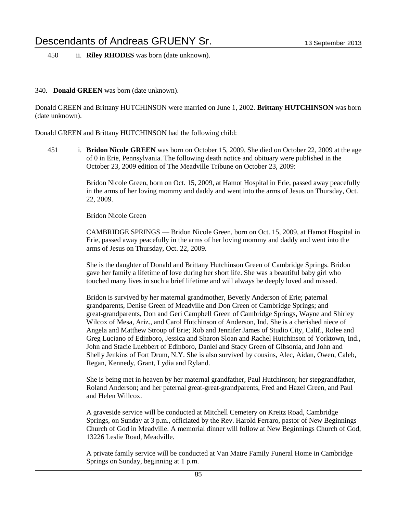450 ii. **Riley RHODES** was born (date unknown).

#### 340. **Donald GREEN** was born (date unknown).

Donald GREEN and Brittany HUTCHINSON were married on June 1, 2002. **Brittany HUTCHINSON** was born (date unknown).

Donald GREEN and Brittany HUTCHINSON had the following child:

451 i. **Bridon Nicole GREEN** was born on October 15, 2009. She died on October 22, 2009 at the age of 0 in Erie, Pennsylvania. The following death notice and obituary were published in the October 23, 2009 edition of The Meadville Tribune on October 23, 2009:

> Bridon Nicole Green, born on Oct. 15, 2009, at Hamot Hospital in Erie, passed away peacefully in the arms of her loving mommy and daddy and went into the arms of Jesus on Thursday, Oct. 22, 2009.

Bridon Nicole Green

CAMBRIDGE SPRINGS — Bridon Nicole Green, born on Oct. 15, 2009, at Hamot Hospital in Erie, passed away peacefully in the arms of her loving mommy and daddy and went into the arms of Jesus on Thursday, Oct. 22, 2009.

She is the daughter of Donald and Brittany Hutchinson Green of Cambridge Springs. Bridon gave her family a lifetime of love during her short life. She was a beautiful baby girl who touched many lives in such a brief lifetime and will always be deeply loved and missed.

Bridon is survived by her maternal grandmother, Beverly Anderson of Erie; paternal grandparents, Denise Green of Meadville and Don Green of Cambridge Springs; and great-grandparents, Don and Geri Campbell Green of Cambridge Springs, Wayne and Shirley Wilcox of Mesa, Ariz., and Carol Hutchinson of Anderson, Ind. She is a cherished niece of Angela and Matthew Stroup of Erie; Rob and Jennifer James of Studio City, Calif., Rolee and Greg Luciano of Edinboro, Jessica and Sharon Sloan and Rachel Hutchinson of Yorktown, Ind., John and Stacie Luebbert of Edinboro, Daniel and Stacy Green of Gibsonia, and John and Shelly Jenkins of Fort Drum, N.Y. She is also survived by cousins, Alec, Aidan, Owen, Caleb, Regan, Kennedy, Grant, Lydia and Ryland.

She is being met in heaven by her maternal grandfather, Paul Hutchinson; her stepgrandfather, Roland Anderson; and her paternal great-great-grandparents, Fred and Hazel Green, and Paul and Helen Willcox.

A graveside service will be conducted at Mitchell Cemetery on Kreitz Road, Cambridge Springs, on Sunday at 3 p.m., officiated by the Rev. Harold Ferraro, pastor of New Beginnings Church of God in Meadville. A memorial dinner will follow at New Beginnings Church of God, 13226 Leslie Road, Meadville.

A private family service will be conducted at Van Matre Family Funeral Home in Cambridge Springs on Sunday, beginning at 1 p.m.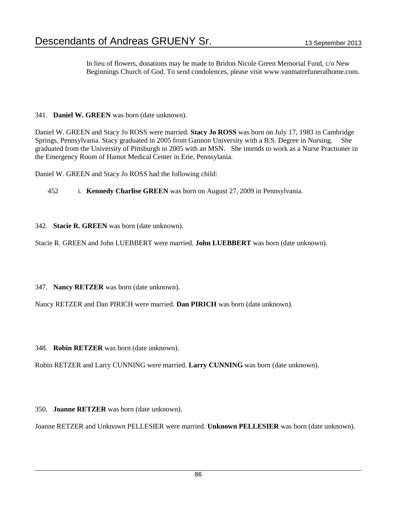In lieu of flowers, donations may be made to Bridon Nicole Green Memorial Fund, c/o New Beginnings Church of God. To send condolences, please visit www.vanmatrefuneralhome.com.

341. **Daniel W. GREEN** was born (date unknown).

Daniel W. GREEN and Stacy Jo ROSS were married. **Stacy Jo ROSS** was born on July 17, 1983 in Cambridge Springs, Pennsylvania. Stacy graduated in 2005 from Gannon University with a B.S. Degree in Nursing. She graduated from the University of Pittsburgh in 2005 with an MSN. She intends to work as a Nurse Practioner in the Emergency Room of Hamot Medical Center in Erie, Pennsylania.

Daniel W. GREEN and Stacy Jo ROSS had the following child:

452 i. **Kennedy Charlise GREEN** was born on August 27, 2009 in Pennsylvania.

342. **Stacie R. GREEN** was born (date unknown).

Stacie R. GREEN and John LUEBBERT were married. **John LUEBBERT** was born (date unknown).

347. **Nancy RETZER** was born (date unknown).

Nancy RETZER and Dan PIRICH were married. **Dan PIRICH** was born (date unknown).

348. **Robin RETZER** was born (date unknown).

Robin RETZER and Larry CUNNING were married. **Larry CUNNING** was born (date unknown).

350. **Joanne RETZER** was born (date unknown).

Joanne RETZER and Unknown PELLESIER were married. **Unknown PELLESIER** was born (date unknown).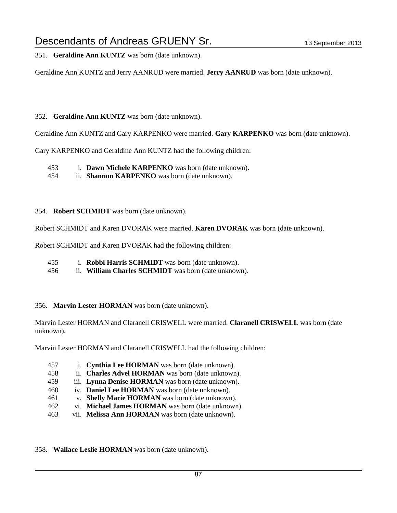351. **Geraldine Ann KUNTZ** was born (date unknown).

Geraldine Ann KUNTZ and Jerry AANRUD were married. **Jerry AANRUD** was born (date unknown).

### 352. **Geraldine Ann KUNTZ** was born (date unknown).

Geraldine Ann KUNTZ and Gary KARPENKO were married. **Gary KARPENKO** was born (date unknown).

Gary KARPENKO and Geraldine Ann KUNTZ had the following children:

453 i. **Dawn Michele KARPENKO** was born (date unknown).

454 ii. **Shannon KARPENKO** was born (date unknown).

### 354. **Robert SCHMIDT** was born (date unknown).

Robert SCHMIDT and Karen DVORAK were married. **Karen DVORAK** was born (date unknown).

Robert SCHMIDT and Karen DVORAK had the following children:

- 455 i. **Robbi Harris SCHMIDT** was born (date unknown).
- 456 ii. **William Charles SCHMIDT** was born (date unknown).

### 356. **Marvin Lester HORMAN** was born (date unknown).

Marvin Lester HORMAN and Claranell CRISWELL were married. **Claranell CRISWELL** was born (date unknown).

Marvin Lester HORMAN and Claranell CRISWELL had the following children:

- 457 i. **Cynthia Lee HORMAN** was born (date unknown).
- 458 ii. **Charles Advel HORMAN** was born (date unknown).
- 459 iii. **Lynna Denise HORMAN** was born (date unknown).
- 460 iv. **Daniel Lee HORMAN** was born (date unknown).
- 461 v. **Shelly Marie HORMAN** was born (date unknown).
- 462 vi. **Michael James HORMAN** was born (date unknown).
- 463 vii. **Melissa Ann HORMAN** was born (date unknown).

358. **Wallace Leslie HORMAN** was born (date unknown).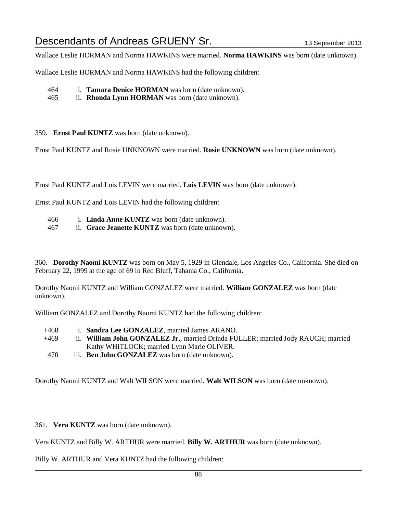Wallace Leslie HORMAN and Norma HAWKINS were married. **Norma HAWKINS** was born (date unknown).

Wallace Leslie HORMAN and Norma HAWKINS had the following children:

464 i. **Tamara Denice HORMAN** was born (date unknown).

465 ii. **Rhonda Lynn HORMAN** was born (date unknown).

359. **Ernst Paul KUNTZ** was born (date unknown).

Ernst Paul KUNTZ and Rosie UNKNOWN were married. **Rosie UNKNOWN** was born (date unknown).

Ernst Paul KUNTZ and Lois LEVIN were married. **Lois LEVIN** was born (date unknown).

Ernst Paul KUNTZ and Lois LEVIN had the following children:

- 466 i. **Linda Anne KUNTZ** was born (date unknown).
- 467 ii. **Grace Jeanette KUNTZ** was born (date unknown).

360. **Dorothy Naomi KUNTZ** was born on May 5, 1929 in Glendale, Los Angeles Co., California. She died on February 22, 1999 at the age of 69 in Red Bluff, Tahama Co., California.

Dorothy Naomi KUNTZ and William GONZALEZ were married. **William GONZALEZ** was born (date unknown).

William GONZALEZ and Dorothy Naomi KUNTZ had the following children:

- +468 i. **Sandra Lee GONZALEZ**, married James ARANO.
- +469 ii. **William John GONZALEZ Jr.**, married Drinda FULLER; married Jody RAUCH; married Kathy WHITLOCK; married Lynn Marie OLIVER.
- 470 iii. **Ben John GONZALEZ** was born (date unknown).

Dorothy Naomi KUNTZ and Walt WILSON were married. **Walt WILSON** was born (date unknown).

361. **Vera KUNTZ** was born (date unknown).

Vera KUNTZ and Billy W. ARTHUR were married. **Billy W. ARTHUR** was born (date unknown).

Billy W. ARTHUR and Vera KUNTZ had the following children: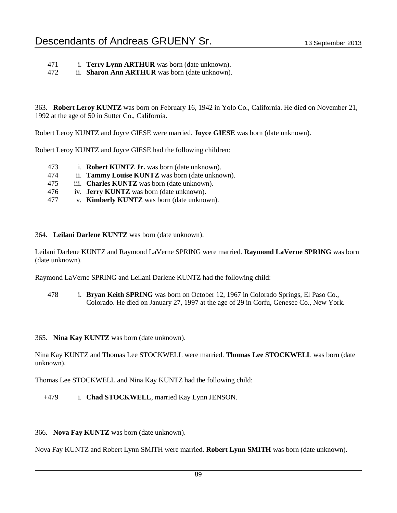- 471 i. **Terry Lynn ARTHUR** was born (date unknown).
- 472 ii. **Sharon Ann ARTHUR** was born (date unknown).

363. **Robert Leroy KUNTZ** was born on February 16, 1942 in Yolo Co., California. He died on November 21, 1992 at the age of 50 in Sutter Co., California.

Robert Leroy KUNTZ and Joyce GIESE were married. **Joyce GIESE** was born (date unknown).

Robert Leroy KUNTZ and Joyce GIESE had the following children:

- 473 i. **Robert KUNTZ Jr.** was born (date unknown).
- 474 ii. **Tammy Louise KUNTZ** was born (date unknown).
- 475 iii. **Charles KUNTZ** was born (date unknown).
- 476 iv. **Jerry KUNTZ** was born (date unknown).
- 477 v. **Kimberly KUNTZ** was born (date unknown).
- 364. **Leilani Darlene KUNTZ** was born (date unknown).

Leilani Darlene KUNTZ and Raymond LaVerne SPRING were married. **Raymond LaVerne SPRING** was born (date unknown).

Raymond LaVerne SPRING and Leilani Darlene KUNTZ had the following child:

- 478 i. **Bryan Keith SPRING** was born on October 12, 1967 in Colorado Springs, El Paso Co., Colorado. He died on January 27, 1997 at the age of 29 in Corfu, Genesee Co., New York.
- 365. **Nina Kay KUNTZ** was born (date unknown).

Nina Kay KUNTZ and Thomas Lee STOCKWELL were married. **Thomas Lee STOCKWELL** was born (date unknown).

Thomas Lee STOCKWELL and Nina Kay KUNTZ had the following child:

- +479 i. **Chad STOCKWELL**, married Kay Lynn JENSON.
- 366. **Nova Fay KUNTZ** was born (date unknown).

Nova Fay KUNTZ and Robert Lynn SMITH were married. **Robert Lynn SMITH** was born (date unknown).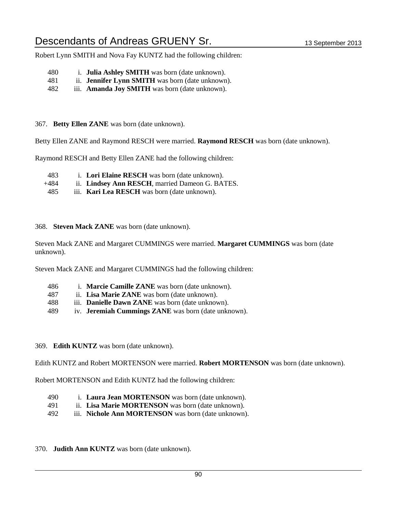Robert Lynn SMITH and Nova Fay KUNTZ had the following children:

- 480 i. **Julia Ashley SMITH** was born (date unknown).
- 481 ii. **Jennifer Lynn SMITH** was born (date unknown).
- 482 iii. **Amanda Joy SMITH** was born (date unknown).

367. **Betty Ellen ZANE** was born (date unknown).

Betty Ellen ZANE and Raymond RESCH were married. **Raymond RESCH** was born (date unknown).

Raymond RESCH and Betty Ellen ZANE had the following children:

- 483 i. **Lori Elaine RESCH** was born (date unknown).
- +484 ii. **Lindsey Ann RESCH**, married Dameon G. BATES.
- 485 iii. **Kari Lea RESCH** was born (date unknown).

368. **Steven Mack ZANE** was born (date unknown).

Steven Mack ZANE and Margaret CUMMINGS were married. **Margaret CUMMINGS** was born (date unknown).

Steven Mack ZANE and Margaret CUMMINGS had the following children:

- 486 i. **Marcie Camille ZANE** was born (date unknown).
- 487 ii. **Lisa Marie ZANE** was born (date unknown).
- 488 iii. **Danielle Dawn ZANE** was born (date unknown).
- 489 iv. **Jeremiah Cummings ZANE** was born (date unknown).
- 369. **Edith KUNTZ** was born (date unknown).

Edith KUNTZ and Robert MORTENSON were married. **Robert MORTENSON** was born (date unknown).

Robert MORTENSON and Edith KUNTZ had the following children:

- 490 i. **Laura Jean MORTENSON** was born (date unknown).
- 491 ii. **Lisa Marie MORTENSON** was born (date unknown).
- 492 iii. **Nichole Ann MORTENSON** was born (date unknown).
- 370. **Judith Ann KUNTZ** was born (date unknown).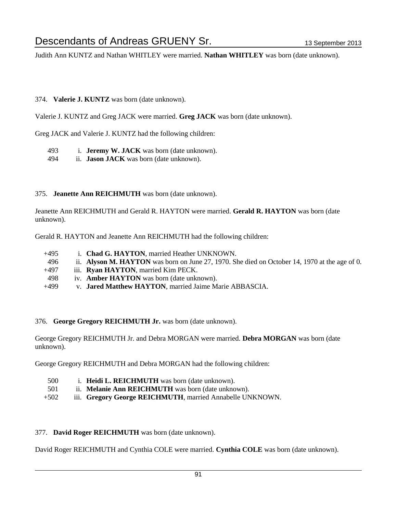Judith Ann KUNTZ and Nathan WHITLEY were married. **Nathan WHITLEY** was born (date unknown).

#### 374. **Valerie J. KUNTZ** was born (date unknown).

Valerie J. KUNTZ and Greg JACK were married. **Greg JACK** was born (date unknown).

Greg JACK and Valerie J. KUNTZ had the following children:

- 493 i. **Jeremy W. JACK** was born (date unknown).
- 494 ii. **Jason JACK** was born (date unknown).

#### 375. **Jeanette Ann REICHMUTH** was born (date unknown).

Jeanette Ann REICHMUTH and Gerald R. HAYTON were married. **Gerald R. HAYTON** was born (date unknown).

Gerald R. HAYTON and Jeanette Ann REICHMUTH had the following children:

- +495 i. **Chad G. HAYTON**, married Heather UNKNOWN.
- 496 ii. **Alyson M. HAYTON** was born on June 27, 1970. She died on October 14, 1970 at the age of 0.
- +497 iii. **Ryan HAYTON**, married Kim PECK.
- 498 iv. **Amber HAYTON** was born (date unknown).
- +499 v. **Jared Matthew HAYTON**, married Jaime Marie ABBASCIA.

#### 376. **George Gregory REICHMUTH Jr.** was born (date unknown).

George Gregory REICHMUTH Jr. and Debra MORGAN were married. **Debra MORGAN** was born (date unknown).

George Gregory REICHMUTH and Debra MORGAN had the following children:

- 500 i. **Heidi L. REICHMUTH** was born (date unknown).
- 501 ii. **Melanie Ann REICHMUTH** was born (date unknown).
- +502 iii. **Gregory George REICHMUTH**, married Annabelle UNKNOWN.

### 377. **David Roger REICHMUTH** was born (date unknown).

David Roger REICHMUTH and Cynthia COLE were married. **Cynthia COLE** was born (date unknown).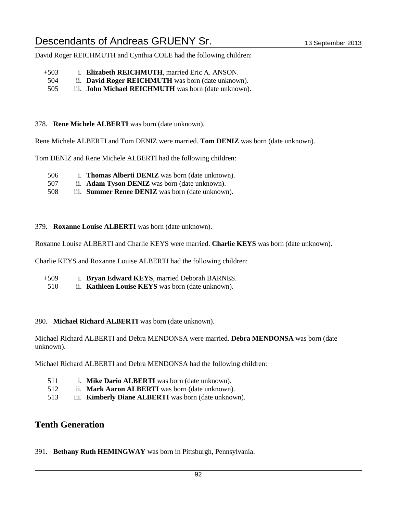David Roger REICHMUTH and Cynthia COLE had the following children:

- +503 i. **Elizabeth REICHMUTH**, married Eric A. ANSON.
- 504 ii. **David Roger REICHMUTH** was born (date unknown).
- 505 iii. **John Michael REICHMUTH** was born (date unknown).

#### 378. **Rene Michele ALBERTI** was born (date unknown).

Rene Michele ALBERTI and Tom DENIZ were married. **Tom DENIZ** was born (date unknown).

Tom DENIZ and Rene Michele ALBERTI had the following children:

- 506 i. **Thomas Alberti DENIZ** was born (date unknown).
- 507 ii. **Adam Tyson DENIZ** was born (date unknown).
- 508 iii. **Summer Renee DENIZ** was born (date unknown).

379. **Roxanne Louise ALBERTI** was born (date unknown).

Roxanne Louise ALBERTI and Charlie KEYS were married. **Charlie KEYS** was born (date unknown).

Charlie KEYS and Roxanne Louise ALBERTI had the following children:

- +509 i. **Bryan Edward KEYS**, married Deborah BARNES.
- 510 ii. **Kathleen Louise KEYS** was born (date unknown).

#### 380. **Michael Richard ALBERTI** was born (date unknown).

Michael Richard ALBERTI and Debra MENDONSA were married. **Debra MENDONSA** was born (date unknown).

Michael Richard ALBERTI and Debra MENDONSA had the following children:

- 511 i. **Mike Dario ALBERTI** was born (date unknown).
- 512 ii. **Mark Aaron ALBERTI** was born (date unknown).
- 513 iii. **Kimberly Diane ALBERTI** was born (date unknown).

## **Tenth Generation**

391. **Bethany Ruth HEMINGWAY** was born in Pittsburgh, Pennsylvania.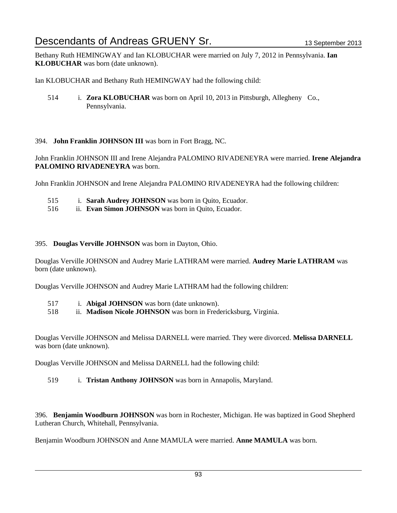Bethany Ruth HEMINGWAY and Ian KLOBUCHAR were married on July 7, 2012 in Pennsylvania. **Ian KLOBUCHAR** was born (date unknown).

Ian KLOBUCHAR and Bethany Ruth HEMINGWAY had the following child:

514 i. **Zora KLOBUCHAR** was born on April 10, 2013 in Pittsburgh, Allegheny Co., Pennsylvania.

## 394. **John Franklin JOHNSON III** was born in Fort Bragg, NC.

John Franklin JOHNSON III and Irene Alejandra PALOMINO RIVADENEYRA were married. **Irene Alejandra PALOMINO RIVADENEYRA** was born.

John Franklin JOHNSON and Irene Alejandra PALOMINO RIVADENEYRA had the following children:

- 515 i. **Sarah Audrey JOHNSON** was born in Quito, Ecuador.
- 516 ii. **Evan Simon JOHNSON** was born in Quito, Ecuador.

### 395. **Douglas Verville JOHNSON** was born in Dayton, Ohio.

Douglas Verville JOHNSON and Audrey Marie LATHRAM were married. **Audrey Marie LATHRAM** was born (date unknown).

Douglas Verville JOHNSON and Audrey Marie LATHRAM had the following children:

- 517 i. **Abigal JOHNSON** was born (date unknown).
- 518 ii. **Madison Nicole JOHNSON** was born in Fredericksburg, Virginia.

Douglas Verville JOHNSON and Melissa DARNELL were married. They were divorced. **Melissa DARNELL** was born (date unknown).

Douglas Verville JOHNSON and Melissa DARNELL had the following child:

519 i. **Tristan Anthony JOHNSON** was born in Annapolis, Maryland.

396. **Benjamin Woodburn JOHNSON** was born in Rochester, Michigan. He was baptized in Good Shepherd Lutheran Church, Whitehall, Pennsylvania.

Benjamin Woodburn JOHNSON and Anne MAMULA were married. **Anne MAMULA** was born.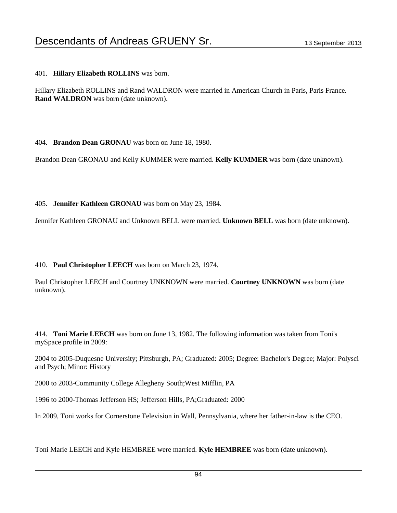## 401. **Hillary Elizabeth ROLLINS** was born.

Hillary Elizabeth ROLLINS and Rand WALDRON were married in American Church in Paris, Paris France. **Rand WALDRON** was born (date unknown).

404. **Brandon Dean GRONAU** was born on June 18, 1980.

Brandon Dean GRONAU and Kelly KUMMER were married. **Kelly KUMMER** was born (date unknown).

405. **Jennifer Kathleen GRONAU** was born on May 23, 1984.

Jennifer Kathleen GRONAU and Unknown BELL were married. **Unknown BELL** was born (date unknown).

410. **Paul Christopher LEECH** was born on March 23, 1974.

Paul Christopher LEECH and Courtney UNKNOWN were married. **Courtney UNKNOWN** was born (date unknown).

414. **Toni Marie LEECH** was born on June 13, 1982. The following information was taken from Toni's mySpace profile in 2009:

2004 to 2005-Duquesne University; Pittsburgh, PA; Graduated: 2005; Degree: Bachelor's Degree; Major: Polysci and Psych; Minor: History

2000 to 2003-Community College Allegheny South;West Mifflin, PA

1996 to 2000-Thomas Jefferson HS; Jefferson Hills, PA;Graduated: 2000

In 2009, Toni works for Cornerstone Television in Wall, Pennsylvania, where her father-in-law is the CEO.

Toni Marie LEECH and Kyle HEMBREE were married. **Kyle HEMBREE** was born (date unknown).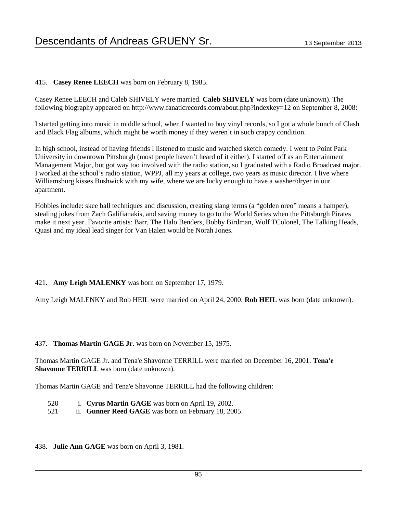## 415. **Casey Renee LEECH** was born on February 8, 1985.

Casey Renee LEECH and Caleb SHIVELY were married. **Caleb SHIVELY** was born (date unknown). The following biography appeared on http://www.fanaticrecords.com/about.php?indexkey=12 on September 8, 2008:

I started getting into music in middle school, when I wanted to buy vinyl records, so I got a whole bunch of Clash and Black Flag albums, which might be worth money if they weren't in such crappy condition.

In high school, instead of having friends I listened to music and watched sketch comedy. I went to Point Park University in downtown Pittsburgh (most people haven't heard of it either). I started off as an Entertainment Management Major, but got way too involved with the radio station, so I graduated with a Radio Broadcast major. I worked at the school's radio station, WPPJ, all my years at college, two years as music director. I live where Williamsburg kisses Bushwick with my wife, where we are lucky enough to have a washer/dryer in our apartment.

Hobbies include: skee ball techniques and discussion, creating slang terms (a "golden oreo" means a hamper), stealing jokes from Zach Galifianakis, and saving money to go to the World Series when the Pittsburgh Pirates make it next year. Favorite artists: Barr, The Halo Benders, Bobby Birdman, Wolf TColonel, The Talking Heads, Quasi and my ideal lead singer for Van Halen would be Norah Jones.

### 421. **Amy Leigh MALENKY** was born on September 17, 1979.

Amy Leigh MALENKY and Rob HEIL were married on April 24, 2000. **Rob HEIL** was born (date unknown).

#### 437. **Thomas Martin GAGE Jr.** was born on November 15, 1975.

Thomas Martin GAGE Jr. and Tena'e Shavonne TERRILL were married on December 16, 2001. **Tena'e Shavonne TERRILL** was born (date unknown).

Thomas Martin GAGE and Tena'e Shavonne TERRILL had the following children:

- 520 i. **Cyrus Martin GAGE** was born on April 19, 2002.
- 521 ii. **Gunner Reed GAGE** was born on February 18, 2005.

438. **Julie Ann GAGE** was born on April 3, 1981.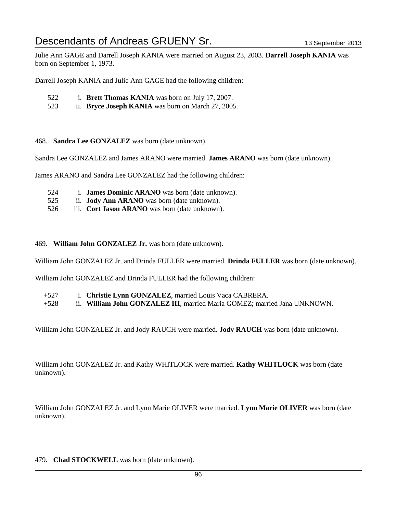Julie Ann GAGE and Darrell Joseph KANIA were married on August 23, 2003. **Darrell Joseph KANIA** was born on September 1, 1973.

Darrell Joseph KANIA and Julie Ann GAGE had the following children:

- 522 i. **Brett Thomas KANIA** was born on July 17, 2007.
- 523 ii. **Bryce Joseph KANIA** was born on March 27, 2005.

468. **Sandra Lee GONZALEZ** was born (date unknown).

Sandra Lee GONZALEZ and James ARANO were married. **James ARANO** was born (date unknown).

James ARANO and Sandra Lee GONZALEZ had the following children:

- 524 i. **James Dominic ARANO** was born (date unknown).
- 525 ii. **Jody Ann ARANO** was born (date unknown).
- 526 iii. **Cort Jason ARANO** was born (date unknown).

#### 469. **William John GONZALEZ Jr.** was born (date unknown).

William John GONZALEZ Jr. and Drinda FULLER were married. **Drinda FULLER** was born (date unknown).

William John GONZALEZ and Drinda FULLER had the following children:

- +527 i. **Christie Lynn GONZALEZ**, married Louis Vaca CABRERA.
- +528 ii. **William John GONZALEZ III**, married Maria GOMEZ; married Jana UNKNOWN.

William John GONZALEZ Jr. and Jody RAUCH were married. **Jody RAUCH** was born (date unknown).

William John GONZALEZ Jr. and Kathy WHITLOCK were married. **Kathy WHITLOCK** was born (date unknown).

William John GONZALEZ Jr. and Lynn Marie OLIVER were married. **Lynn Marie OLIVER** was born (date unknown).

479. **Chad STOCKWELL** was born (date unknown).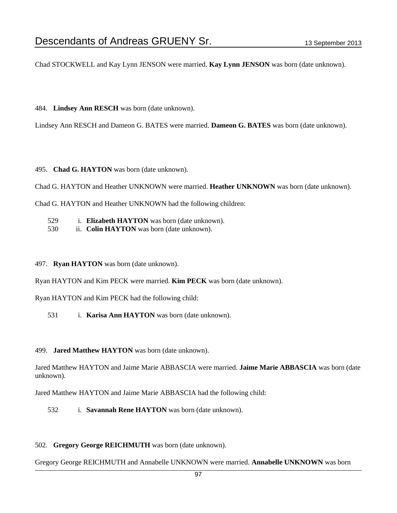Chad STOCKWELL and Kay Lynn JENSON were married. **Kay Lynn JENSON** was born (date unknown).

484. **Lindsey Ann RESCH** was born (date unknown).

Lindsey Ann RESCH and Dameon G. BATES were married. **Dameon G. BATES** was born (date unknown).

495. **Chad G. HAYTON** was born (date unknown).

Chad G. HAYTON and Heather UNKNOWN were married. **Heather UNKNOWN** was born (date unknown).

Chad G. HAYTON and Heather UNKNOWN had the following children:

529 i. **Elizabeth HAYTON** was born (date unknown).

530 ii. **Colin HAYTON** was born (date unknown).

#### 497. **Ryan HAYTON** was born (date unknown).

Ryan HAYTON and Kim PECK were married. **Kim PECK** was born (date unknown).

Ryan HAYTON and Kim PECK had the following child:

531 i. **Karisa Ann HAYTON** was born (date unknown).

#### 499. **Jared Matthew HAYTON** was born (date unknown).

Jared Matthew HAYTON and Jaime Marie ABBASCIA were married. **Jaime Marie ABBASCIA** was born (date unknown).

Jared Matthew HAYTON and Jaime Marie ABBASCIA had the following child:

532 i. **Savannah Rene HAYTON** was born (date unknown).

#### 502. **Gregory George REICHMUTH** was born (date unknown).

Gregory George REICHMUTH and Annabelle UNKNOWN were married. **Annabelle UNKNOWN** was born